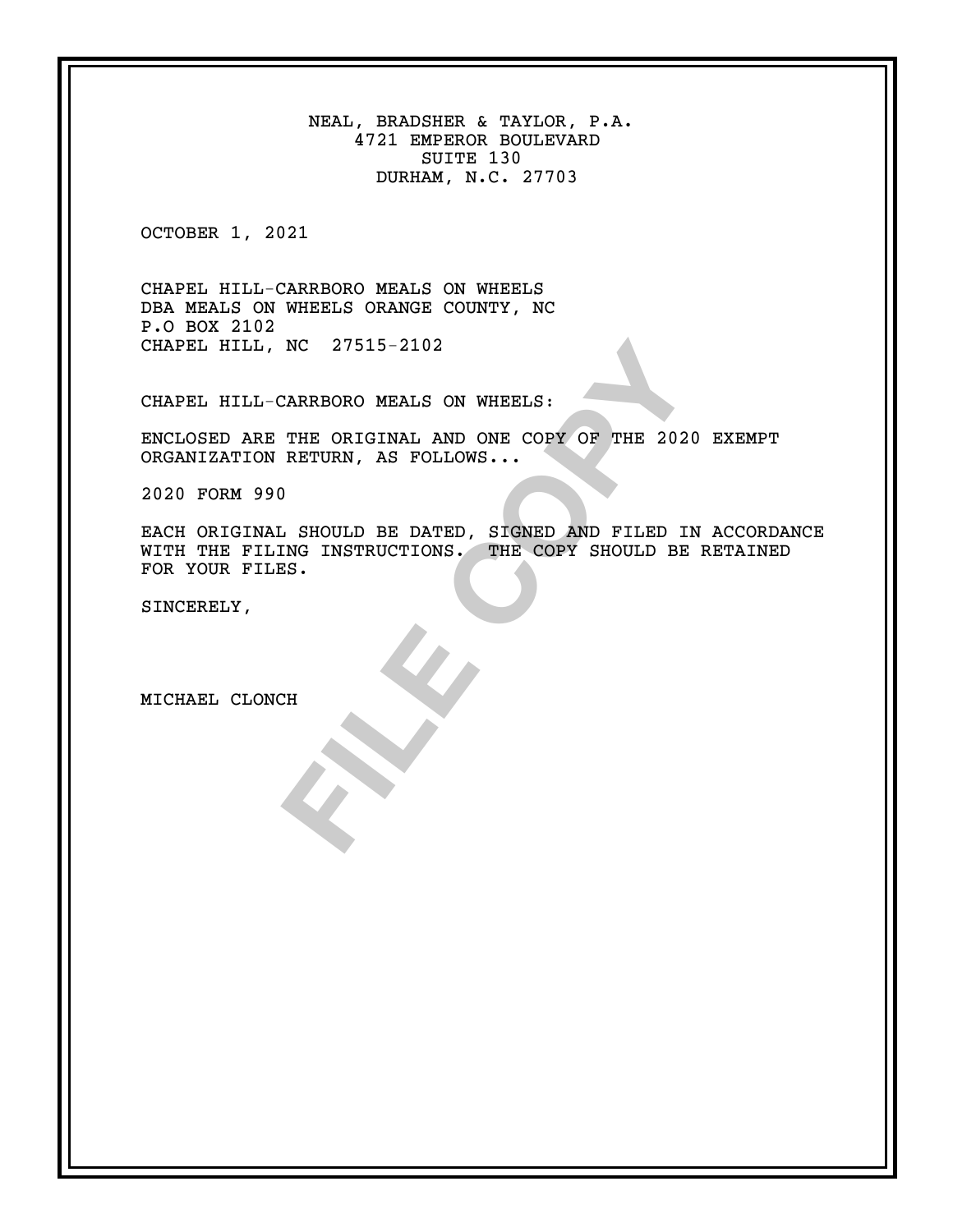NEAL, BRADSHER & TAYLOR, P.A. 4721 EMPEROR BOULEVARD SUITE 130 DURHAM, N.C. 27703

OCTOBER 1, 2021

CHAPEL HILL-CARRBORO MEALS ON WHEELS DBA MEALS ON WHEELS ORANGE COUNTY, NC P.O BOX 2102 CHAPEL HILL, NC 27515-2102

CHAPEL HILL-CARRBORO MEALS ON WHEELS:

ENCLOSED ARE THE ORIGINAL AND ONE COPY OF THE 2020 EXEMPT ORGANIZATION RETURN, AS FOLLOWS...

2020 FORM 990

NC 27515-2102<br>
CARRBORO MEALS ON WHEELS:<br>
THE ORIGINAL AND ONE COPY OF THE 2020 EXP<br>
RETURN, AS FOLLOWS...<br>
<br>
...<br>
SHOULD BE DATED, SIGNED AND FILED IN ACC<br>
ING INSTRUCTIONS. THE COPY SHOULD BE RET?<br>
IS. EACH ORIGINAL SHOULD BE DATED, SIGNED AND FILED IN ACCORDANCE WITH THE FILING INSTRUCTIONS. THE COPY SHOULD BE RETAINED FOR YOUR FILES.

SINCERELY,

MICHAEL CLONCH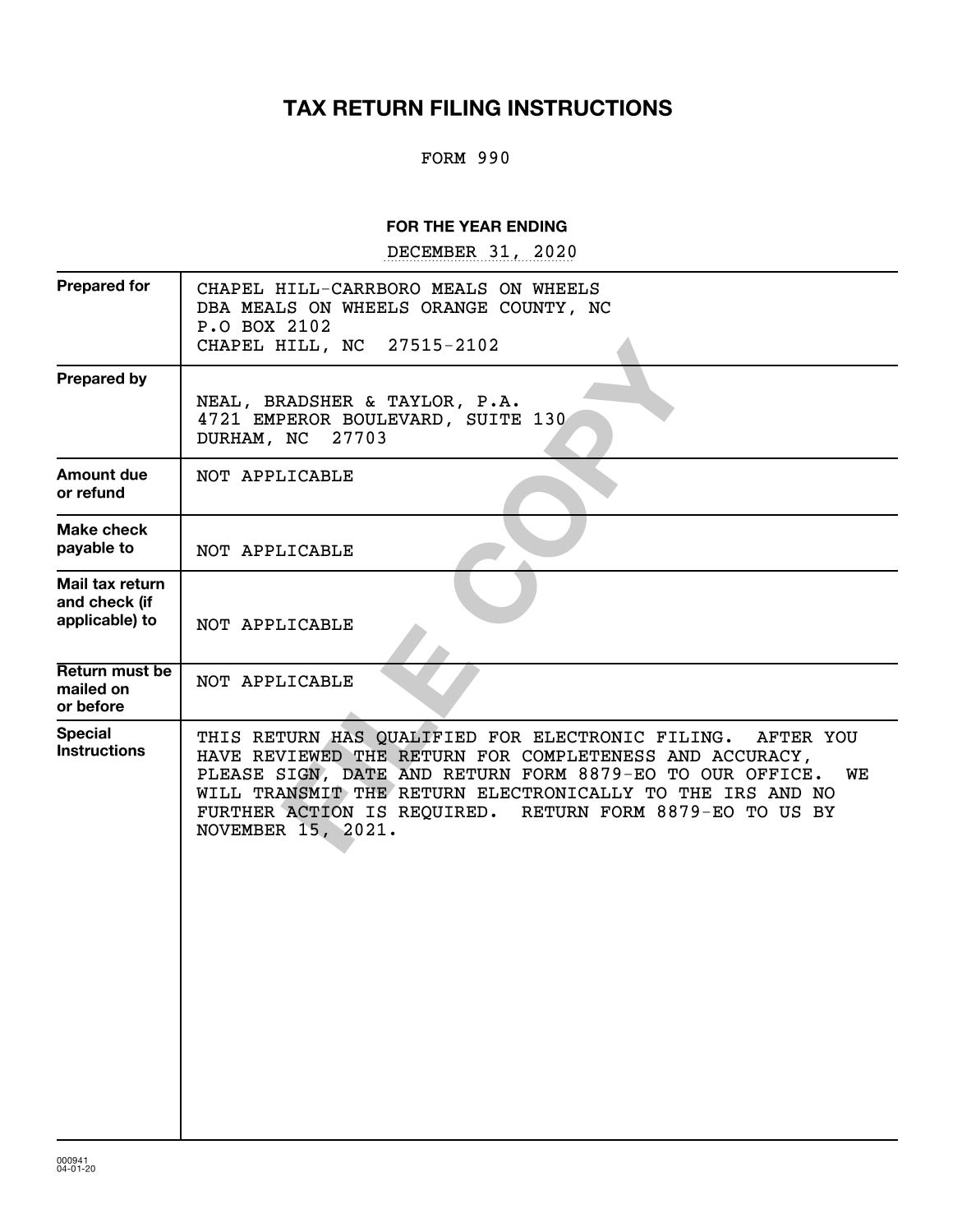# **TAX RETURN FILING INSTRUCTIONS**

#### FORM 990

#### **FOR THE YEAR ENDING**

DECEMBER 31, 2020

| CHAPEL HILL-CARRBORO MEALS ON WHEELS<br>DBA MEALS ON WHEELS ORANGE COUNTY, NC<br>P.O BOX 2102<br>CHAPEL HILL, NC 27515-2102                                                                                                                                                                                                            |
|----------------------------------------------------------------------------------------------------------------------------------------------------------------------------------------------------------------------------------------------------------------------------------------------------------------------------------------|
| NEAL, BRADSHER & TAYLOR, P.A.<br>4721 EMPEROR BOULEVARD, SUITE 130<br>27703<br>DURHAM, NC                                                                                                                                                                                                                                              |
| NOT APPLICABLE                                                                                                                                                                                                                                                                                                                         |
| NOT APPLICABLE                                                                                                                                                                                                                                                                                                                         |
| NOT APPLICABLE                                                                                                                                                                                                                                                                                                                         |
| NOT APPLICABLE                                                                                                                                                                                                                                                                                                                         |
| THIS RETURN HAS QUALIFIED FOR ELECTRONIC FILING. AFTER YOU<br>HAVE REVIEWED THE RETURN FOR COMPLETENESS AND ACCURACY,<br>PLEASE SIGN, DATE AND RETURN FORM 8879-EO TO OUR OFFICE.<br>WE<br>WILL TRANSMIT THE RETURN ELECTRONICALLY TO THE IRS AND NO<br>FURTHER ACTION IS REQUIRED. RETURN FORM 8879-EO TO US BY<br>NOVEMBER 15, 2021. |
|                                                                                                                                                                                                                                                                                                                                        |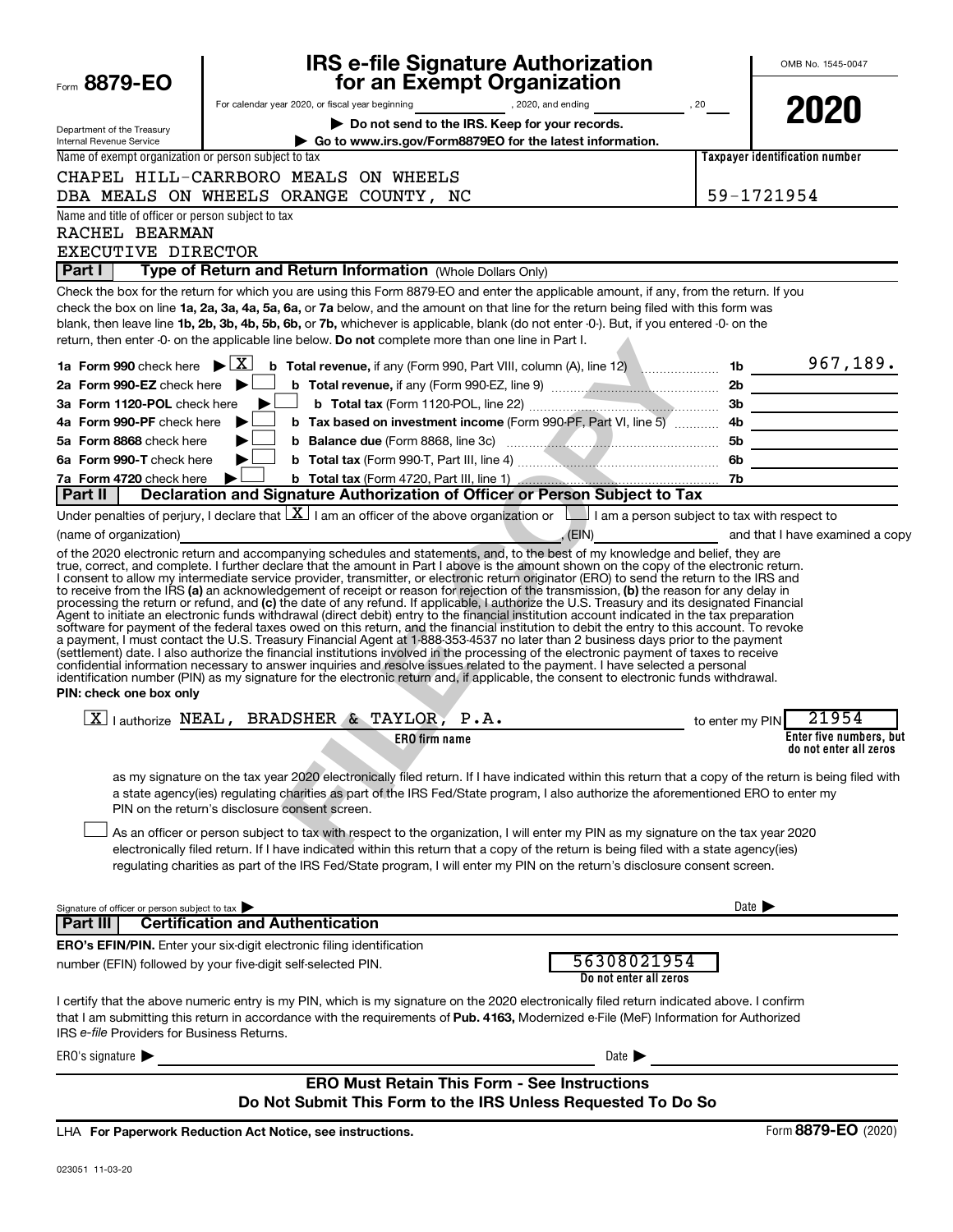| Form 8879-EO                                                                               | <b>IRS e-file Signature Authorization</b><br>for an Exempt Organization                                                                                                                                                                                                                                                                                                                                                                                                                                                                                                                                                                                                                                                                                                                                                                                                                                                                                                                                                                                                                                                                   |                            | OMB No. 1545-0047                                 |
|--------------------------------------------------------------------------------------------|-------------------------------------------------------------------------------------------------------------------------------------------------------------------------------------------------------------------------------------------------------------------------------------------------------------------------------------------------------------------------------------------------------------------------------------------------------------------------------------------------------------------------------------------------------------------------------------------------------------------------------------------------------------------------------------------------------------------------------------------------------------------------------------------------------------------------------------------------------------------------------------------------------------------------------------------------------------------------------------------------------------------------------------------------------------------------------------------------------------------------------------------|----------------------------|---------------------------------------------------|
|                                                                                            | For calendar year 2020, or fiscal year beginning example and provide the set of the set of the set of the set of the set of the set of the set of the set of the set of the set of the set of the set of the set of the set of                                                                                                                                                                                                                                                                                                                                                                                                                                                                                                                                                                                                                                                                                                                                                                                                                                                                                                            |                            |                                                   |
|                                                                                            | Do not send to the IRS. Keep for your records.                                                                                                                                                                                                                                                                                                                                                                                                                                                                                                                                                                                                                                                                                                                                                                                                                                                                                                                                                                                                                                                                                            |                            | 2020                                              |
| Department of the Treasury<br>Internal Revenue Service                                     | Go to www.irs.gov/Form8879EO for the latest information.                                                                                                                                                                                                                                                                                                                                                                                                                                                                                                                                                                                                                                                                                                                                                                                                                                                                                                                                                                                                                                                                                  |                            |                                                   |
| Name of exempt organization or person subject to tax                                       |                                                                                                                                                                                                                                                                                                                                                                                                                                                                                                                                                                                                                                                                                                                                                                                                                                                                                                                                                                                                                                                                                                                                           |                            | Taxpayer identification number                    |
|                                                                                            | CHAPEL HILL-CARRBORO MEALS ON WHEELS                                                                                                                                                                                                                                                                                                                                                                                                                                                                                                                                                                                                                                                                                                                                                                                                                                                                                                                                                                                                                                                                                                      |                            |                                                   |
|                                                                                            | DBA MEALS ON WHEELS ORANGE COUNTY, NC                                                                                                                                                                                                                                                                                                                                                                                                                                                                                                                                                                                                                                                                                                                                                                                                                                                                                                                                                                                                                                                                                                     |                            | 59-1721954                                        |
| Name and title of officer or person subject to tax<br>RACHEL BEARMAN<br>EXECUTIVE DIRECTOR |                                                                                                                                                                                                                                                                                                                                                                                                                                                                                                                                                                                                                                                                                                                                                                                                                                                                                                                                                                                                                                                                                                                                           |                            |                                                   |
| Part I                                                                                     | Type of Return and Return Information (Whole Dollars Only)                                                                                                                                                                                                                                                                                                                                                                                                                                                                                                                                                                                                                                                                                                                                                                                                                                                                                                                                                                                                                                                                                |                            |                                                   |
|                                                                                            | Check the box for the return for which you are using this Form 8879-EO and enter the applicable amount, if any, from the return. If you<br>check the box on line 1a, 2a, 3a, 4a, 5a, 6a, or 7a below, and the amount on that line for the return being filed with this form was<br>blank, then leave line 1b, 2b, 3b, 4b, 5b, 6b, or 7b, whichever is applicable, blank (do not enter -0-). But, if you entered -0- on the<br>return, then enter -0- on the applicable line below. Do not complete more than one line in Part I.                                                                                                                                                                                                                                                                                                                                                                                                                                                                                                                                                                                                          |                            |                                                   |
|                                                                                            | 1a Form 990 check here $\blacktriangleright \lfloor \underline{X} \rfloor$ b Total revenue, if any (Form 990, Part VIII, column (A), line 12) www.communically 1b 20 167, 189.                                                                                                                                                                                                                                                                                                                                                                                                                                                                                                                                                                                                                                                                                                                                                                                                                                                                                                                                                            |                            |                                                   |
| 2a Form 990-EZ check here $\blacktriangleright$                                            |                                                                                                                                                                                                                                                                                                                                                                                                                                                                                                                                                                                                                                                                                                                                                                                                                                                                                                                                                                                                                                                                                                                                           |                            |                                                   |
| 3a Form 1120-POL check here                                                                | $\blacktriangleright$<br>$\Box$                                                                                                                                                                                                                                                                                                                                                                                                                                                                                                                                                                                                                                                                                                                                                                                                                                                                                                                                                                                                                                                                                                           |                            |                                                   |
| 4a Form 990-PF check here                                                                  | $\blacktriangleright$                                                                                                                                                                                                                                                                                                                                                                                                                                                                                                                                                                                                                                                                                                                                                                                                                                                                                                                                                                                                                                                                                                                     |                            |                                                   |
| 5a Form 8868 check here<br>6a Form 990-T check here                                        | ▶<br>▶                                                                                                                                                                                                                                                                                                                                                                                                                                                                                                                                                                                                                                                                                                                                                                                                                                                                                                                                                                                                                                                                                                                                    |                            |                                                   |
| 7a Form 4720 check here                                                                    | ▶                                                                                                                                                                                                                                                                                                                                                                                                                                                                                                                                                                                                                                                                                                                                                                                                                                                                                                                                                                                                                                                                                                                                         |                            |                                                   |
| Part II                                                                                    | Declaration and Signature Authorization of Officer or Person Subject to Tax                                                                                                                                                                                                                                                                                                                                                                                                                                                                                                                                                                                                                                                                                                                                                                                                                                                                                                                                                                                                                                                               |                            |                                                   |
|                                                                                            | Under penalties of perjury, I declare that $\lfloor \underline{X} \rfloor$ I am an officer of the above organization or $\lfloor \underline{\hspace{0.5cm}} \rfloor$ I am a person subject to tax with respect to                                                                                                                                                                                                                                                                                                                                                                                                                                                                                                                                                                                                                                                                                                                                                                                                                                                                                                                         |                            |                                                   |
| (name of organization)                                                                     |                                                                                                                                                                                                                                                                                                                                                                                                                                                                                                                                                                                                                                                                                                                                                                                                                                                                                                                                                                                                                                                                                                                                           |                            | (EIN) and that I have examined a copy             |
| PIN: check one box only                                                                    | to receive from the IRS (a) an acknowledgement of receipt or reason for rejection of the transmission, (b) the reason for any delay in<br>processing the return or refund, and (c) the date of any refund. If applicable, I authorize the U.S. Treasury and its designated Financial<br>Agent to initiate an electronic funds withdrawal (direct debit) entry to the financial institution account indicated in the tax preparation<br>software for payment of the federal taxes owed on this return, and the financial institution to debit the entry to this account. To revoke<br>a payment, I must contact the U.S. Treasury Financial Agent at 1-888-353-4537 no later than 2 business days prior to the payment<br>(settlement) date. I also authorize the financial institutions involved in the processing of the electronic payment of taxes to receive<br>confidential information necessary to answer inquiries and resolve issues related to the payment. I have selected a personal<br>identification number (PIN) as my signature for the electronic return and, if applicable, the consent to electronic funds withdrawal. |                            |                                                   |
|                                                                                            | $X$   authorize NEAL, BRADSHER & TAYLOR, P.A.<br>to enter my PIN                                                                                                                                                                                                                                                                                                                                                                                                                                                                                                                                                                                                                                                                                                                                                                                                                                                                                                                                                                                                                                                                          |                            | 21954                                             |
|                                                                                            | ERO firm name                                                                                                                                                                                                                                                                                                                                                                                                                                                                                                                                                                                                                                                                                                                                                                                                                                                                                                                                                                                                                                                                                                                             |                            | Enter five numbers, but<br>do not enter all zeros |
|                                                                                            | as my signature on the tax year 2020 electronically filed return. If I have indicated within this return that a copy of the return is being filed with<br>a state agency(ies) regulating charities as part of the IRS Fed/State program, I also authorize the aforementioned ERO to enter my<br>PIN on the return's disclosure consent screen.<br>As an officer or person subject to tax with respect to the organization, I will enter my PIN as my signature on the tax year 2020<br>electronically filed return. If I have indicated within this return that a copy of the return is being filed with a state agency(ies)                                                                                                                                                                                                                                                                                                                                                                                                                                                                                                              |                            |                                                   |
|                                                                                            | requlating charities as part of the IRS Fed/State program, I will enter my PIN on the return's disclosure consent screen.                                                                                                                                                                                                                                                                                                                                                                                                                                                                                                                                                                                                                                                                                                                                                                                                                                                                                                                                                                                                                 |                            |                                                   |
| Signature of officer or person subject to tax                                              | <b>Certification and Authentication</b>                                                                                                                                                                                                                                                                                                                                                                                                                                                                                                                                                                                                                                                                                                                                                                                                                                                                                                                                                                                                                                                                                                   | Date $\blacktriangleright$ |                                                   |
| Part III                                                                                   |                                                                                                                                                                                                                                                                                                                                                                                                                                                                                                                                                                                                                                                                                                                                                                                                                                                                                                                                                                                                                                                                                                                                           |                            |                                                   |
|                                                                                            | <b>ERO's EFIN/PIN.</b> Enter your six-digit electronic filing identification<br>56308021954<br>number (EFIN) followed by your five-digit self-selected PIN.<br>Do not enter all zeros                                                                                                                                                                                                                                                                                                                                                                                                                                                                                                                                                                                                                                                                                                                                                                                                                                                                                                                                                     |                            |                                                   |
| IRS e-file Providers for Business Returns.                                                 | I certify that the above numeric entry is my PIN, which is my signature on the 2020 electronically filed return indicated above. I confirm<br>that I am submitting this return in accordance with the requirements of Pub. 4163, Modernized e-File (MeF) Information for Authorized                                                                                                                                                                                                                                                                                                                                                                                                                                                                                                                                                                                                                                                                                                                                                                                                                                                       |                            |                                                   |
| ERO's signature $\blacktriangleright$                                                      | Date $\blacktriangleright$                                                                                                                                                                                                                                                                                                                                                                                                                                                                                                                                                                                                                                                                                                                                                                                                                                                                                                                                                                                                                                                                                                                |                            |                                                   |
|                                                                                            | <b>ERO Must Retain This Form - See Instructions</b><br>Do Not Submit This Form to the IRS Unless Requested To Do So                                                                                                                                                                                                                                                                                                                                                                                                                                                                                                                                                                                                                                                                                                                                                                                                                                                                                                                                                                                                                       |                            |                                                   |

**For Paperwork Reduction Act Notice, see instructions.** LHA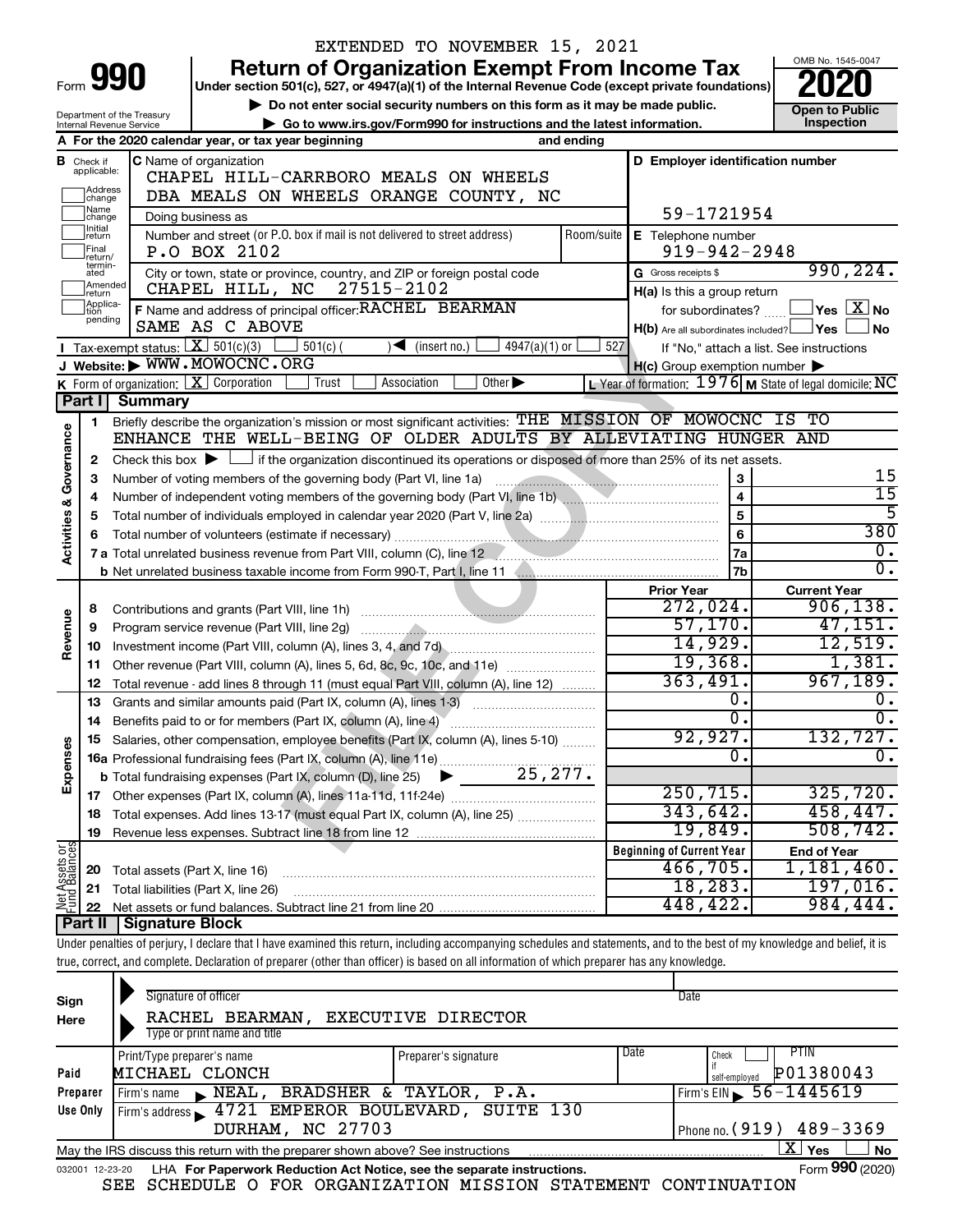|                         |                                  |                                                        | EXTENDED TO NOVEMBER 15, 2021                                                                                                                                              |                                       |            |                                                     |                                                           |
|-------------------------|----------------------------------|--------------------------------------------------------|----------------------------------------------------------------------------------------------------------------------------------------------------------------------------|---------------------------------------|------------|-----------------------------------------------------|-----------------------------------------------------------|
|                         |                                  |                                                        | <b>Return of Organization Exempt From Income Tax</b>                                                                                                                       |                                       |            |                                                     | OMB No. 1545-0047                                         |
|                         |                                  | Form 990                                               | Under section 501(c), 527, or 4947(a)(1) of the Internal Revenue Code (except private foundations)                                                                         |                                       |            |                                                     |                                                           |
|                         |                                  |                                                        | Do not enter social security numbers on this form as it may be made public.                                                                                                |                                       |            |                                                     | <b>Open to Public</b>                                     |
|                         |                                  | Department of the Treasury<br>Internal Revenue Service | Go to www.irs.gov/Form990 for instructions and the latest information.                                                                                                     |                                       |            |                                                     | <b>Inspection</b>                                         |
|                         |                                  |                                                        | A For the 2020 calendar year, or tax year beginning                                                                                                                        |                                       | and ending |                                                     |                                                           |
|                         | <b>B</b> Check if<br>applicable: |                                                        | C Name of organization                                                                                                                                                     |                                       |            | D Employer identification number                    |                                                           |
|                         |                                  |                                                        | CHAPEL HILL-CARRBORO MEALS ON WHEELS                                                                                                                                       |                                       |            |                                                     |                                                           |
|                         | Address<br>change<br>1Name       |                                                        | DBA MEALS ON WHEELS ORANGE COUNTY, NC                                                                                                                                      |                                       |            |                                                     |                                                           |
|                         | change<br>1Initial               |                                                        | Doing business as                                                                                                                                                          |                                       |            | 59-1721954                                          |                                                           |
|                         | return                           |                                                        | Number and street (or P.O. box if mail is not delivered to street address)                                                                                                 |                                       | Room/suite | E Telephone number                                  |                                                           |
|                         | Final<br>lreturn/<br>termin-     |                                                        | P.O BOX 2102                                                                                                                                                               |                                       |            | $919 - 942 - 2948$                                  |                                                           |
|                         | ated<br>Amended                  |                                                        | City or town, state or province, country, and ZIP or foreign postal code                                                                                                   |                                       |            | G Gross receipts \$                                 | 990, 224.                                                 |
|                         | Ireturn<br>Applica-              |                                                        | CHAPEL HILL, NC 27515-2102                                                                                                                                                 |                                       |            | H(a) Is this a group return                         |                                                           |
|                         | tion<br>pending                  |                                                        | F Name and address of principal officer: RACHEL BEARMAN<br>SAME AS C ABOVE                                                                                                 |                                       |            | for subordinates?                                   | $\Box$ Yes $\Box$ X $\Box$ No                             |
|                         |                                  | Tax-exempt status: $X \over 301(c)(3)$                 | $501(c)$ (<br>$\sqrt{\frac{1}{1}}$ (insert no.)                                                                                                                            | $4947(a)(1)$ or                       | 527        | $H(b)$ Are all subordinates included? $\Box$ Yes    | ∫No                                                       |
|                         |                                  |                                                        | J Website: WWW.MOWOCNC.ORG                                                                                                                                                 |                                       |            | $H(c)$ Group exemption number $\blacktriangleright$ | If "No," attach a list. See instructions                  |
|                         |                                  |                                                        | <b>K</b> Form of organization: $\boxed{\mathbf{X}}$ Corporation<br>Trust<br>Association                                                                                    | Other $\blacktriangleright$           |            |                                                     | L Year of formation: $1976$ M State of legal domicile: NC |
|                         | <b>Part II</b>                   | <b>Summary</b>                                         |                                                                                                                                                                            |                                       |            |                                                     |                                                           |
|                         | 1                                |                                                        | Briefly describe the organization's mission or most significant activities: THE MISSION OF MOWOCNC IS TO                                                                   |                                       |            |                                                     |                                                           |
| Governance              |                                  |                                                        | ENHANCE THE WELL-BEING OF OLDER ADULTS BY ALLEVIATING HUNGER AND                                                                                                           |                                       |            |                                                     |                                                           |
|                         | 2                                |                                                        | Check this box $\blacktriangleright$ $\Box$ if the organization discontinued its operations or disposed of more than 25% of its net assets.                                |                                       |            |                                                     |                                                           |
|                         | З                                |                                                        | Number of voting members of the governing body (Part VI, line 1a)                                                                                                          |                                       |            | 3                                                   | 15                                                        |
|                         | 4                                |                                                        |                                                                                                                                                                            |                                       |            | $\overline{\mathbf{4}}$                             | 15                                                        |
|                         | 5                                |                                                        |                                                                                                                                                                            |                                       |            | 5                                                   | 5                                                         |
|                         | 6                                |                                                        |                                                                                                                                                                            |                                       |            | 6                                                   | 380                                                       |
| <b>Activities &amp;</b> |                                  |                                                        |                                                                                                                                                                            |                                       |            | <b>7a</b>                                           | $\overline{0}$ .                                          |
|                         |                                  |                                                        |                                                                                                                                                                            |                                       |            | 7 <sub>b</sub>                                      | $\overline{0}$ .                                          |
|                         |                                  |                                                        |                                                                                                                                                                            |                                       |            | <b>Prior Year</b>                                   | <b>Current Year</b>                                       |
|                         | 8                                |                                                        |                                                                                                                                                                            |                                       |            | 272,024.                                            | 906, 138.                                                 |
| Revenue                 | 9                                |                                                        |                                                                                                                                                                            |                                       |            | 57, 170.                                            | 47, 151.                                                  |
|                         | 10                               |                                                        |                                                                                                                                                                            |                                       |            | 14,929.                                             | 12,519.                                                   |
|                         | 11                               |                                                        | Other revenue (Part VIII, column (A), lines 5, 6d, 8c, 9c, 10c, and 11e)                                                                                                   |                                       |            | 19,368.<br>363,491.                                 | 1,381.<br>967,189.                                        |
|                         | 12                               |                                                        | Total revenue - add lines 8 through 11 (must equal Part VIII, column (A), line 12)                                                                                         |                                       |            | О.                                                  | 0.                                                        |
|                         | 13                               |                                                        | Grants and similar amounts paid (Part IX, column (A), lines 1-3)                                                                                                           | <u> 1986 - Jan Barbarat, martin a</u> |            | σ.                                                  | σ.                                                        |
|                         | 14                               |                                                        | Benefits paid to or for members (Part IX, column (A), line 4)                                                                                                              |                                       |            | 92,927.                                             | 132,727.                                                  |
| Expenses                |                                  |                                                        | 15 Salaries, other compensation, employee benefits (Part IX, column (A), lines 5-10)                                                                                       |                                       |            | 0                                                   | 0.                                                        |
|                         |                                  |                                                        |                                                                                                                                                                            |                                       |            |                                                     |                                                           |
|                         |                                  |                                                        |                                                                                                                                                                            |                                       |            | 250, 715.                                           | 325,720.                                                  |
|                         | 18                               |                                                        | Total expenses. Add lines 13-17 (must equal Part IX, column (A), line 25)                                                                                                  |                                       |            | 343,642.                                            | 458, 447.                                                 |
|                         | 19                               |                                                        |                                                                                                                                                                            |                                       |            | 19,849.                                             | 508, 742.                                                 |
| Net Assets or           |                                  |                                                        |                                                                                                                                                                            |                                       |            | <b>Beginning of Current Year</b>                    | <b>End of Year</b>                                        |
|                         | 20                               | Total assets (Part X, line 16)                         |                                                                                                                                                                            |                                       |            | 466,705.                                            | 1,181,460.                                                |
|                         | 21                               |                                                        | Total liabilities (Part X, line 26)                                                                                                                                        |                                       |            | 18,283.                                             | 197,016.                                                  |
|                         | 22                               |                                                        |                                                                                                                                                                            |                                       |            | 448,422.                                            | 984,444.                                                  |
|                         |                                  | <b>Part II   Signature Block</b>                       |                                                                                                                                                                            |                                       |            |                                                     |                                                           |
|                         |                                  |                                                        | Under penalties of perjury, I declare that I have examined this return, including accompanying schedules and statements, and to the best of my knowledge and belief, it is |                                       |            |                                                     |                                                           |
|                         |                                  |                                                        | true, correct, and complete. Declaration of preparer (other than officer) is based on all information of which preparer has any knowledge.                                 |                                       |            |                                                     |                                                           |
|                         |                                  |                                                        |                                                                                                                                                                            |                                       |            |                                                     |                                                           |
| Sign                    |                                  |                                                        | Signature of officer                                                                                                                                                       |                                       |            | Date                                                |                                                           |
| Here                    |                                  |                                                        | <b>EXECUTIVE DIRECTOR</b><br>RACHEL BEARMAN,                                                                                                                               |                                       |            |                                                     |                                                           |
|                         |                                  |                                                        | Type or print name and title                                                                                                                                               |                                       |            |                                                     |                                                           |

|          | Print/Type preparer's name                                                      | Preparer's signature | Date | PTIN<br>Check                    |
|----------|---------------------------------------------------------------------------------|----------------------|------|----------------------------------|
| Paid     | MICHAEL CLONCH                                                                  |                      |      | P01380043<br>self-emploved       |
| Preparer | NEAL, BRADSHER & TAYLOR, P.A.<br>Firm's name                                    |                      |      | $1$ Firm's EIN $\, 56 - 1445619$ |
| Use Only | Firm's address 1721 EMPEROR BOULEVARD, SUITE 130                                |                      |      |                                  |
|          | DURHAM, NC 27703                                                                |                      |      | Phone no. (919) 489-3369         |
|          | May the IRS discuss this return with the preparer shown above? See instructions |                      |      | No<br>Yes                        |
|          |                                                                                 |                      |      | $\sim$                           |

|  |  | 032001 12-23-20 LHA For Paperwork Reduction Act Notice, see the separate instructions. |  | Form 990 (2020) |
|--|--|----------------------------------------------------------------------------------------|--|-----------------|
|  |  | SEE SCHEDULE O FOR ORGANIZATION MISSION STATEMENT CONTINUATION                         |  |                 |

Form **990** (2020)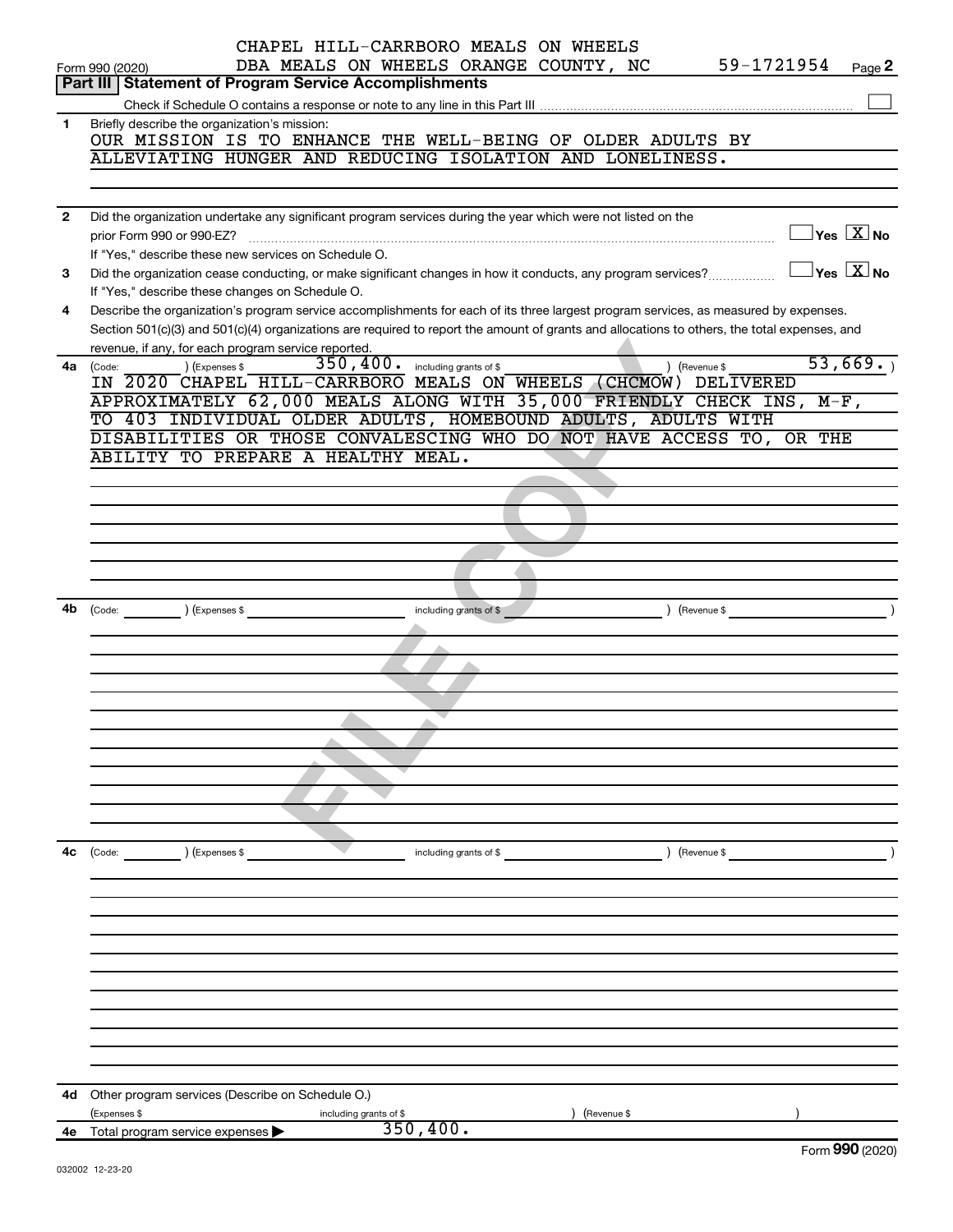|              | CHAPEL HILL-CARRBORO MEALS ON WHEELS<br>59-1721954<br>DBA MEALS ON WHEELS ORANGE COUNTY, NC                                                                                                         |
|--------------|-----------------------------------------------------------------------------------------------------------------------------------------------------------------------------------------------------|
|              | Page 2<br>Form 990 (2020)<br><b>Part III   Statement of Program Service Accomplishments</b>                                                                                                         |
|              |                                                                                                                                                                                                     |
| 1            | Briefly describe the organization's mission:                                                                                                                                                        |
|              | OUR MISSION IS TO ENHANCE THE WELL-BEING OF OLDER ADULTS BY                                                                                                                                         |
|              | ALLEVIATING HUNGER AND REDUCING ISOLATION AND LONELINESS.                                                                                                                                           |
|              |                                                                                                                                                                                                     |
|              |                                                                                                                                                                                                     |
| $\mathbf{2}$ | Did the organization undertake any significant program services during the year which were not listed on the                                                                                        |
|              | $\Box$ Yes $[\overline{\mathrm{X}}]$ No<br>prior Form 990 or 990-EZ?                                                                                                                                |
|              | If "Yes," describe these new services on Schedule O.<br>$\Box$ Yes $\boxed{\mathrm{X}}$ No                                                                                                          |
| 3            | Did the organization cease conducting, or make significant changes in how it conducts, any program services?                                                                                        |
|              | If "Yes," describe these changes on Schedule O.                                                                                                                                                     |
| 4            | Describe the organization's program service accomplishments for each of its three largest program services, as measured by expenses.                                                                |
|              | Section 501(c)(3) and 501(c)(4) organizations are required to report the amount of grants and allocations to others, the total expenses, and<br>revenue, if any, for each program service reported. |
| 4a           | 53,669.<br>$\overline{350}$ , $400$ . including grants of \$<br>) (Expenses \$<br>) (Revenue \$                                                                                                     |
|              | (Code:<br>IN 2020 CHAPEL HILL-CARRBORO MEALS ON WHEELS (CHCMOW) DELIVERED                                                                                                                           |
|              | APPROXIMATELY 62,000 MEALS ALONG WITH 35,000 FRIENDLY CHECK INS, M-F,                                                                                                                               |
|              | TO 403 INDIVIDUAL OLDER ADULTS, HOMEBOUND ADULTS, ADULTS WITH                                                                                                                                       |
|              | DISABILITIES OR THOSE CONVALESCING WHO DO NOT HAVE ACCESS TO, OR THE                                                                                                                                |
|              | ABILITY TO PREPARE A HEALTHY MEAL.                                                                                                                                                                  |
|              |                                                                                                                                                                                                     |
|              |                                                                                                                                                                                                     |
|              |                                                                                                                                                                                                     |
|              |                                                                                                                                                                                                     |
|              |                                                                                                                                                                                                     |
|              |                                                                                                                                                                                                     |
|              |                                                                                                                                                                                                     |
|              | $\begin{pmatrix} \text{Code:} \\ \end{pmatrix}$ $\begin{pmatrix} \text{Expenses $} \\ \end{pmatrix}$<br>$\sqrt{$ (Revenue \$<br>including grants of \$                                              |
|              |                                                                                                                                                                                                     |
|              |                                                                                                                                                                                                     |
|              |                                                                                                                                                                                                     |
|              |                                                                                                                                                                                                     |
|              |                                                                                                                                                                                                     |
|              |                                                                                                                                                                                                     |
|              |                                                                                                                                                                                                     |
|              |                                                                                                                                                                                                     |
|              |                                                                                                                                                                                                     |
|              |                                                                                                                                                                                                     |
|              |                                                                                                                                                                                                     |
| 4c           | ) (Expenses \$<br>(Code:<br>) (Revenue \$<br>including grants of \$                                                                                                                                 |
|              |                                                                                                                                                                                                     |
|              |                                                                                                                                                                                                     |
|              |                                                                                                                                                                                                     |
|              |                                                                                                                                                                                                     |
|              |                                                                                                                                                                                                     |
|              |                                                                                                                                                                                                     |
|              |                                                                                                                                                                                                     |
|              |                                                                                                                                                                                                     |
|              |                                                                                                                                                                                                     |
|              |                                                                                                                                                                                                     |
|              |                                                                                                                                                                                                     |
|              |                                                                                                                                                                                                     |
| 4d -         | Other program services (Describe on Schedule O.)                                                                                                                                                    |
|              | (Expenses \$<br>(Revenue \$<br>including grants of \$<br>350, 400.                                                                                                                                  |
| 4е           | Total program service expenses<br>Form 990 (2020)                                                                                                                                                   |
|              | 032002 12-23-20                                                                                                                                                                                     |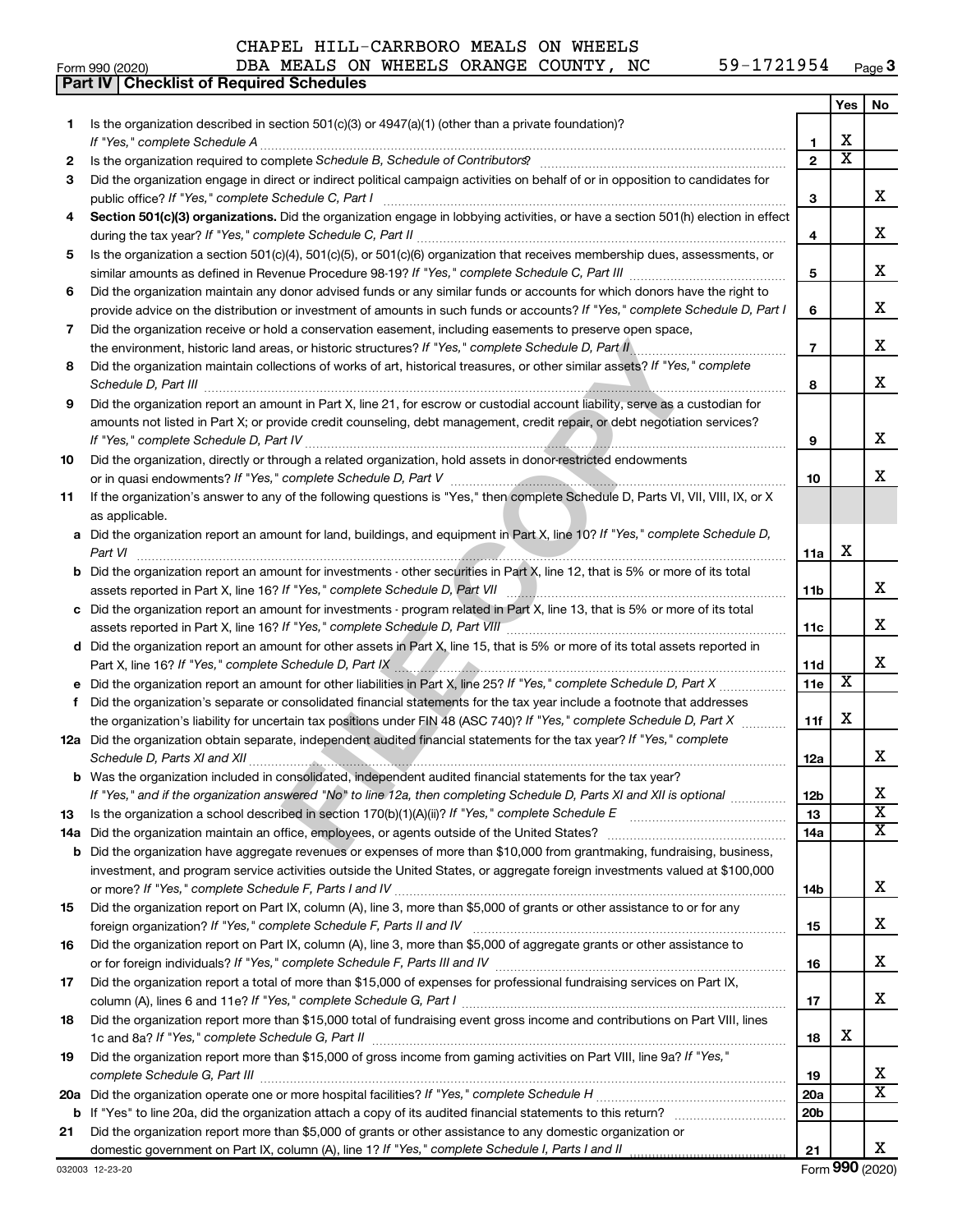#### Form 990 (2020) DBA MEALS ON WHEELS ORANGE COUNTY, NC  $59-1721954$   $_{\rm Page}$ **Part IV Checklist of Required Schedules**

|          | DBA MEALS ON WHEELS ORANGE COUNTY, NC<br>59-1721954<br>Form 990 (2020)                                                                                                                                                                             |                 |                         | Page 3                  |
|----------|----------------------------------------------------------------------------------------------------------------------------------------------------------------------------------------------------------------------------------------------------|-----------------|-------------------------|-------------------------|
|          | <b>Part IV   Checklist of Required Schedules</b>                                                                                                                                                                                                   |                 |                         |                         |
| 1.       | Is the organization described in section $501(c)(3)$ or $4947(a)(1)$ (other than a private foundation)?                                                                                                                                            |                 | Yes                     | No                      |
|          | If "Yes," complete Schedule A                                                                                                                                                                                                                      | 1               | x                       |                         |
| 2        |                                                                                                                                                                                                                                                    | $\overline{2}$  | $\overline{\textbf{x}}$ |                         |
| 3        | Did the organization engage in direct or indirect political campaign activities on behalf of or in opposition to candidates for                                                                                                                    |                 |                         |                         |
|          | public office? If "Yes," complete Schedule C, Part I                                                                                                                                                                                               | З               |                         | X.                      |
| 4        | Section 501(c)(3) organizations. Did the organization engage in lobbying activities, or have a section 501(h) election in effect                                                                                                                   |                 |                         |                         |
|          |                                                                                                                                                                                                                                                    | 4               |                         | x                       |
| 5.       | Is the organization a section 501(c)(4), 501(c)(5), or 501(c)(6) organization that receives membership dues, assessments, or                                                                                                                       | 5               |                         | x                       |
| 6        | Did the organization maintain any donor advised funds or any similar funds or accounts for which donors have the right to                                                                                                                          |                 |                         |                         |
|          | provide advice on the distribution or investment of amounts in such funds or accounts? If "Yes," complete Schedule D, Part I                                                                                                                       | 6               |                         | x                       |
| 7        | Did the organization receive or hold a conservation easement, including easements to preserve open space,                                                                                                                                          |                 |                         |                         |
|          | .                                                                                                                                                                                                                                                  | $\overline{7}$  |                         | x                       |
| 8        | Did the organization maintain collections of works of art, historical treasures, or other similar assets? If "Yes," complete                                                                                                                       | 8               |                         | x                       |
| 9        | Did the organization report an amount in Part X, line 21, for escrow or custodial account liability, serve as a custodian for                                                                                                                      |                 |                         |                         |
|          | amounts not listed in Part X; or provide credit counseling, debt management, credit repair, or debt negotiation services?                                                                                                                          |                 |                         |                         |
|          |                                                                                                                                                                                                                                                    | 9               |                         | x                       |
| 10       | Did the organization, directly or through a related organization, hold assets in donor-restricted endowments                                                                                                                                       | 10              |                         | x                       |
| 11       | If the organization's answer to any of the following questions is "Yes," then complete Schedule D, Parts VI, VII, VIII, IX, or X                                                                                                                   |                 |                         |                         |
|          | as applicable.                                                                                                                                                                                                                                     |                 |                         |                         |
|          | a Did the organization report an amount for land, buildings, and equipment in Part X, line 10? If "Yes," complete Schedule D,                                                                                                                      |                 |                         |                         |
|          |                                                                                                                                                                                                                                                    | 11a             | х                       |                         |
|          | <b>b</b> Did the organization report an amount for investments - other securities in Part X, line 12, that is 5% or more of its total                                                                                                              |                 |                         |                         |
|          |                                                                                                                                                                                                                                                    | 11 <sub>b</sub> |                         | x                       |
|          | c Did the organization report an amount for investments - program related in Part X, line 13, that is 5% or more of its total                                                                                                                      | 11c             |                         | x                       |
|          | assets reported in Part X, line 16? If "Yes," complete Schedule D, Part VIII [[[[[[[[[[[[[[[[[[[[[[[[[[[[[[[[<br>d Did the organization report an amount for other assets in Part X, line 15, that is 5% or more of its total assets reported in   |                 |                         |                         |
|          | Part X, line 16? If "Yes," complete Schedule D, Part IX [2010] [2010] [2010] [2010] [2010] [2010] [2010] [2010                                                                                                                                     | 11d             |                         | x                       |
|          |                                                                                                                                                                                                                                                    | 11e             | x                       |                         |
| f        | Did the organization's separate or consolidated financial statements for the tax year include a footnote that addresses                                                                                                                            |                 |                         |                         |
|          | the organization's liability for uncertain tax positions under FIN 48 (ASC 740)? If "Yes," complete Schedule D, Part X                                                                                                                             | 11f             | x                       |                         |
|          | 12a Did the organization obtain separate, independent audited financial statements for the tax year? If "Yes," complete<br>Schedule D, Parts XI and XII <b>measures and Construction Construction</b> Construction Construction Construction Const | 12a             |                         |                         |
|          | <b>b</b> Was the organization included in consolidated, independent audited financial statements for the tax year?                                                                                                                                 |                 |                         |                         |
|          | If "Yes," and if the organization answered "No" to line 12a, then completing Schedule D, Parts XI and XII is optional <i>manimum</i>                                                                                                               | <b>12b</b>      |                         | х<br>X                  |
| 13       |                                                                                                                                                                                                                                                    | 13<br>14a       |                         | $\overline{X}$          |
| 14a<br>b | Did the organization have aggregate revenues or expenses of more than \$10,000 from grantmaking, fundraising, business,                                                                                                                            |                 |                         |                         |
|          | investment, and program service activities outside the United States, or aggregate foreign investments valued at \$100,000                                                                                                                         |                 |                         |                         |
|          |                                                                                                                                                                                                                                                    | 14b             |                         | х                       |
| 15       | Did the organization report on Part IX, column (A), line 3, more than \$5,000 of grants or other assistance to or for any                                                                                                                          |                 |                         |                         |
|          |                                                                                                                                                                                                                                                    | 15              |                         | x                       |
| 16       | Did the organization report on Part IX, column (A), line 3, more than \$5,000 of aggregate grants or other assistance to                                                                                                                           |                 |                         |                         |
|          |                                                                                                                                                                                                                                                    | 16              |                         | х                       |
| 17       | Did the organization report a total of more than \$15,000 of expenses for professional fundraising services on Part IX,                                                                                                                            | 17              |                         | x                       |
| 18       | Did the organization report more than \$15,000 total of fundraising event gross income and contributions on Part VIII, lines                                                                                                                       |                 |                         |                         |
|          |                                                                                                                                                                                                                                                    | 18              | х                       |                         |
| 19       | Did the organization report more than \$15,000 of gross income from gaming activities on Part VIII, line 9a? If "Yes,"                                                                                                                             |                 |                         |                         |
|          | complete Schedule G, Part III                                                                                                                                                                                                                      | 19              |                         | x                       |
|          |                                                                                                                                                                                                                                                    | 20a             |                         | $\overline{\mathbf{x}}$ |
|          |                                                                                                                                                                                                                                                    | 20 <sub>b</sub> |                         |                         |
| 21       | Did the organization report more than \$5,000 of grants or other assistance to any domestic organization or                                                                                                                                        | 21              |                         | x                       |
|          | 032003 12-23-20                                                                                                                                                                                                                                    |                 |                         | Form 990 (2020)         |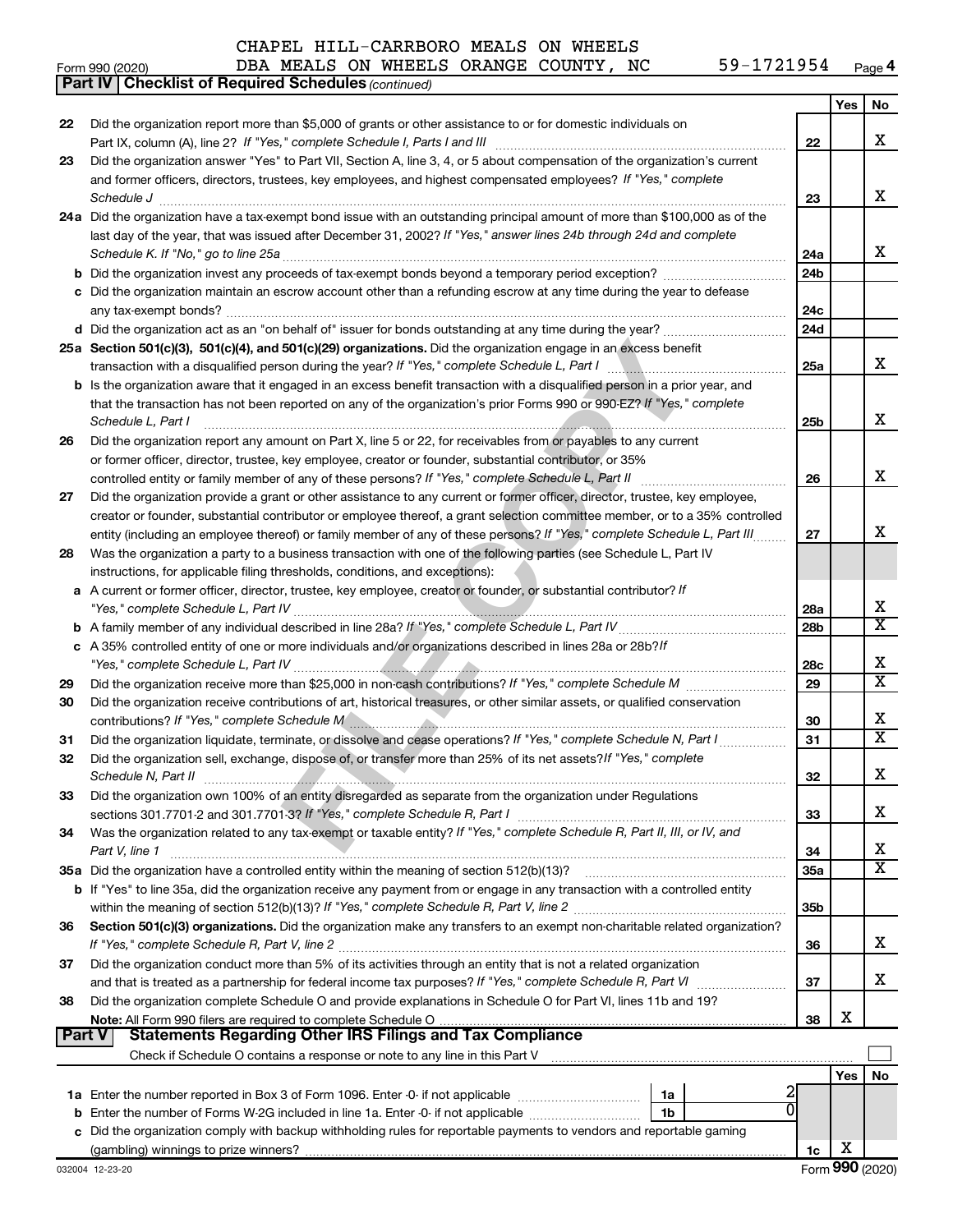#### Form (2020) **4** *(continued)* **Part IV Checklist of Required Schedules Yes No 22** Did the organization report more than \$5,000 of grants or other assistance to or for domestic individuals on х XXXXXXXXXXXXXXXXXXX Part IX, column (A), line 2? If "Yes," complete Schedule I, Parts I and III [11] [12] [12] [12] [12] [12] [12] [ **22 23** Did the organization answer "Yes" to Part VII, Section A, line 3, 4, or 5 about compensation of the organization's current and former officers, directors, trustees, key employees, and highest compensated employees? If "Yes," complete х **23** *Schedule J* ~~~~~~~~~~~~~~~~~~~~~~~~~~~~~~~~~~~~~~~~~~~~~~~~~~~~~~~~ **24** Did the organization have a tax-exempt bond issue with an outstanding principal amount of more than \$100,000 as of the **abcdab** last day of the year, that was issued after December 31, 2002? If "Yes," answer lines 24b through 24d and complete х **24a** *Schedule K. If "No," go to line 25a* ~~~~~~~~~~~~~~~~~~~~~~~~~~~~~~~~~~~~~~~~~~~~~ **24b** Did the organization invest any proceeds of tax-exempt bonds beyond a temporary period exception?  $\ldots$  $\ldots$  $\ldots$  $\ldots$  $\ldots$ Did the organization maintain an escrow account other than a refunding escrow at any time during the year to defease **24c** any tax-exempt bonds? ~~~~~~~~~~~~~~~~~~~~~~~~~~~~~~~~~~~~~~~~~~~~~~~~~~ **24d** Did the organization act as an "on behalf of" issuer for bonds outstanding at any time during the year? ~~~~~~~~~~~ **FILE COPY 25 Section 501(c)(3), 501(c)(4), and 501(c)(29) organizations.**  Did the organization engage in an excess benefit **25a** х *If "Yes," complete Schedule L, Part I* transaction with a disqualified person during the year? ~~~~~~~~~~~~~~~~ **b** Is the organization aware that it engaged in an excess benefit transaction with a disqualified person in a prior year, and that the transaction has not been reported on any of the organization's prior Forms 990 or 990-EZ? If "Yes," complete X *Schedule L, Part I* **25b** ~~~~~~~~~~~~~~~~~~~~~~~~~~~~~~~~~~~~~~~~~~~~~~~~~~~~ Did the organization report any amount on Part X, line 5 or 22, for receivables from or payables to any current **26** or former officer, director, trustee, key employee, creator or founder, substantial contributor, or 35% x **26** controlled entity or family member of any of these persons? If "Yes," complete Schedule L, Part II [11] [11] [1 Did the organization provide a grant or other assistance to any current or former officer, director, trustee, key employee, **27** creator or founder, substantial contributor or employee thereof, a grant selection committee member, or to a 35% controlled X **27** entity (including an employee thereof) or family member of any of these persons? If "Yes," complete Schedule L, Part III......... **28** Was the organization a party to a business transaction with one of the following parties (see Schedule L, Part IV instructions, for applicable filing thresholds, conditions, and exceptions): A current or former officer, director, trustee, key employee, creator or founder, or substantial contributor? If **abcab** Х *"Yes," complete Schedule L, Part IV* ~~~~~~~~~~~~~~~~~~~~~~~~~~~~~~~~~~~~~~~~~~~~ **28a**  $\overline{\texttt{x}}$ **28b** *If "Yes," complete Schedule L, Part IV* A family member of any individual described in line 28a? ~~~~~~~~~~~~~~~ A 35% controlled entity of one or more individuals and/or organizations described in lines 28a or 28b?*If* х **28c** *"Yes," complete Schedule L, Part IV* ~~~~~~~~~~~~~~~~~~~~~~~~~~~~~~~~~~~~~~~~~~~~  $\overline{\texttt{x}}$ **29** *If "Yes," complete Schedule M* Did the organization receive more than \$25,000 in non-cash contributions? ~~~~~~~~~ **29** Did the organization receive contributions of art, historical treasures, or other similar assets, or qualified conservation **30** х **30** *If "Yes," complete Schedule M* contributions? ~~~~~~~~~~~~~~~~~~~~~~~~~~~~~~~~~~~~~~~  $\overline{\texttt{x}}$ **31** Did the organization liquidate, terminate, or dissolve and cease operations? If "Yes," complete Schedule N, Part I **31 32** Did the organization sell, exchange, dispose of, or transfer more than 25% of its net assets?*If "Yes," complete* **32** х *Schedule N, Part II* ~~~~~~~~~~~~~~~~~~~~~~~~~~~~~~~~~~~~~~~~~~~~~~~~~~~~ **33** Did the organization own 100% of an entity disregarded as separate from the organization under Regulations X **33** *If "Yes," complete Schedule R, Part I* sections 301.7701-2 and 301.7701-3? ~~~~~~~~~~~~~~~~~~~~~~~~ **34** Was the organization related to any tax-exempt or taxable entity? If "Yes," complete Schedule R, Part II, III, or IV, and х *Part V, line 1* **34** ~~~~~~~~~~~~~~~~~~~~~~~~~~~~~~~~~~~~~~~~~~~~~~~~~~~~~~~  $\overline{\texttt{x}}$ **35a 35** Did the organization have a controlled entity within the meaning of section 512(b)(13)? ~~~~~~~~~~~~~~~~~~ **b** If "Yes" to line 35a, did the organization receive any payment from or engage in any transaction with a controlled entity **35b** *If "Yes," complete Schedule R, Part V, line 2* within the meaning of section 512(b)(13)? ~~~~~~~~~~~~~~~~~~~ 36 Section 501(c)(3) organizations. Did the organization make any transfers to an exempt non-charitable related organization? X *If "Yes," complete Schedule R, Part V, line 2* **36** ~~~~~~~~~~~~~~~~~~~~~~~~~~~~~~~~~~~~~~~~ Did the organization conduct more than 5% of its activities through an entity that is not a related organization **37 37** x and that is treated as a partnership for federal income tax purposes? If "Yes," complete Schedule R, Part VI medi **38** Did the organization complete Schedule O and provide explanations in Schedule O for Part VI, lines 11b and 19? X **38 Note:**  All Form 990 filers are required to complete Schedule O **Part V** Statements Regarding Other IRS Filings and Tax Compliance Check if Schedule O contains a response or note to any line in this Part V  $\Box$ **Yes No** 2<br>0 **1a 1a** Enter the number reported in Box 3 of Form 1096. Enter -0- if not applicable .............................. **abc b** Enter the number of Forms W-2G included in line 1a. Enter -0- if not applicable  $\ldots$  $\ldots$  $\ldots$  $\ldots$  $\ldots$ **1b** Did the organization comply with backup withholding rules for reportable payments to vendors and reportable gaming

(gambling) winnings to prize winners?

**1c**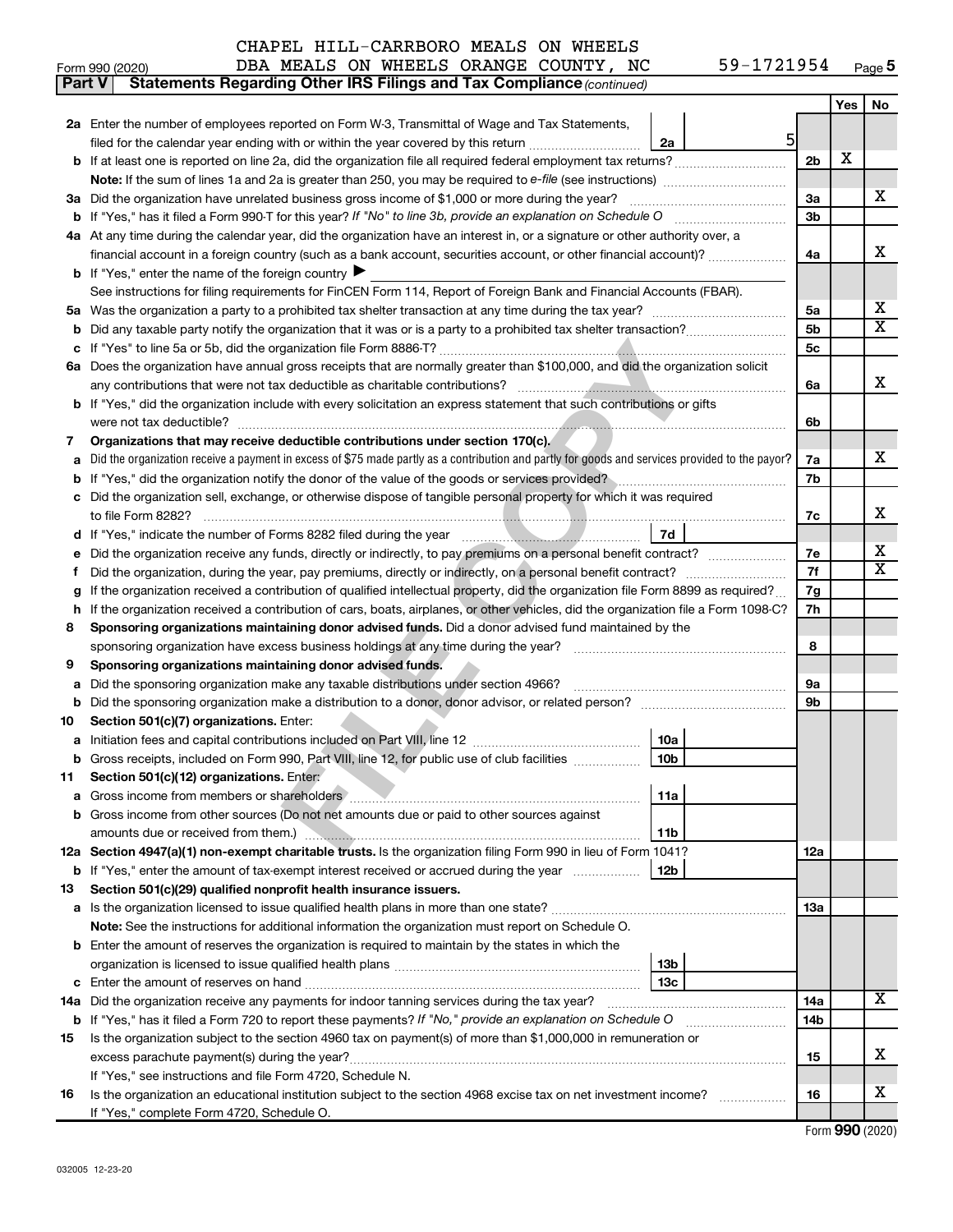| Form 990 (2020) |  |  |  |  |  |  | DBA MEALS ON WHEELS ORANGE COUNTY, NC |  | 59-1721954 | Page 5 |
|-----------------|--|--|--|--|--|--|---------------------------------------|--|------------|--------|
|-----------------|--|--|--|--|--|--|---------------------------------------|--|------------|--------|

| Part V | <b>Statements Regarding Other IRS Filings and Tax Compliance (continued)</b>                                                                    |                 |                 |     |                         |  |  |  |  |
|--------|-------------------------------------------------------------------------------------------------------------------------------------------------|-----------------|-----------------|-----|-------------------------|--|--|--|--|
|        |                                                                                                                                                 |                 |                 | Yes | No                      |  |  |  |  |
|        | 2a Enter the number of employees reported on Form W-3, Transmittal of Wage and Tax Statements,                                                  |                 |                 |     |                         |  |  |  |  |
|        | filed for the calendar year ending with or within the year covered by this return                                                               | 51<br>2a        |                 |     |                         |  |  |  |  |
|        |                                                                                                                                                 |                 | 2 <sub>b</sub>  | X   |                         |  |  |  |  |
|        |                                                                                                                                                 |                 |                 |     |                         |  |  |  |  |
| За     | Did the organization have unrelated business gross income of \$1,000 or more during the year?                                                   |                 |                 |     |                         |  |  |  |  |
| b      |                                                                                                                                                 |                 |                 |     |                         |  |  |  |  |
|        | 4a At any time during the calendar year, did the organization have an interest in, or a signature or other authority over, a                    |                 |                 |     |                         |  |  |  |  |
|        | financial account in a foreign country (such as a bank account, securities account, or other financial account)?                                |                 | 4a              |     | x                       |  |  |  |  |
|        | <b>b</b> If "Yes," enter the name of the foreign country $\blacktriangleright$                                                                  |                 |                 |     |                         |  |  |  |  |
|        | See instructions for filing requirements for FinCEN Form 114, Report of Foreign Bank and Financial Accounts (FBAR).                             |                 |                 |     |                         |  |  |  |  |
| 5a     |                                                                                                                                                 |                 | 5a              |     | x                       |  |  |  |  |
| b      |                                                                                                                                                 |                 | 5b              |     | $\overline{\texttt{X}}$ |  |  |  |  |
| с      |                                                                                                                                                 |                 | 5c              |     |                         |  |  |  |  |
| 6а     | Does the organization have annual gross receipts that are normally greater than \$100,000, and did the organization solicit                     |                 |                 |     |                         |  |  |  |  |
|        |                                                                                                                                                 |                 | 6a              |     | х                       |  |  |  |  |
|        | <b>b</b> If "Yes," did the organization include with every solicitation an express statement that such contributions or gifts                   |                 |                 |     |                         |  |  |  |  |
|        |                                                                                                                                                 |                 | 6b              |     |                         |  |  |  |  |
| 7      | Organizations that may receive deductible contributions under section 170(c).                                                                   |                 |                 |     |                         |  |  |  |  |
| а      | Did the organization receive a payment in excess of \$75 made partly as a contribution and partly for goods and services provided to the payor? |                 | 7a              |     | x                       |  |  |  |  |
| b      | If "Yes," did the organization notify the donor of the value of the goods or services provided?                                                 |                 | 7b              |     |                         |  |  |  |  |
| с      | Did the organization sell, exchange, or otherwise dispose of tangible personal property for which it was required                               |                 |                 |     |                         |  |  |  |  |
|        |                                                                                                                                                 |                 | 7c              |     | х                       |  |  |  |  |
|        |                                                                                                                                                 | 7d              |                 |     |                         |  |  |  |  |
| е      | Did the organization receive any funds, directly or indirectly, to pay premiums on a personal benefit contract?                                 |                 | 7е              |     | х                       |  |  |  |  |
| Ť.     |                                                                                                                                                 |                 |                 |     |                         |  |  |  |  |
| g      | If the organization received a contribution of qualified intellectual property, did the organization file Form 8899 as required?                |                 | 7g              |     |                         |  |  |  |  |
| h      | If the organization received a contribution of cars, boats, airplanes, or other vehicles, did the organization file a Form 1098-C?              |                 | 7h              |     |                         |  |  |  |  |
| 8      | Sponsoring organizations maintaining donor advised funds. Did a donor advised fund maintained by the                                            |                 |                 |     |                         |  |  |  |  |
|        | sponsoring organization have excess business holdings at any time during the year?                                                              |                 | 8               |     |                         |  |  |  |  |
| 9      | Sponsoring organizations maintaining donor advised funds.                                                                                       |                 |                 |     |                         |  |  |  |  |
| а      | Did the sponsoring organization make any taxable distributions under section 4966?                                                              |                 | 9а              |     |                         |  |  |  |  |
| b      |                                                                                                                                                 |                 | 9b              |     |                         |  |  |  |  |
| 10     | Section 501(c)(7) organizations. Enter:                                                                                                         |                 |                 |     |                         |  |  |  |  |
| а      |                                                                                                                                                 | 10a             |                 |     |                         |  |  |  |  |
|        | b Gross receipts, included on Form 990, Part VIII, line 12, for public use of club facilities                                                   | 10b             |                 |     |                         |  |  |  |  |
| 11     | Section 501(c)(12) organizations. Enter:                                                                                                        |                 |                 |     |                         |  |  |  |  |
| а      |                                                                                                                                                 | 11a             |                 |     |                         |  |  |  |  |
|        | b Gross income from other sources (Do not net amounts due or paid to other sources against                                                      |                 |                 |     |                         |  |  |  |  |
|        | amounts due or received from them.)                                                                                                             | 11b             |                 |     |                         |  |  |  |  |
|        | 12a Section 4947(a)(1) non-exempt charitable trusts. Is the organization filing Form 990 in lieu of Form 1041?                                  |                 | 12a             |     |                         |  |  |  |  |
|        | <b>b</b> If "Yes," enter the amount of tax-exempt interest received or accrued during the year                                                  | 12 <sub>b</sub> |                 |     |                         |  |  |  |  |
| 13     | Section 501(c)(29) qualified nonprofit health insurance issuers.                                                                                |                 |                 |     |                         |  |  |  |  |
|        | a Is the organization licensed to issue qualified health plans in more than one state?                                                          |                 | 13a             |     |                         |  |  |  |  |
|        | Note: See the instructions for additional information the organization must report on Schedule O.                                               |                 |                 |     |                         |  |  |  |  |
|        | <b>b</b> Enter the amount of reserves the organization is required to maintain by the states in which the                                       |                 |                 |     |                         |  |  |  |  |
|        |                                                                                                                                                 | 13b             |                 |     |                         |  |  |  |  |
| с      |                                                                                                                                                 | 13c             |                 |     |                         |  |  |  |  |
| 14a    | Did the organization receive any payments for indoor tanning services during the tax year?                                                      |                 | 14a             |     | X                       |  |  |  |  |
| b      | If "Yes," has it filed a Form 720 to report these payments? If "No," provide an explanation on Schedule O                                       |                 | 14 <sub>b</sub> |     |                         |  |  |  |  |
| 15     | Is the organization subject to the section 4960 tax on payment(s) of more than \$1,000,000 in remuneration or                                   |                 |                 |     |                         |  |  |  |  |
|        | excess parachute payment(s) during the year?                                                                                                    |                 | 15              |     | х                       |  |  |  |  |
|        | If "Yes," see instructions and file Form 4720, Schedule N.                                                                                      |                 |                 |     |                         |  |  |  |  |
| 16     | Is the organization an educational institution subject to the section 4968 excise tax on net investment income?                                 |                 | 16              |     | x                       |  |  |  |  |
|        | If "Yes," complete Form 4720, Schedule O.                                                                                                       |                 |                 |     |                         |  |  |  |  |
|        |                                                                                                                                                 |                 |                 |     |                         |  |  |  |  |

Form (2020) **990**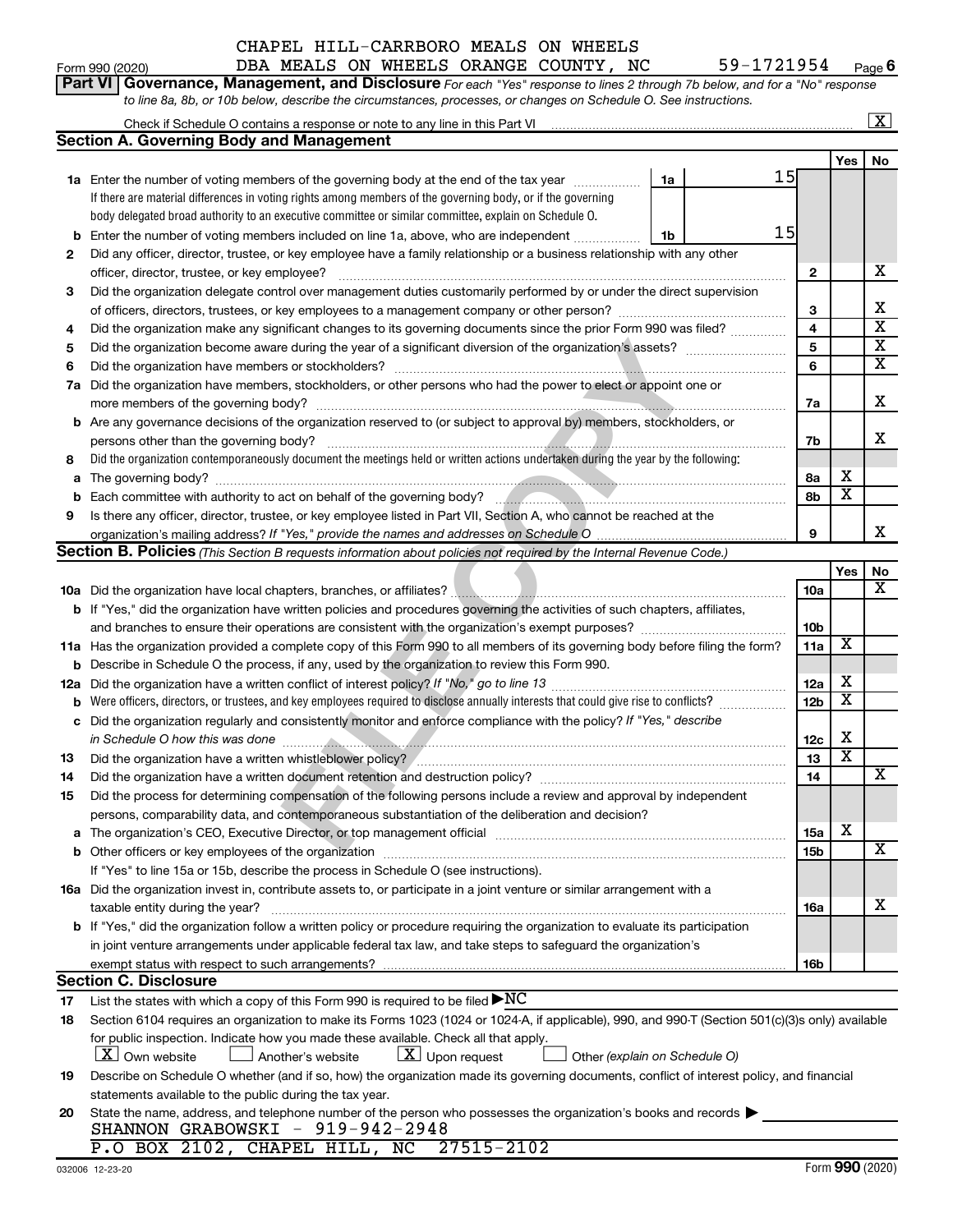| Form 990 (2020) | DBA | <b>MEALS</b> | ON | WHEELS | ORANGE | COUNTY | NC | -aae o |
|-----------------|-----|--------------|----|--------|--------|--------|----|--------|
|                 |     |              |    |        |        |        |    |        |

|             | <b>Part VI Governance, Management, and Disclosure</b> For each "Yes" response to lines 2 through 7b below, and for a "No" response               |              |                         |                         |
|-------------|--------------------------------------------------------------------------------------------------------------------------------------------------|--------------|-------------------------|-------------------------|
|             | to line 8a, 8b, or 10b below, describe the circumstances, processes, or changes on Schedule O. See instructions.                                 |              |                         |                         |
|             |                                                                                                                                                  |              |                         | $\overline{\mathbf{X}}$ |
|             | <b>Section A. Governing Body and Management</b>                                                                                                  |              |                         |                         |
|             |                                                                                                                                                  |              | Yes                     | No                      |
|             | 15<br>1a Enter the number of voting members of the governing body at the end of the tax year<br>1a                                               |              |                         |                         |
|             | If there are material differences in voting rights among members of the governing body, or if the governing                                      |              |                         |                         |
|             | body delegated broad authority to an executive committee or similar committee, explain on Schedule O.                                            |              |                         |                         |
| $\mathbf b$ | 15<br>Enter the number of voting members included on line 1a, above, who are independent<br>1b                                                   |              |                         |                         |
| 2           | Did any officer, director, trustee, or key employee have a family relationship or a business relationship with any other                         |              |                         |                         |
|             | officer, director, trustee, or key employee?                                                                                                     | $\mathbf{2}$ |                         | х                       |
| 3           | Did the organization delegate control over management duties customarily performed by or under the direct supervision                            |              |                         |                         |
|             |                                                                                                                                                  | 3            |                         | х                       |
| 4           | Did the organization make any significant changes to its governing documents since the prior Form 990 was filed?                                 | 4            |                         | $\overline{\textbf{x}}$ |
| 5           |                                                                                                                                                  | 5            |                         | $\overline{\mathbf{x}}$ |
| 6           |                                                                                                                                                  | 6            |                         | $\overline{\textbf{x}}$ |
| 7a          | Did the organization have members, stockholders, or other persons who had the power to elect or appoint one or                                   |              |                         |                         |
|             |                                                                                                                                                  | 7a           |                         | X                       |
| b           | Are any governance decisions of the organization reserved to (or subject to approval by) members, stockholders, or                               |              |                         |                         |
|             | persons other than the governing body?                                                                                                           | 7b           |                         | х                       |
| 8           | Did the organization contemporaneously document the meetings held or written actions undertaken during the year by the following:                |              |                         |                         |
| a           |                                                                                                                                                  | 8а           | х                       |                         |
| $\mathbf b$ |                                                                                                                                                  | 8b           | $\overline{\textbf{x}}$ |                         |
| 9           | Is there any officer, director, trustee, or key employee listed in Part VII, Section A, who cannot be reached at the                             |              |                         |                         |
|             |                                                                                                                                                  | 9            |                         | х                       |
|             | Section B. Policies (This Section B requests information about policies not required by the Internal Revenue Code.)                              |              |                         |                         |
|             |                                                                                                                                                  |              | Yes                     | No                      |
|             |                                                                                                                                                  | 10a          |                         | х                       |
|             | b If "Yes," did the organization have written policies and procedures governing the activities of such chapters, affiliates,                     |              |                         |                         |
|             |                                                                                                                                                  | 10b          |                         |                         |
|             | 11a Has the organization provided a complete copy of this Form 990 to all members of its governing body before filing the form?                  | 11a          | X                       |                         |
| b           | Describe in Schedule O the process, if any, used by the organization to review this Form 990.                                                    |              |                         |                         |
| 12a         |                                                                                                                                                  | 12a          | X                       |                         |
| b           | Were officers, directors, or trustees, and key employees required to disclose annually interests that could give rise to conflicts?              | 12b          | $\overline{\textbf{x}}$ |                         |
| с           | Did the organization regularly and consistently monitor and enforce compliance with the policy? If "Yes," describe                               |              |                         |                         |
|             |                                                                                                                                                  | 12c          | х                       |                         |
| 13          |                                                                                                                                                  | 13           | $\overline{\textbf{x}}$ |                         |
| 14          | Did the organization have a written document retention and destruction policy? [11] manufaction manufaction in                                   | 14           |                         | Χ                       |
| 15          | Did the process for determining compensation of the following persons include a review and approval by independent                               |              |                         |                         |
|             | persons, comparability data, and contemporaneous substantiation of the deliberation and decision?                                                |              | X                       |                         |
| a           |                                                                                                                                                  | 15a          |                         |                         |
|             |                                                                                                                                                  | 15b          |                         | X                       |
|             | If "Yes" to line 15a or 15b, describe the process in Schedule O (see instructions).                                                              |              |                         |                         |
|             | 16a Did the organization invest in, contribute assets to, or participate in a joint venture or similar arrangement with a                        |              |                         | х                       |
|             | taxable entity during the year?                                                                                                                  | 16a          |                         |                         |
|             | b If "Yes," did the organization follow a written policy or procedure requiring the organization to evaluate its participation                   |              |                         |                         |
|             | in joint venture arrangements under applicable federal tax law, and take steps to safeguard the organization's                                   |              |                         |                         |
|             | exempt status with respect to such arrangements?<br><b>Section C. Disclosure</b>                                                                 | 16b          |                         |                         |
| 17          | List the states with which a copy of this Form 990 is required to be filed $\blacktriangleright NC$                                              |              |                         |                         |
| 18          | Section 6104 requires an organization to make its Forms 1023 (1024 or 1024-A, if applicable), 990, and 990-T (Section 501(c)(3)s only) available |              |                         |                         |
|             | for public inspection. Indicate how you made these available. Check all that apply.                                                              |              |                         |                         |
|             | $\lfloor X \rfloor$ Own website<br>$\lfloor \underline{X} \rfloor$ Upon request<br>$\Box$ Another's website<br>Other (explain on Schedule O)     |              |                         |                         |
| 19          | Describe on Schedule O whether (and if so, how) the organization made its governing documents, conflict of interest policy, and financial        |              |                         |                         |
|             | statements available to the public during the tax year.                                                                                          |              |                         |                         |
| 20          | State the name, address, and telephone number of the person who possesses the organization's books and records                                   |              |                         |                         |
|             | SHANNON GRABOWSKI - 919-942-2948                                                                                                                 |              |                         |                         |
|             | P.O BOX 2102, CHAPEL HILL, NC 27515-2102                                                                                                         |              |                         |                         |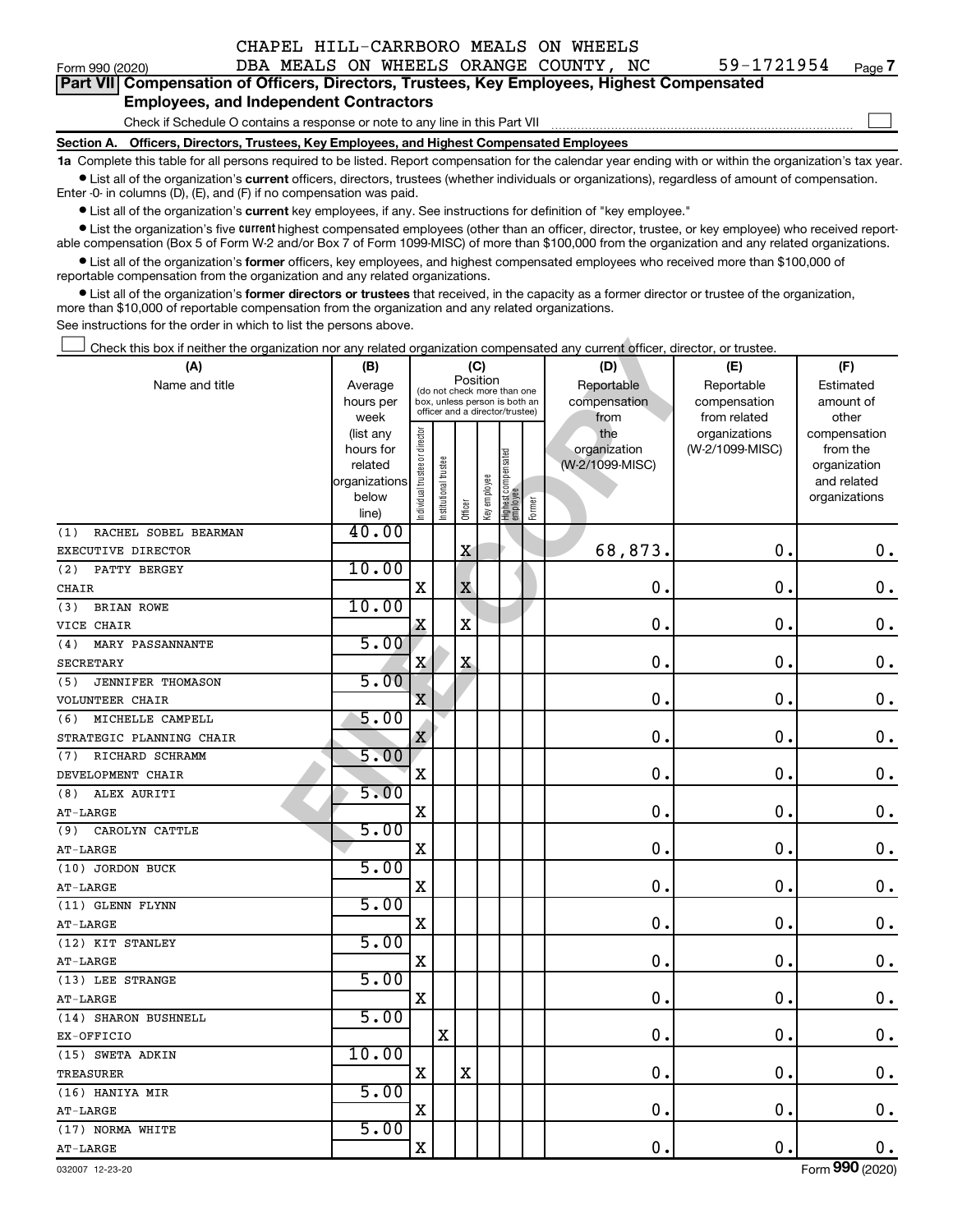|                                                                                            |                                                                                            |  |  |  | CHAPEL HILL-CARRBORO MEALS ON WHEELS  |  |                                                                                                                                                            |        |  |  |  |
|--------------------------------------------------------------------------------------------|--------------------------------------------------------------------------------------------|--|--|--|---------------------------------------|--|------------------------------------------------------------------------------------------------------------------------------------------------------------|--------|--|--|--|
| Form 990 (2020)                                                                            |                                                                                            |  |  |  | DBA MEALS ON WHEELS ORANGE COUNTY, NC |  | $59 - 1721954$                                                                                                                                             | Page 7 |  |  |  |
|                                                                                            | Part VII Compensation of Officers, Directors, Trustees, Key Employees, Highest Compensated |  |  |  |                                       |  |                                                                                                                                                            |        |  |  |  |
|                                                                                            | <b>Employees, and Independent Contractors</b>                                              |  |  |  |                                       |  |                                                                                                                                                            |        |  |  |  |
|                                                                                            | Check if Schedule O contains a response or note to any line in this Part VII               |  |  |  |                                       |  |                                                                                                                                                            |        |  |  |  |
| Section A. Officers, Directors, Trustees, Key Employees, and Highest Compensated Employees |                                                                                            |  |  |  |                                       |  |                                                                                                                                                            |        |  |  |  |
|                                                                                            |                                                                                            |  |  |  |                                       |  | 1a Complete this table for all persons required to be listed. Report compensation for the calendar year ending with or within the organization's tax year. |        |  |  |  |
| Enter -0- in columns (D), (E), and (F) if no compensation was paid.                        |                                                                                            |  |  |  |                                       |  | • List all of the organization's current officers, directors, trustees (whether individuals or organizations), regardless of amount of compensation.       |        |  |  |  |
|                                                                                            |                                                                                            |  |  |  |                                       |  |                                                                                                                                                            |        |  |  |  |

| Form 990 (2020)                                                                                                                                                                                                                   |                        |                                |                       |                                                                  |              |                                   |        | DBA MEALS ON WHEELS ORANGE COUNTY, NC | 59-1721954                       | Page 7                   |
|-----------------------------------------------------------------------------------------------------------------------------------------------------------------------------------------------------------------------------------|------------------------|--------------------------------|-----------------------|------------------------------------------------------------------|--------------|-----------------------------------|--------|---------------------------------------|----------------------------------|--------------------------|
| Part VII Compensation of Officers, Directors, Trustees, Key Employees, Highest Compensated                                                                                                                                        |                        |                                |                       |                                                                  |              |                                   |        |                                       |                                  |                          |
| <b>Employees, and Independent Contractors</b>                                                                                                                                                                                     |                        |                                |                       |                                                                  |              |                                   |        |                                       |                                  |                          |
| Check if Schedule O contains a response or note to any line in this Part VII                                                                                                                                                      |                        |                                |                       |                                                                  |              |                                   |        |                                       |                                  |                          |
| Section A. Officers, Directors, Trustees, Key Employees, and Highest Compensated Employees                                                                                                                                        |                        |                                |                       |                                                                  |              |                                   |        |                                       |                                  |                          |
| 1a Complete this table for all persons required to be listed. Report compensation for the calendar year ending with or within the organization's tax year                                                                         |                        |                                |                       |                                                                  |              |                                   |        |                                       |                                  |                          |
| • List all of the organization's current officers, directors, trustees (whether individuals or organizations), regardless of amount of compensation.<br>Enter -0- in columns (D), (E), and (F) if no compensation was paid.       |                        |                                |                       |                                                                  |              |                                   |        |                                       |                                  |                          |
| • List all of the organization's current key employees, if any. See instructions for definition of "key employee."                                                                                                                |                        |                                |                       |                                                                  |              |                                   |        |                                       |                                  |                          |
| • List the organization's five <i>current</i> highest compensated employees (other than an officer, director, trustee, or key employee) who received report-                                                                      |                        |                                |                       |                                                                  |              |                                   |        |                                       |                                  |                          |
| able compensation (Box 5 of Form W-2 and/or Box 7 of Form 1099-MISC) of more than \$100,000 from the organization and any related organizations.                                                                                  |                        |                                |                       |                                                                  |              |                                   |        |                                       |                                  |                          |
| • List all of the organization's former officers, key employees, and highest compensated employees who received more than \$100,000 of                                                                                            |                        |                                |                       |                                                                  |              |                                   |        |                                       |                                  |                          |
| reportable compensation from the organization and any related organizations.<br>• List all of the organization's former directors or trustees that received, in the capacity as a former director or trustee of the organization, |                        |                                |                       |                                                                  |              |                                   |        |                                       |                                  |                          |
| more than \$10,000 of reportable compensation from the organization and any related organizations.                                                                                                                                |                        |                                |                       |                                                                  |              |                                   |        |                                       |                                  |                          |
| See instructions for the order in which to list the persons above.                                                                                                                                                                |                        |                                |                       |                                                                  |              |                                   |        |                                       |                                  |                          |
| Check this box if neither the organization nor any related organization compensated any current officer, director, or trustee.                                                                                                    |                        |                                |                       |                                                                  |              |                                   |        |                                       |                                  |                          |
| (A)                                                                                                                                                                                                                               | (B)                    |                                |                       | (C)                                                              |              |                                   |        | (D)                                   | (E)                              | (F)                      |
| Name and title                                                                                                                                                                                                                    | Average                |                                |                       | Position<br>(do not check more than one                          |              |                                   |        | Reportable                            | Reportable                       | Estimated                |
|                                                                                                                                                                                                                                   | hours per              |                                |                       | box, unless person is both an<br>officer and a director/trustee) |              |                                   |        | compensation                          | compensation                     | amount of                |
|                                                                                                                                                                                                                                   | week                   |                                |                       |                                                                  |              |                                   |        | from                                  | from related                     | other                    |
|                                                                                                                                                                                                                                   | (list any<br>hours for |                                |                       |                                                                  |              |                                   |        | the<br>organization                   | organizations<br>(W-2/1099-MISC) | compensation<br>from the |
|                                                                                                                                                                                                                                   | related                |                                |                       |                                                                  |              |                                   |        | (W-2/1099-MISC)                       |                                  | organization             |
|                                                                                                                                                                                                                                   | organizations          |                                |                       |                                                                  |              |                                   |        |                                       |                                  | and related              |
|                                                                                                                                                                                                                                   | below                  | Individual trustee or director | Institutional trustee |                                                                  | Key employee | Highest compensated<br>  employee | Former |                                       |                                  | organizations            |
|                                                                                                                                                                                                                                   | line)                  |                                |                       | Officer                                                          |              |                                   |        |                                       |                                  |                          |
| RACHEL SOBEL BEARMAN<br>(1)                                                                                                                                                                                                       | 40.00                  |                                |                       |                                                                  |              |                                   |        |                                       |                                  |                          |
| EXECUTIVE DIRECTOR                                                                                                                                                                                                                | 10.00                  |                                |                       | X                                                                |              |                                   |        | 68,873.                               | $\mathbf 0$ .                    | $0$ .                    |
| PATTY BERGEY<br>(2)<br><b>CHAIR</b>                                                                                                                                                                                               |                        | X                              |                       | $\mathbf X$                                                      |              |                                   |        | 0                                     | $\mathbf 0$ .                    | $\mathbf 0$ .            |
| <b>BRIAN ROWE</b><br>(3)                                                                                                                                                                                                          | 10.00                  |                                |                       |                                                                  |              |                                   |        |                                       |                                  |                          |
| VICE CHAIR                                                                                                                                                                                                                        |                        | X                              |                       | X                                                                |              |                                   |        | 0                                     | $\mathbf 0$ .                    | $\mathbf 0$ .            |
| MARY PASSANNANTE<br>(4)                                                                                                                                                                                                           | 5.00                   |                                |                       |                                                                  |              |                                   |        |                                       |                                  |                          |
| <b>SECRETARY</b>                                                                                                                                                                                                                  |                        | X                              |                       | X                                                                |              |                                   |        | 0                                     | $\mathbf 0$ .                    | $\mathbf 0$ .            |
| <b>JENNIFER THOMASON</b><br>(5)                                                                                                                                                                                                   | 5.00                   |                                |                       |                                                                  |              |                                   |        |                                       |                                  |                          |
| <b>VOLUNTEER CHAIR</b>                                                                                                                                                                                                            |                        | X                              |                       |                                                                  |              |                                   |        | 0                                     | $\mathbf 0$ .                    | $\mathbf 0$ .            |
| MICHELLE CAMPELL<br>(6)                                                                                                                                                                                                           | 5.00                   |                                |                       |                                                                  |              |                                   |        |                                       |                                  |                          |
| STRATEGIC PLANNING CHAIR                                                                                                                                                                                                          |                        | X                              |                       |                                                                  |              |                                   |        | 0                                     | $\mathbf 0$ .                    | $0$ .                    |
| (7) RICHARD SCHRAMM                                                                                                                                                                                                               | 5.00                   |                                |                       |                                                                  |              |                                   |        |                                       |                                  |                          |
| DEVELOPMENT CHAIR                                                                                                                                                                                                                 |                        | X                              |                       |                                                                  |              |                                   |        | 0.                                    | 0.                               | $\mathbf 0$ .            |
| (8) ALEX AURITI                                                                                                                                                                                                                   | 5.00                   |                                |                       |                                                                  |              |                                   |        |                                       |                                  |                          |
| $AT-LARGE$                                                                                                                                                                                                                        |                        | x                              |                       |                                                                  |              |                                   |        | 0.                                    | $\mathbf 0$ .                    | $\mathbf 0$ .            |
| (9) CAROLYN CATTLE                                                                                                                                                                                                                | 5.00                   |                                |                       |                                                                  |              |                                   |        |                                       |                                  |                          |
| AT-LARGE<br>(10) JORDON BUCK                                                                                                                                                                                                      | 5.00                   | X                              |                       |                                                                  |              |                                   |        | 0.                                    | $\mathbf 0$ .                    | $\mathbf 0$ .            |
| AT-LARGE                                                                                                                                                                                                                          |                        | X                              |                       |                                                                  |              |                                   |        | 0.                                    | 0.                               | $\mathbf 0$ .            |
| (11) GLENN FLYNN                                                                                                                                                                                                                  | 5.00                   |                                |                       |                                                                  |              |                                   |        |                                       |                                  |                          |
| $AT-LARGE$                                                                                                                                                                                                                        |                        | x                              |                       |                                                                  |              |                                   |        | 0.                                    | 0.                               | $\mathbf 0$ .            |
| (12) KIT STANLEY                                                                                                                                                                                                                  | 5.00                   |                                |                       |                                                                  |              |                                   |        |                                       |                                  |                          |
| AT-LARGE                                                                                                                                                                                                                          |                        | x                              |                       |                                                                  |              |                                   |        | 0.                                    | 0.                               | $\mathbf 0$ .            |
| (13) LEE STRANGE                                                                                                                                                                                                                  | 5.00                   |                                |                       |                                                                  |              |                                   |        |                                       |                                  |                          |
| AT-LARGE                                                                                                                                                                                                                          |                        | X                              |                       |                                                                  |              |                                   |        | 0.                                    | 0.                               | $\mathbf 0$ .            |
| (14) SHARON BUSHNELL                                                                                                                                                                                                              | 5.00                   |                                |                       |                                                                  |              |                                   |        |                                       |                                  |                          |
| EX-OFFICIO                                                                                                                                                                                                                        |                        |                                | X                     |                                                                  |              |                                   |        | 0.                                    | 0.                               | $\mathbf 0$ .            |
| (15) SWETA ADKIN                                                                                                                                                                                                                  | 10.00                  |                                |                       |                                                                  |              |                                   |        |                                       |                                  |                          |
| TREASURER                                                                                                                                                                                                                         |                        | X                              |                       | X                                                                |              |                                   |        | 0.                                    | 0.                               | $\mathbf 0$ .            |
| (16) HANIYA MIR                                                                                                                                                                                                                   | 5.00                   |                                |                       |                                                                  |              |                                   |        |                                       |                                  |                          |
| $AT-LARGE$                                                                                                                                                                                                                        |                        | x                              |                       |                                                                  |              |                                   |        | 0.                                    | $\mathbf 0$ .                    | 0.                       |
| (17) NORMA WHITE                                                                                                                                                                                                                  | 5.00                   |                                |                       |                                                                  |              |                                   |        |                                       |                                  |                          |
| AT-LARGE                                                                                                                                                                                                                          |                        | x                              |                       |                                                                  |              |                                   |        | 0.                                    | 0.                               | 0.                       |
| 032007 12-23-20                                                                                                                                                                                                                   |                        |                                |                       |                                                                  |              |                                   |        |                                       |                                  | Form 990 (2020)          |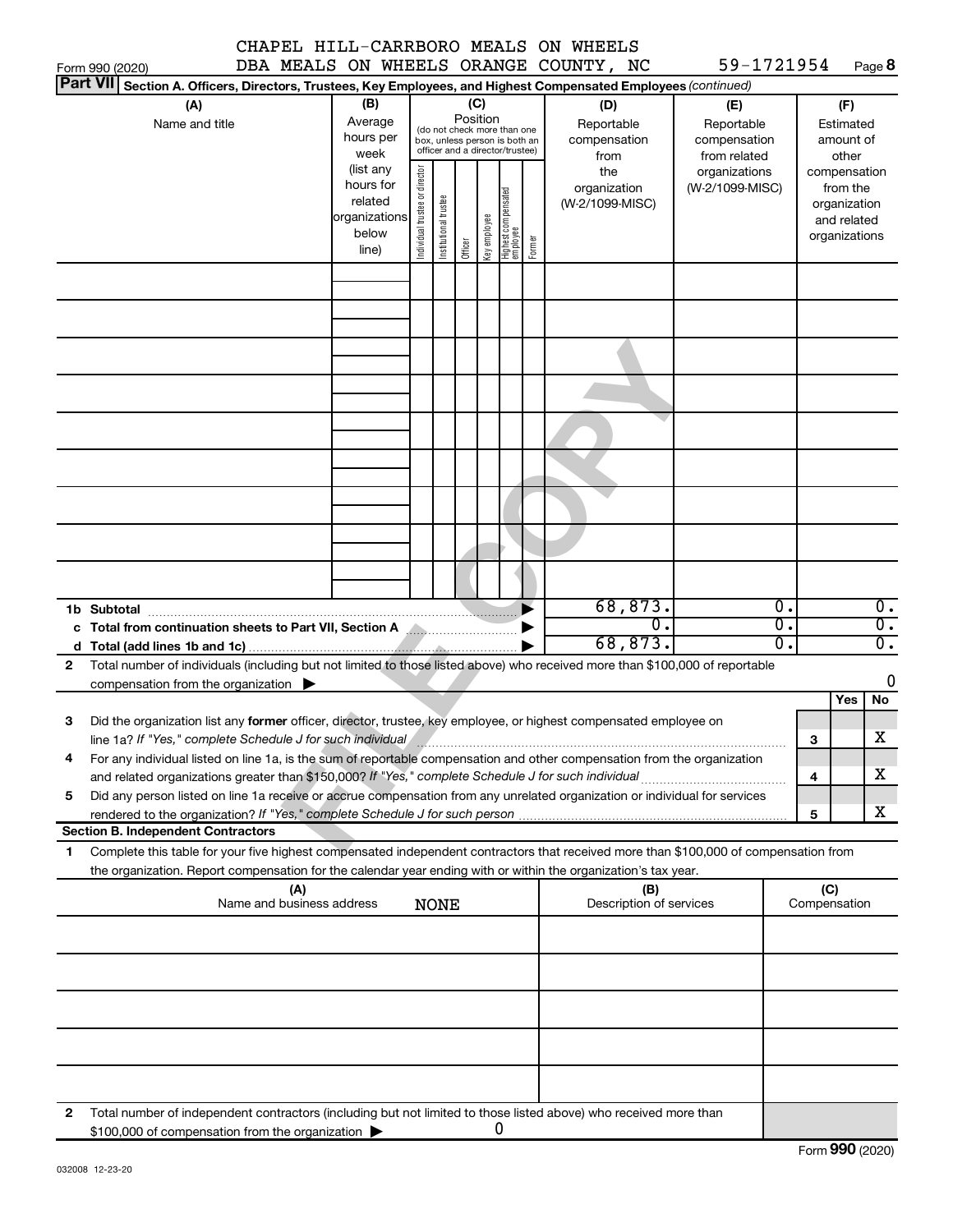|                                    |                                                                                                                                                                                                                                                        |                                                                      |                                |                                                                                                 |                 |              |                                  |        | CHAPEL HILL-CARRBORO MEALS ON WHEELS<br>DBA MEALS ON WHEELS ORANGE COUNTY, NC | 59-1721954                                        |          |                     |                                                                          |
|------------------------------------|--------------------------------------------------------------------------------------------------------------------------------------------------------------------------------------------------------------------------------------------------------|----------------------------------------------------------------------|--------------------------------|-------------------------------------------------------------------------------------------------|-----------------|--------------|----------------------------------|--------|-------------------------------------------------------------------------------|---------------------------------------------------|----------|---------------------|--------------------------------------------------------------------------|
| Form 990 (2020)<br><b>Part VII</b> | Section A. Officers, Directors, Trustees, Key Employees, and Highest Compensated Employees (continued)                                                                                                                                                 |                                                                      |                                |                                                                                                 |                 |              |                                  |        |                                                                               |                                                   |          |                     | Page 8                                                                   |
|                                    | (A)<br>Name and title                                                                                                                                                                                                                                  | (B)<br>Average<br>hours per<br>week                                  |                                | (do not check more than one<br>box, unless person is both an<br>officer and a director/trustee) | (C)<br>Position |              |                                  |        | (D)<br>Reportable<br>compensation<br>from                                     | (E)<br>Reportable<br>compensation<br>from related |          |                     | (F)<br>Estimated<br>amount of<br>other                                   |
|                                    |                                                                                                                                                                                                                                                        | (list any<br>hours for<br>related<br>organizations<br>below<br>line) | Individual trustee or director | Institutional trustee                                                                           | Officer         | Key employee | Highest compensated<br> employee | Former | the<br>organization<br>(W-2/1099-MISC)                                        | organizations<br>(W-2/1099-MISC)                  |          |                     | compensation<br>from the<br>organization<br>and related<br>organizations |
|                                    |                                                                                                                                                                                                                                                        |                                                                      |                                |                                                                                                 |                 |              |                                  |        |                                                                               |                                                   |          |                     |                                                                          |
|                                    |                                                                                                                                                                                                                                                        |                                                                      |                                |                                                                                                 |                 |              |                                  |        |                                                                               |                                                   |          |                     |                                                                          |
|                                    |                                                                                                                                                                                                                                                        |                                                                      |                                |                                                                                                 |                 |              |                                  |        |                                                                               |                                                   |          |                     |                                                                          |
|                                    |                                                                                                                                                                                                                                                        |                                                                      |                                |                                                                                                 |                 |              |                                  |        |                                                                               |                                                   |          |                     |                                                                          |
|                                    |                                                                                                                                                                                                                                                        |                                                                      |                                |                                                                                                 |                 |              |                                  |        |                                                                               |                                                   |          |                     |                                                                          |
|                                    |                                                                                                                                                                                                                                                        |                                                                      |                                |                                                                                                 |                 |              |                                  |        |                                                                               |                                                   |          |                     |                                                                          |
|                                    |                                                                                                                                                                                                                                                        |                                                                      |                                |                                                                                                 |                 |              |                                  |        | 68,873.                                                                       |                                                   | Ο.       |                     | $0$ .                                                                    |
| 1b Subtotal                        | c Total from continuation sheets to Part VII, Section A                                                                                                                                                                                                |                                                                      |                                |                                                                                                 |                 |              |                                  |        | $\overline{0}$ .<br>68,873.                                                   |                                                   | σ.<br>σ. |                     | $\overline{0}$ .<br>$\overline{0}$ .                                     |
| $\mathbf{2}$                       | Total number of individuals (including but not limited to those listed above) who received more than \$100,000 of reportable<br>compensation from the organization $\blacktriangleright$                                                               |                                                                      |                                |                                                                                                 |                 |              |                                  |        |                                                                               |                                                   |          |                     | 0                                                                        |
| З                                  | Did the organization list any former officer, director, trustee, key employee, or highest compensated employee on<br>line 1a? If "Yes," complete Schedule J for such individual measurement contains and the set of the set of the                     |                                                                      |                                |                                                                                                 |                 |              |                                  |        |                                                                               |                                                   |          | з                   | No<br>Yes<br>X                                                           |
| 4                                  | For any individual listed on line 1a, is the sum of reportable compensation and other compensation from the organization                                                                                                                               |                                                                      |                                |                                                                                                 |                 |              |                                  |        |                                                                               |                                                   |          | 4                   | х                                                                        |
| 5                                  | Did any person listed on line 1a receive or accrue compensation from any unrelated organization or individual for services<br><b>Section B. Independent Contractors</b>                                                                                |                                                                      |                                |                                                                                                 |                 |              |                                  |        |                                                                               |                                                   |          | 5                   | x                                                                        |
| 1.                                 | Complete this table for your five highest compensated independent contractors that received more than \$100,000 of compensation from<br>the organization. Report compensation for the calendar year ending with or within the organization's tax year. |                                                                      |                                |                                                                                                 |                 |              |                                  |        |                                                                               |                                                   |          |                     |                                                                          |
|                                    | (A)<br>Name and business address                                                                                                                                                                                                                       |                                                                      |                                | <b>NONE</b>                                                                                     |                 |              |                                  |        | (B)<br>Description of services                                                |                                                   |          | (C)<br>Compensation |                                                                          |
|                                    |                                                                                                                                                                                                                                                        |                                                                      |                                |                                                                                                 |                 |              |                                  |        |                                                                               |                                                   |          |                     |                                                                          |
|                                    |                                                                                                                                                                                                                                                        |                                                                      |                                |                                                                                                 |                 |              |                                  |        |                                                                               |                                                   |          |                     |                                                                          |
|                                    |                                                                                                                                                                                                                                                        |                                                                      |                                |                                                                                                 |                 |              |                                  |        |                                                                               |                                                   |          |                     |                                                                          |
| 2                                  | Total number of independent contractors (including but not limited to those listed above) who received more than                                                                                                                                       |                                                                      |                                |                                                                                                 |                 |              |                                  |        |                                                                               |                                                   |          |                     |                                                                          |
|                                    | \$100,000 of compensation from the organization                                                                                                                                                                                                        |                                                                      |                                |                                                                                                 |                 |              | 0                                |        |                                                                               |                                                   |          |                     | Form 990 (2020)                                                          |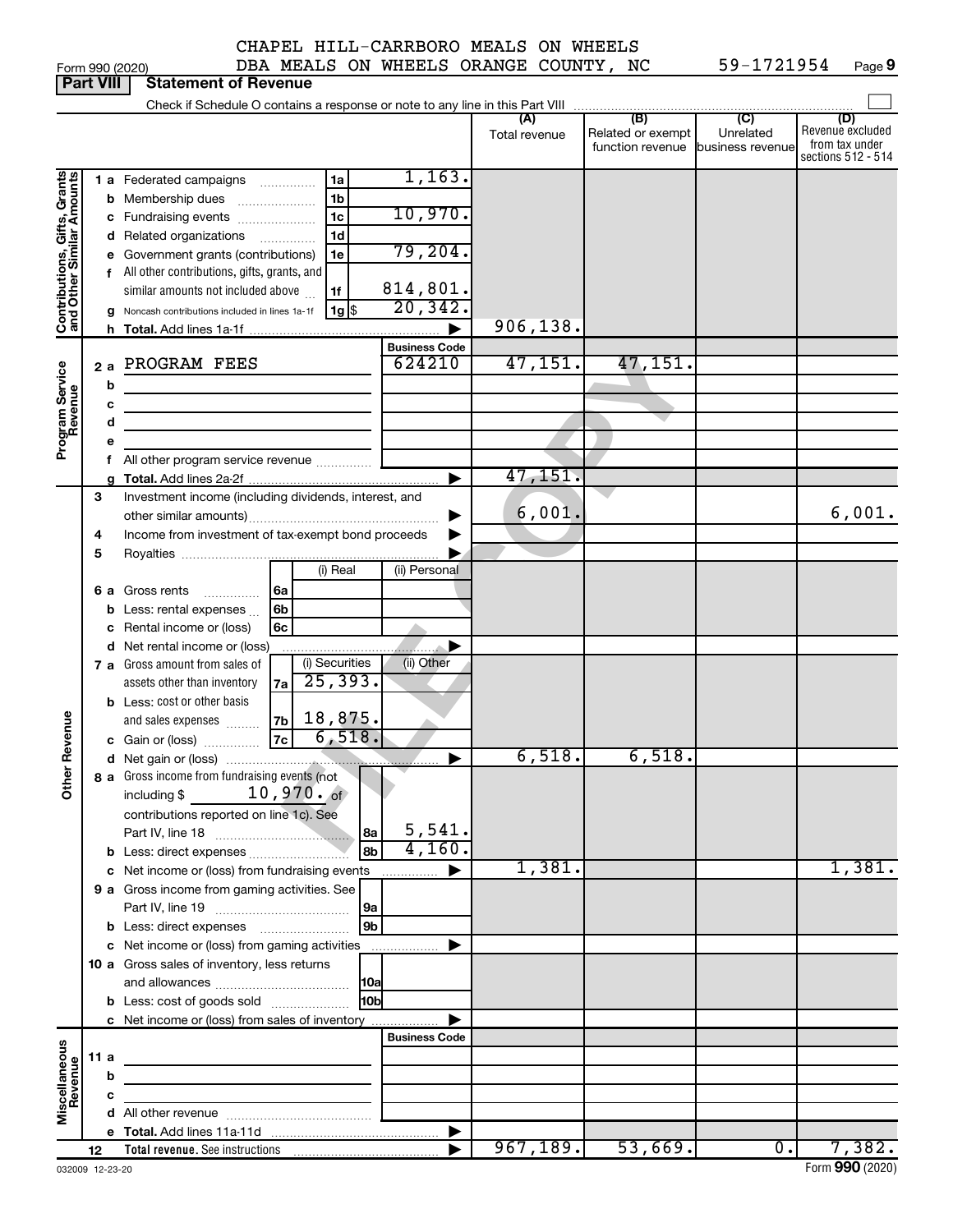| CHAPEL HILL-CARRBORO MEALS ON WHEELS |  |  |
|--------------------------------------|--|--|
|                                      |  |  |

Form 990 (2020)  $DBA$  MEALS ON WHEELS ORANGE COUNTY, NC  $59-1721954$  Page **9**

|                                                           | Part VIII |     | Statement of Revenue                                                       |               |                                   |                  |                                      |
|-----------------------------------------------------------|-----------|-----|----------------------------------------------------------------------------|---------------|-----------------------------------|------------------|--------------------------------------|
|                                                           |           |     |                                                                            | (A)           | (B)                               | (C)              | (D)                                  |
|                                                           |           |     |                                                                            | Total revenue | Related or exempt                 | Unrelated        | Revenue excluded                     |
|                                                           |           |     |                                                                            |               | function revenue business revenue |                  | from tax under<br>sections 512 - 514 |
|                                                           |           |     | 1,163.                                                                     |               |                                   |                  |                                      |
| Contributions, Gifts, Grants<br>and Other Similar Amounts |           |     | 1a<br>1 a Federated campaigns                                              |               |                                   |                  |                                      |
|                                                           |           |     | 1b<br><b>b</b> Membership dues                                             |               |                                   |                  |                                      |
|                                                           |           |     | 10,970.<br>1 <sub>c</sub><br>c Fundraising events                          |               |                                   |                  |                                      |
|                                                           |           |     | 1d<br>d Related organizations                                              |               |                                   |                  |                                      |
|                                                           |           |     | 79,204.<br>e Government grants (contributions)<br>1e                       |               |                                   |                  |                                      |
|                                                           |           |     | f All other contributions, gifts, grants, and                              |               |                                   |                  |                                      |
|                                                           |           |     | 814,801.<br>similar amounts not included above<br>1f                       |               |                                   |                  |                                      |
|                                                           |           |     | 20, 342.<br>$1g$ \$<br>g Noncash contributions included in lines 1a-1f     |               |                                   |                  |                                      |
|                                                           |           |     |                                                                            | 906,138.      |                                   |                  |                                      |
|                                                           |           |     | <b>Business Code</b>                                                       |               |                                   |                  |                                      |
|                                                           |           | 2 a | 624210<br>PROGRAM FEES                                                     | 47,151.       | 47,151.                           |                  |                                      |
|                                                           |           | b   | the control of the control of the control of the control of                |               |                                   |                  |                                      |
|                                                           |           | c   |                                                                            |               |                                   |                  |                                      |
|                                                           |           | d   | the control of the control of the control of the control of the control of |               |                                   |                  |                                      |
| Program Service<br>Revenue                                |           |     |                                                                            |               |                                   |                  |                                      |
|                                                           |           |     | All other program service revenue                                          |               |                                   |                  |                                      |
|                                                           |           |     |                                                                            | 47, 151.<br>▶ |                                   |                  |                                      |
|                                                           | З         |     | Investment income (including dividends, interest, and                      |               |                                   |                  |                                      |
|                                                           |           |     |                                                                            | 6,001.<br>▶   |                                   |                  | 6,001.                               |
|                                                           | 4         |     | Income from investment of tax-exempt bond proceeds                         | ▶             |                                   |                  |                                      |
|                                                           | 5         |     |                                                                            |               |                                   |                  |                                      |
|                                                           |           |     | (i) Real<br>(ii) Personal                                                  |               |                                   |                  |                                      |
|                                                           |           |     | l 6a<br><b>6 a</b> Gross rents                                             |               |                                   |                  |                                      |
|                                                           |           |     | <b>b</b> Less: rental expenses<br>l 6b                                     |               |                                   |                  |                                      |
|                                                           |           |     | c Rental income or (loss)<br>6c                                            |               |                                   |                  |                                      |
|                                                           |           |     | d Net rental income or (loss)                                              |               |                                   |                  |                                      |
|                                                           |           |     | (i) Securities<br>(ii) Other<br>7 a Gross amount from sales of             |               |                                   |                  |                                      |
|                                                           |           |     | 25, 393.<br>assets other than inventory<br>7a                              |               |                                   |                  |                                      |
|                                                           |           |     | <b>b</b> Less: cost or other basis                                         |               |                                   |                  |                                      |
| Revenue                                                   |           |     | 18,875.<br> 7 <sub>b</sub>  <br>and sales expenses                         |               |                                   |                  |                                      |
|                                                           |           |     | 6,518.<br>c Gain or (loss) $\begin{bmatrix} 7c \end{bmatrix}$              |               |                                   |                  |                                      |
|                                                           |           |     |                                                                            | 6,518.<br>▶   | 6,518.                            |                  |                                      |
| ৯                                                         |           |     | 8 a Gross income from fundraising events (not                              |               |                                   |                  |                                      |
| ਨੈਂ                                                       |           |     | including \$ $10,970 \cdot \text{ of }$                                    |               |                                   |                  |                                      |
|                                                           |           |     | contributions reported on line 1c). See                                    |               |                                   |                  |                                      |
|                                                           |           |     | 5,541.<br>8a                                                               |               |                                   |                  |                                      |
|                                                           |           |     | 4,160.<br>8b                                                               |               |                                   |                  |                                      |
|                                                           |           |     | c Net income or (loss) from fundraising events<br>.                        | 1,381.<br>▶   |                                   |                  | 1,381.                               |
|                                                           |           |     | 9 a Gross income from gaming activities. See                               |               |                                   |                  |                                      |
|                                                           |           |     | 9a                                                                         |               |                                   |                  |                                      |
|                                                           |           |     | 9 <sub>b</sub>                                                             |               |                                   |                  |                                      |
|                                                           |           |     | c Net income or (loss) from gaming activities                              | ▶             |                                   |                  |                                      |
|                                                           |           |     | 10 a Gross sales of inventory, less returns                                |               |                                   |                  |                                      |
|                                                           |           |     | 10a                                                                        |               |                                   |                  |                                      |
|                                                           |           |     | 10 <sub>b</sub><br><b>b</b> Less: cost of goods sold                       |               |                                   |                  |                                      |
|                                                           |           |     | c Net income or (loss) from sales of inventory                             |               |                                   |                  |                                      |
|                                                           |           |     | <b>Business Code</b>                                                       |               |                                   |                  |                                      |
|                                                           | 11 a      |     |                                                                            |               |                                   |                  |                                      |
|                                                           |           | b   |                                                                            |               |                                   |                  |                                      |
| Miscellaneous<br>Revenue                                  |           | с   |                                                                            |               |                                   |                  |                                      |
|                                                           |           |     |                                                                            |               |                                   |                  |                                      |
|                                                           |           |     |                                                                            | ▶             |                                   |                  |                                      |
|                                                           | 12        |     |                                                                            | 967,189.      | 53,669.                           | $\overline{0}$ . | 7,382.                               |

**Part 990 (2020)**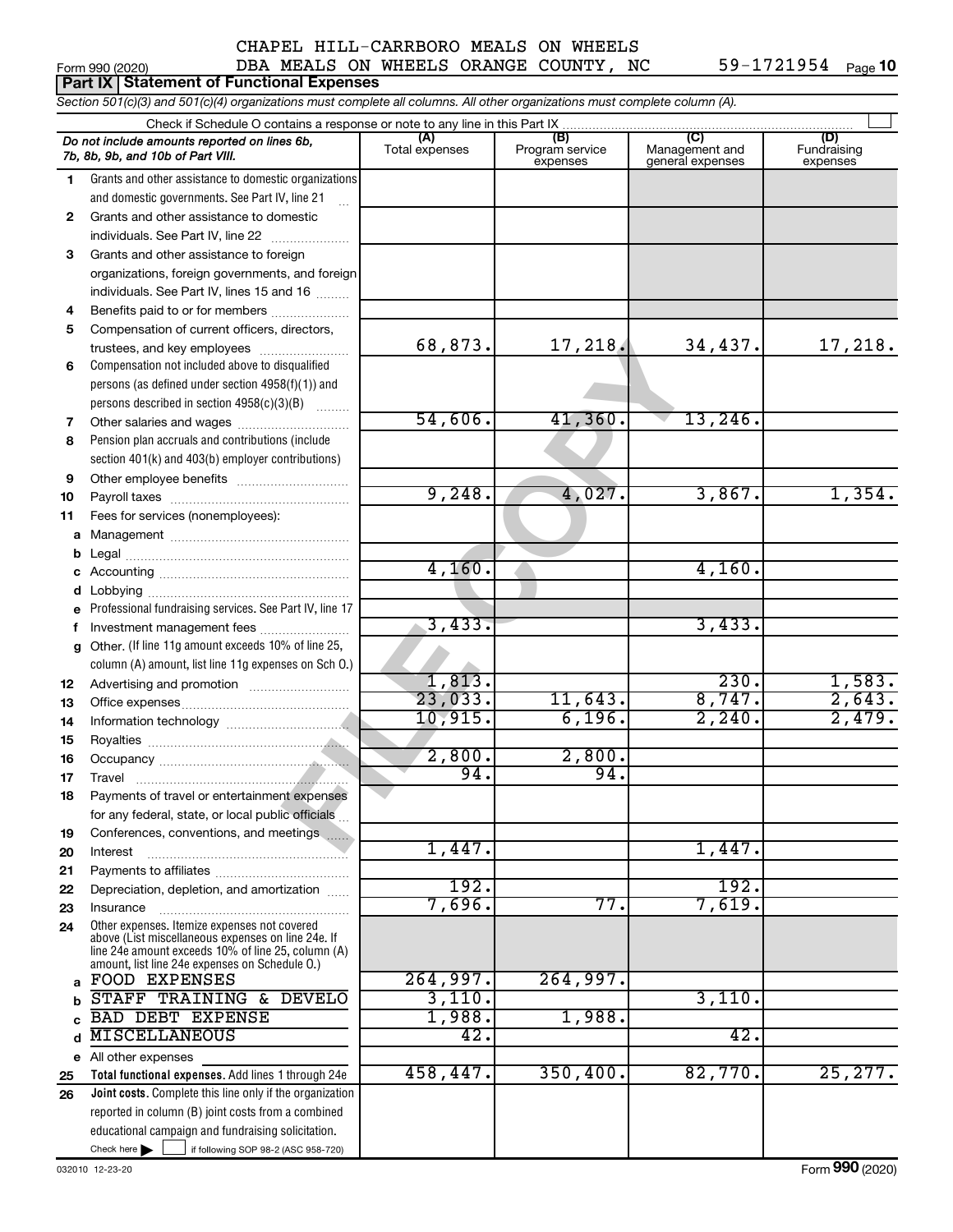59-1721954 Page 10

# Form 990 (2020)  $\qquad \qquad$  DBA MEALS ON WHEELS ORANGE COUNTY, NC  $\qquad \qquad$  59-1721954  $\qquad$  Page

|    | <b>Part IX   Statement of Functional Expenses</b>                                                                                                        |                       |                                    |                                           |                                |
|----|----------------------------------------------------------------------------------------------------------------------------------------------------------|-----------------------|------------------------------------|-------------------------------------------|--------------------------------|
|    | Section 501(c)(3) and 501(c)(4) organizations must complete all columns. All other organizations must complete column (A).                               |                       |                                    |                                           |                                |
|    | Check if Schedule O contains a response or note to any line in this Part IX                                                                              |                       |                                    |                                           |                                |
|    | Do not include amounts reported on lines 6b,<br>7b, 8b, 9b, and 10b of Part VIII.                                                                        | (A)<br>Total expenses | (B)<br>Program service<br>expenses | (C)<br>Management and<br>general expenses | (D)<br>Fundraising<br>expenses |
| 1  | Grants and other assistance to domestic organizations                                                                                                    |                       |                                    |                                           |                                |
|    | and domestic governments. See Part IV, line 21                                                                                                           |                       |                                    |                                           |                                |
| 2  | Grants and other assistance to domestic                                                                                                                  |                       |                                    |                                           |                                |
|    | individuals. See Part IV, line 22                                                                                                                        |                       |                                    |                                           |                                |
| 3  | Grants and other assistance to foreign                                                                                                                   |                       |                                    |                                           |                                |
|    | organizations, foreign governments, and foreign<br>individuals. See Part IV, lines 15 and 16                                                             |                       |                                    |                                           |                                |
| 4  | Benefits paid to or for members                                                                                                                          |                       |                                    |                                           |                                |
| 5  | Compensation of current officers, directors,                                                                                                             |                       |                                    |                                           |                                |
|    | trustees, and key employees                                                                                                                              | 68,873.               | 17,218.                            | 34,437.                                   | 17,218.                        |
| 6  | Compensation not included above to disqualified                                                                                                          |                       |                                    |                                           |                                |
|    | persons (as defined under section 4958(f)(1)) and                                                                                                        |                       |                                    |                                           |                                |
|    | persons described in section 4958(c)(3)(B)                                                                                                               |                       |                                    |                                           |                                |
| 7  | Other salaries and wages                                                                                                                                 | 54,606.               | 41,360.                            | 13,246.                                   |                                |
| 8  | Pension plan accruals and contributions (include                                                                                                         |                       |                                    |                                           |                                |
|    | section 401(k) and 403(b) employer contributions)                                                                                                        |                       |                                    |                                           |                                |
| 9  |                                                                                                                                                          |                       |                                    |                                           |                                |
| 10 |                                                                                                                                                          | 9,248.                | 4,027.                             | 3,867.                                    | 1,354.                         |
| 11 | Fees for services (nonemployees):                                                                                                                        |                       |                                    |                                           |                                |
| a  |                                                                                                                                                          |                       |                                    |                                           |                                |
| b  |                                                                                                                                                          |                       |                                    |                                           |                                |
|    |                                                                                                                                                          | 4,160.                |                                    | 4,160.                                    |                                |
| d  |                                                                                                                                                          |                       |                                    |                                           |                                |
|    | Professional fundraising services. See Part IV, line 17                                                                                                  | 3,433.                |                                    | 3,433.                                    |                                |
| f  | Investment management fees<br>Other. (If line 11g amount exceeds 10% of line 25,                                                                         |                       |                                    |                                           |                                |
| g  | column (A) amount, list line 11g expenses on Sch O.)                                                                                                     |                       |                                    |                                           |                                |
| 12 |                                                                                                                                                          | 1,813.                |                                    | 230.                                      | 1,583.                         |
| 13 |                                                                                                                                                          | 23,033.               | 11,643.                            | 8,747.                                    | 2,643.                         |
| 14 |                                                                                                                                                          | 10,915.               | 6,196.                             | 2,240.                                    | 2,479.                         |
| 15 |                                                                                                                                                          |                       |                                    |                                           |                                |
| 16 |                                                                                                                                                          | 2,800.                | 2,800.                             |                                           |                                |
| 17 | Travel                                                                                                                                                   | 94.                   | 94.                                |                                           |                                |
| 18 | Payments of travel or entertainment expenses                                                                                                             |                       |                                    |                                           |                                |
|    | for any federal, state, or local public officials                                                                                                        |                       |                                    |                                           |                                |
| 19 | Conferences, conventions, and meetings                                                                                                                   |                       |                                    |                                           |                                |
| 20 | Interest                                                                                                                                                 | 1,447.                |                                    | 1,447.                                    |                                |
| 21 |                                                                                                                                                          |                       |                                    |                                           |                                |
| 22 | Depreciation, depletion, and amortization                                                                                                                | 192.                  |                                    | 192.                                      |                                |
| 23 | Insurance                                                                                                                                                | 7,696.                | 77.                                | 7,619.                                    |                                |
| 24 | Other expenses. Itemize expenses not covered<br>above (List miscellaneous expenses on line 24e. If<br>line 24e amount exceeds 10% of line 25, column (A) |                       |                                    |                                           |                                |
|    | amount, list line 24e expenses on Schedule O.)<br><b>FOOD EXPENSES</b>                                                                                   | 264,997.              | 264,997.                           |                                           |                                |
| a  | STAFF TRAINING & DEVELO                                                                                                                                  | 3,110.                |                                    | 3,110.                                    |                                |
|    | <b>BAD DEBT EXPENSE</b>                                                                                                                                  | 1,988.                | 1,988.                             |                                           |                                |
| d  | <b>MISCELLANEOUS</b>                                                                                                                                     | 42.                   |                                    | 42.                                       |                                |
|    | e All other expenses                                                                                                                                     |                       |                                    |                                           |                                |
| 25 | Total functional expenses. Add lines 1 through 24e                                                                                                       | 458,447.              | 350,400.                           | 82,770.                                   | 25, 277.                       |
| 26 | Joint costs. Complete this line only if the organization                                                                                                 |                       |                                    |                                           |                                |
|    | reported in column (B) joint costs from a combined                                                                                                       |                       |                                    |                                           |                                |
|    | educational campaign and fundraising solicitation.                                                                                                       |                       |                                    |                                           |                                |

 $Check here$ 

Check here  $\begin{array}{c} \begin{array}{|c} \hline \end{array} \end{array}$  if following SOP 98-2 (ASC 958-720)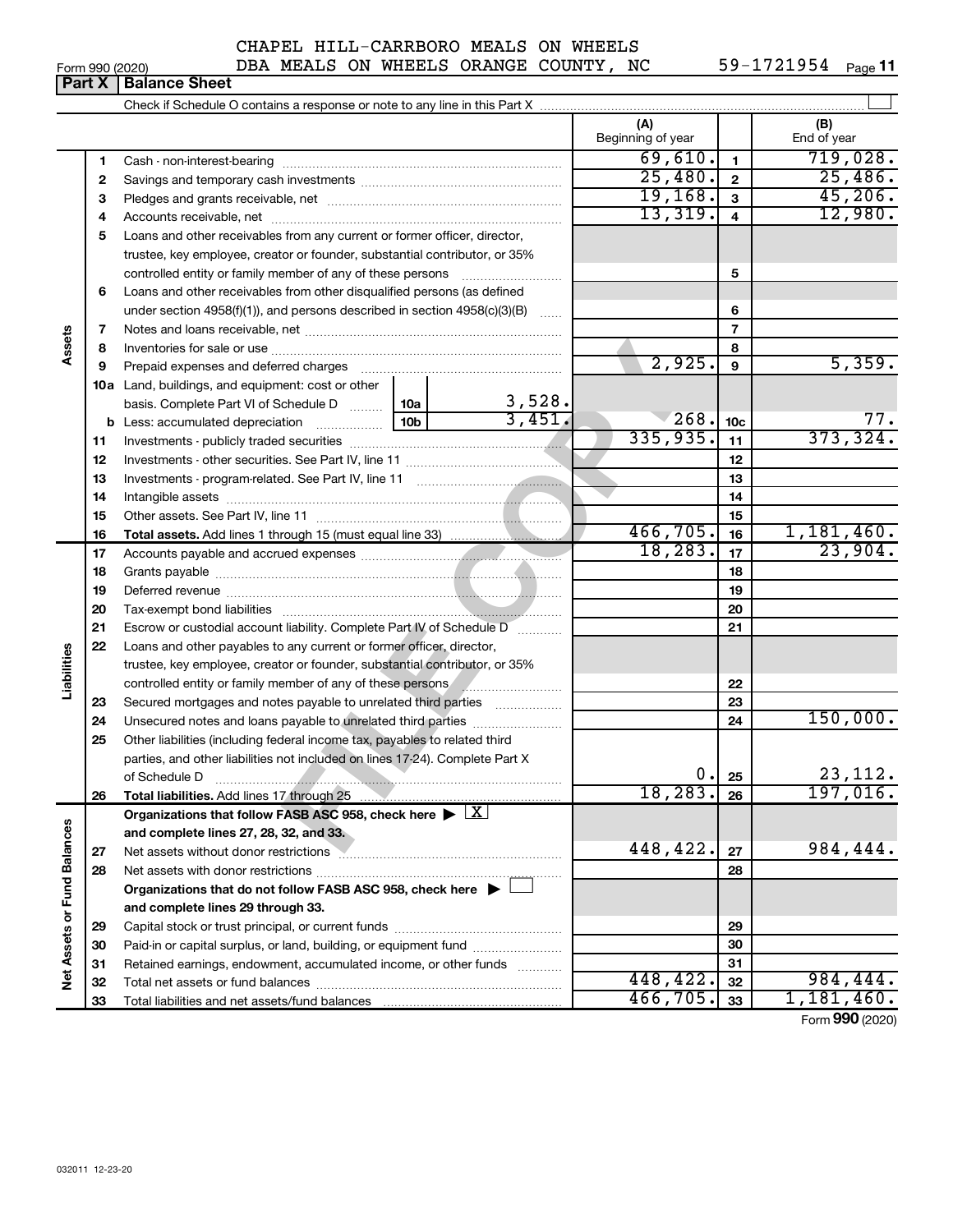Form 990 (2020)  $\qquad \qquad$  DBA MEALS ON WHEELS ORANGE COUNTY, NC  $\qquad \qquad$  59-1721954  $\qquad$  Page 59-1721954 Page 11

|                             | Part X | <b>Balance Sheet</b>                                                                                                                                                                                                           |                 |                       |                          |                 |                      |
|-----------------------------|--------|--------------------------------------------------------------------------------------------------------------------------------------------------------------------------------------------------------------------------------|-----------------|-----------------------|--------------------------|-----------------|----------------------|
|                             |        |                                                                                                                                                                                                                                |                 |                       |                          |                 |                      |
|                             |        |                                                                                                                                                                                                                                |                 |                       | (A)<br>Beginning of year |                 | (B)<br>End of year   |
|                             | 1      |                                                                                                                                                                                                                                |                 |                       | 69,610.                  | 1.              | 719,028.             |
|                             | 2      |                                                                                                                                                                                                                                |                 |                       | 25,480.                  | $\mathbf{2}$    | 25,486.              |
|                             | 3      |                                                                                                                                                                                                                                |                 |                       | 19,168.                  | 3               | 45,206.              |
|                             | 4      |                                                                                                                                                                                                                                |                 |                       | 13,319.                  | 4               | 12,980.              |
|                             | 5      | Loans and other receivables from any current or former officer, director,                                                                                                                                                      |                 |                       |                          |                 |                      |
|                             |        | trustee, key employee, creator or founder, substantial contributor, or 35%                                                                                                                                                     |                 |                       |                          |                 |                      |
|                             |        | controlled entity or family member of any of these persons                                                                                                                                                                     |                 |                       |                          | 5               |                      |
|                             | 6      | Loans and other receivables from other disqualified persons (as defined                                                                                                                                                        |                 |                       |                          |                 |                      |
|                             |        | under section 4958(f)(1)), and persons described in section 4958(c)(3)(B)                                                                                                                                                      |                 |                       |                          | 6               |                      |
|                             | 7      |                                                                                                                                                                                                                                |                 |                       |                          | $\overline{7}$  |                      |
| Assets                      | 8      |                                                                                                                                                                                                                                |                 |                       |                          | 8               |                      |
|                             | 9      | Prepaid expenses and deferred charges [11] [11] Prepaid expenses and deferred charges [11] [11] Annancement and the Prepaid expenses and deferred charges [11] $\frac{1}{2}$                                                   |                 |                       | 2,925.                   | 9               | 5,359.               |
|                             |        | <b>10a</b> Land, buildings, and equipment: cost or other                                                                                                                                                                       |                 |                       |                          |                 |                      |
|                             |        | basis. Complete Part VI of Schedule D    10a                                                                                                                                                                                   |                 | $\frac{3,528}{3,451}$ |                          |                 |                      |
|                             |        |                                                                                                                                                                                                                                | 10 <sub>b</sub> |                       | 268.                     | 10 <sub>c</sub> | 77.                  |
|                             | 11     |                                                                                                                                                                                                                                |                 |                       | 335,935.                 | 11              | 373, 324.            |
|                             | 12     |                                                                                                                                                                                                                                |                 |                       |                          | 12              |                      |
|                             | 13     |                                                                                                                                                                                                                                |                 |                       |                          | 13              |                      |
|                             | 14     |                                                                                                                                                                                                                                |                 |                       |                          | 14              |                      |
|                             | 15     |                                                                                                                                                                                                                                |                 |                       |                          | 15              |                      |
|                             | 16     |                                                                                                                                                                                                                                |                 |                       | 466,705.                 | 16              | 1,181,460.           |
|                             | 17     |                                                                                                                                                                                                                                |                 |                       | 18, 283.                 | 17              | 23,904.              |
|                             | 18     |                                                                                                                                                                                                                                |                 |                       |                          | 18              |                      |
|                             | 19     |                                                                                                                                                                                                                                |                 |                       |                          | 19              |                      |
|                             | 20     |                                                                                                                                                                                                                                |                 |                       |                          | 20              |                      |
|                             | 21     | Escrow or custodial account liability. Complete Part IV of Schedule D                                                                                                                                                          |                 |                       |                          | 21              |                      |
|                             | 22     | Loans and other payables to any current or former officer, director,                                                                                                                                                           |                 |                       |                          |                 |                      |
| Liabilities                 |        | trustee, key employee, creator or founder, substantial contributor, or 35%                                                                                                                                                     |                 |                       |                          |                 |                      |
|                             |        |                                                                                                                                                                                                                                |                 |                       |                          | 22              |                      |
|                             | 23     | Secured mortgages and notes payable to unrelated third parties                                                                                                                                                                 |                 |                       |                          | 23              | 150,000.             |
|                             | 24     | Unsecured notes and loans payable to unrelated third parties                                                                                                                                                                   |                 |                       |                          | 24              |                      |
|                             | 25     | Other liabilities (including federal income tax, payables to related third                                                                                                                                                     |                 |                       |                          |                 |                      |
|                             |        | parties, and other liabilities not included on lines 17-24). Complete Part X                                                                                                                                                   |                 |                       | 0.                       |                 | 23, 112.             |
|                             |        | of Schedule D                                                                                                                                                                                                                  |                 |                       | 18, 283.                 | 25<br>26        | 197,016.             |
|                             | 26     | Total liabilities. Add lines 17 through 25<br>Organizations that follow FASB ASC 958, check here $\blacktriangleright \lfloor X \rfloor$                                                                                       |                 |                       |                          |                 |                      |
|                             |        | and complete lines 27, 28, 32, and 33.                                                                                                                                                                                         |                 |                       |                          |                 |                      |
|                             | 27     | Net assets without donor restrictions Mathematical Construction of the system of the system of the system of the system of the system of the system of the system of the system of the system of the system of the system of t |                 |                       | 448,422.                 | 27              | 984,444.             |
|                             | 28     |                                                                                                                                                                                                                                |                 |                       |                          | 28              |                      |
|                             |        | Organizations that do not follow FASB ASC 958, check here ▶ □                                                                                                                                                                  |                 |                       |                          |                 |                      |
|                             |        | and complete lines 29 through 33.                                                                                                                                                                                              |                 |                       |                          |                 |                      |
|                             | 29     |                                                                                                                                                                                                                                |                 |                       |                          | 29              |                      |
|                             | 30     | Paid-in or capital surplus, or land, building, or equipment fund                                                                                                                                                               |                 |                       |                          | 30              |                      |
|                             | 31     | Retained earnings, endowment, accumulated income, or other funds                                                                                                                                                               |                 |                       |                          | 31              |                      |
| Net Assets or Fund Balances | 32     |                                                                                                                                                                                                                                |                 |                       | 448, 422.                | 32              | 984,444.             |
|                             | 33     |                                                                                                                                                                                                                                |                 |                       | 466,705.                 | 33              | 1,181,460.           |
|                             |        |                                                                                                                                                                                                                                |                 |                       |                          |                 | $\sim$ 000 $(0.000)$ |

Form (2020) **990**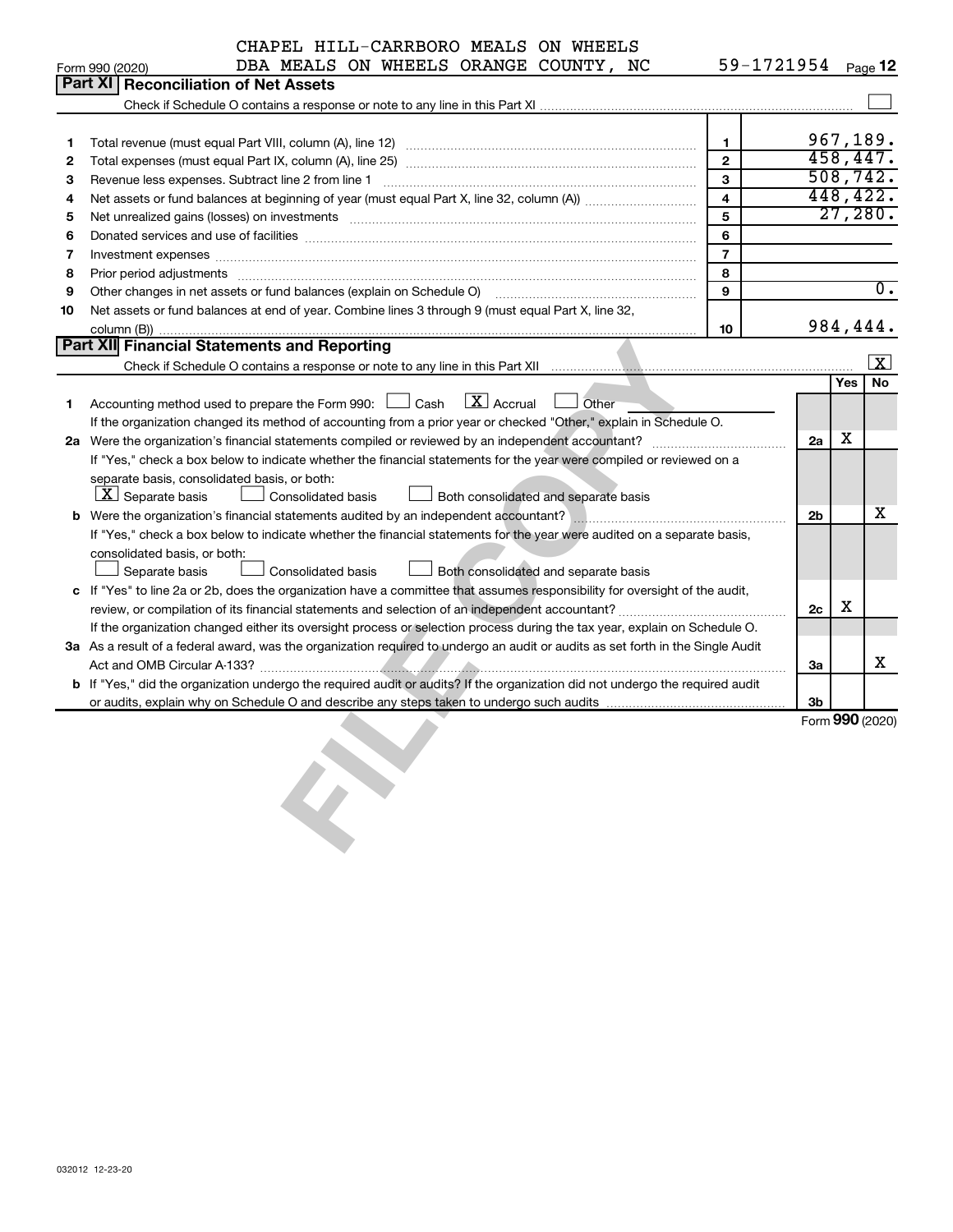|    |                                                                                                                                                             | CHAPEL HILL-CARRBORO MEALS ON WHEELS  |                                      |                                      |                         |    |     |                  |
|----|-------------------------------------------------------------------------------------------------------------------------------------------------------------|---------------------------------------|--------------------------------------|--------------------------------------|-------------------------|----|-----|------------------|
|    | Form 990 (2020)                                                                                                                                             | DBA MEALS ON WHEELS ORANGE COUNTY, NC |                                      |                                      | 59-1721954 Page 12      |    |     |                  |
|    | <b>Part XI</b>                                                                                                                                              | <b>Reconciliation of Net Assets</b>   |                                      |                                      |                         |    |     |                  |
|    |                                                                                                                                                             |                                       |                                      |                                      |                         |    |     |                  |
|    |                                                                                                                                                             |                                       |                                      |                                      |                         |    |     | 967,189.         |
| 1  |                                                                                                                                                             |                                       |                                      |                                      | $\mathbf{1}$            |    |     | 458,447.         |
| 2  |                                                                                                                                                             |                                       |                                      |                                      | $\overline{2}$          |    |     | 508, 742.        |
| з  |                                                                                                                                                             |                                       |                                      |                                      | 3                       |    |     | 448,422.         |
| 4  |                                                                                                                                                             |                                       |                                      |                                      | $\overline{\mathbf{4}}$ |    |     | 27,280.          |
| 5  | Net unrealized gains (losses) on investments [11] matter continuum matter is a set of the set of the set of the                                             |                                       |                                      |                                      | 5                       |    |     |                  |
| 6  |                                                                                                                                                             |                                       |                                      |                                      | 6                       |    |     |                  |
| 7  |                                                                                                                                                             |                                       |                                      |                                      | $\overline{7}$          |    |     |                  |
| 8  | Prior period adjustments [111] material contracts and adjustments are not contract and contracts and contracts                                              |                                       |                                      |                                      | 8<br>9                  |    |     | $\overline{0}$ . |
| 9  | Other changes in net assets or fund balances (explain on Schedule O) manufactured controller changes in net assets or fund balances (explain on Schedule O) |                                       |                                      |                                      |                         |    |     |                  |
| 10 | Net assets or fund balances at end of year. Combine lines 3 through 9 (must equal Part X, line 32,                                                          |                                       |                                      |                                      | 10                      |    |     | 984,444.         |
|    | <b>Part XII Financial Statements and Reporting</b>                                                                                                          |                                       |                                      |                                      |                         |    |     |                  |
|    |                                                                                                                                                             |                                       |                                      |                                      |                         |    |     | X                |
|    |                                                                                                                                                             |                                       |                                      |                                      |                         |    | Yes | No               |
|    |                                                                                                                                                             |                                       | $\lfloor \mathbf{X} \rfloor$ Accrual |                                      |                         |    |     |                  |
| 1. | Accounting method used to prepare the Form 990: [130] Cash                                                                                                  |                                       |                                      | Other                                |                         |    |     |                  |
|    | If the organization changed its method of accounting from a prior year or checked "Other," explain in Schedule O.                                           |                                       |                                      |                                      |                         |    | х   |                  |
|    |                                                                                                                                                             |                                       |                                      |                                      |                         | 2a |     |                  |
|    | If "Yes," check a box below to indicate whether the financial statements for the year were compiled or reviewed on a                                        |                                       |                                      |                                      |                         |    |     |                  |
|    | separate basis, consolidated basis, or both:                                                                                                                |                                       |                                      |                                      |                         |    |     |                  |
|    | $\lfloor x \rfloor$ Separate basis                                                                                                                          | Consolidated basis                    |                                      | Both consolidated and separate basis |                         |    |     | х                |
|    |                                                                                                                                                             |                                       |                                      |                                      |                         | 2b |     |                  |
|    | If "Yes," check a box below to indicate whether the financial statements for the year were audited on a separate basis,                                     |                                       |                                      |                                      |                         |    |     |                  |
|    | consolidated basis, or both:                                                                                                                                |                                       |                                      |                                      |                         |    |     |                  |
|    | Separate basis                                                                                                                                              | Consolidated basis                    |                                      | Both consolidated and separate basis |                         |    |     |                  |
|    | c If "Yes" to line 2a or 2b, does the organization have a committee that assumes responsibility for oversight of the audit,                                 |                                       |                                      |                                      |                         |    |     |                  |
|    |                                                                                                                                                             |                                       |                                      |                                      |                         | 2c | х   |                  |
|    | If the organization changed either its oversight process or selection process during the tax year, explain on Schedule O.                                   |                                       |                                      |                                      |                         |    |     |                  |
|    | 3a As a result of a federal award, was the organization required to undergo an audit or audits as set forth in the Single Audit                             |                                       |                                      |                                      |                         |    |     |                  |
|    |                                                                                                                                                             |                                       |                                      |                                      |                         | За |     | х                |
|    | <b>b</b> If "Yes," did the organization undergo the required audit or audits? If the organization did not undergo the required audit                        |                                       |                                      |                                      |                         |    |     |                  |
|    |                                                                                                                                                             |                                       |                                      |                                      |                         | 3b |     | Form 990 (2020)  |
|    |                                                                                                                                                             | $\boldsymbol{C}$                      |                                      |                                      |                         |    |     |                  |
|    |                                                                                                                                                             |                                       |                                      |                                      |                         |    |     |                  |
|    |                                                                                                                                                             |                                       |                                      |                                      |                         |    |     |                  |
|    |                                                                                                                                                             |                                       |                                      |                                      |                         |    |     |                  |
|    |                                                                                                                                                             |                                       |                                      |                                      |                         |    |     |                  |
|    |                                                                                                                                                             |                                       |                                      |                                      |                         |    |     |                  |
|    |                                                                                                                                                             |                                       |                                      |                                      |                         |    |     |                  |
|    |                                                                                                                                                             |                                       |                                      |                                      |                         |    |     |                  |
|    |                                                                                                                                                             |                                       |                                      |                                      |                         |    |     |                  |
|    |                                                                                                                                                             |                                       |                                      |                                      |                         |    |     |                  |
|    |                                                                                                                                                             |                                       |                                      |                                      |                         |    |     |                  |
|    |                                                                                                                                                             |                                       |                                      |                                      |                         |    |     |                  |
|    |                                                                                                                                                             |                                       |                                      |                                      |                         |    |     |                  |
|    |                                                                                                                                                             |                                       |                                      |                                      |                         |    |     |                  |
|    |                                                                                                                                                             |                                       |                                      |                                      |                         |    |     |                  |
|    |                                                                                                                                                             |                                       |                                      |                                      |                         |    |     |                  |
|    |                                                                                                                                                             |                                       |                                      |                                      |                         |    |     |                  |
|    |                                                                                                                                                             |                                       |                                      |                                      |                         |    |     |                  |
|    |                                                                                                                                                             |                                       |                                      |                                      |                         |    |     |                  |
|    |                                                                                                                                                             |                                       |                                      |                                      |                         |    |     |                  |
|    | 032012 12-23-20                                                                                                                                             |                                       |                                      |                                      |                         |    |     |                  |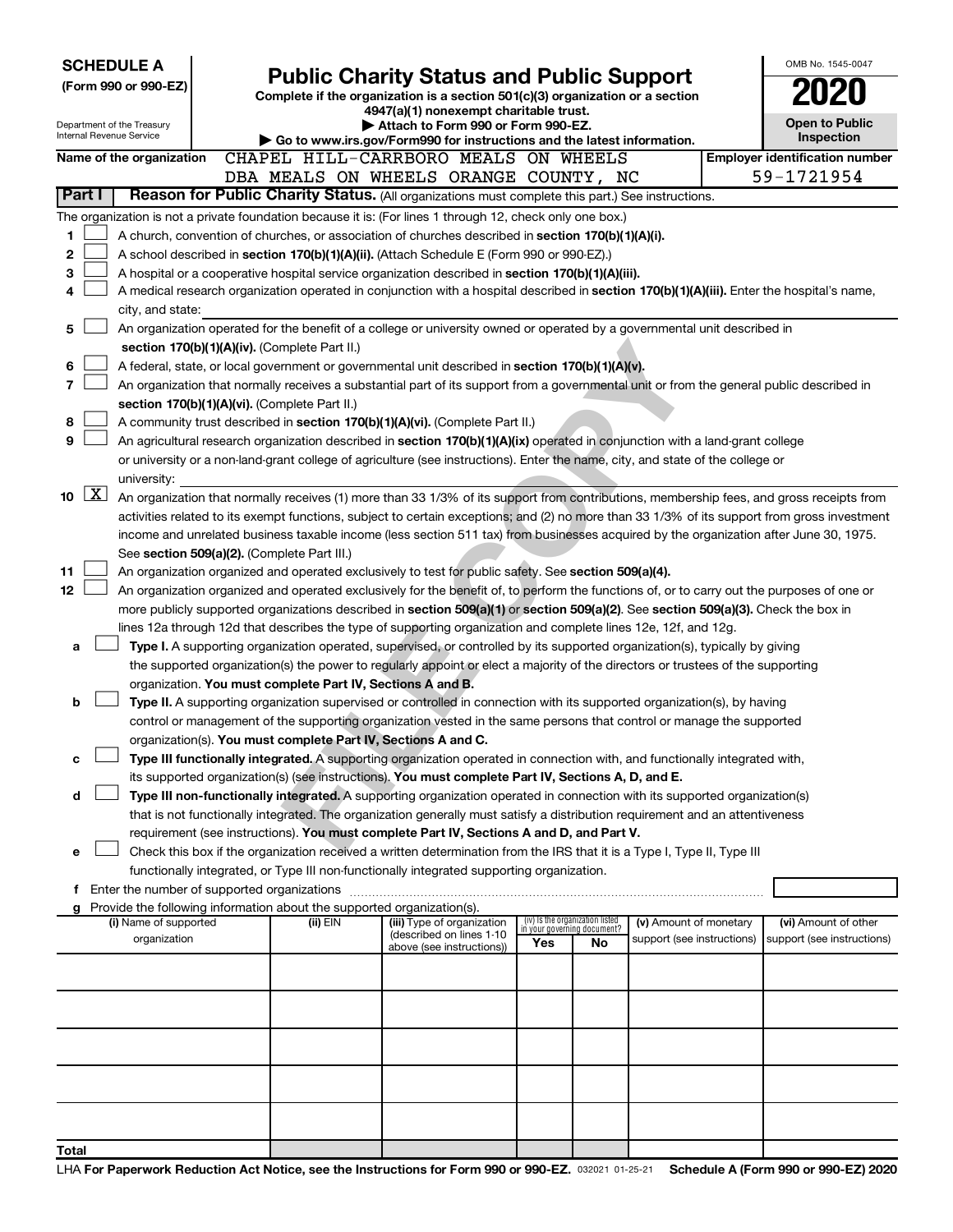| OMB No. 1545-0047<br><b>SCHEDULE A</b><br><b>Public Charity Status and Public Support</b>                 |  |                                                                               |                                                                                                                                                                                                                                               |                                                                |    |                            |  |                                                     |
|-----------------------------------------------------------------------------------------------------------|--|-------------------------------------------------------------------------------|-----------------------------------------------------------------------------------------------------------------------------------------------------------------------------------------------------------------------------------------------|----------------------------------------------------------------|----|----------------------------|--|-----------------------------------------------------|
| (Form 990 or 990-EZ)                                                                                      |  | Complete if the organization is a section 501(c)(3) organization or a section |                                                                                                                                                                                                                                               |                                                                |    |                            |  |                                                     |
|                                                                                                           |  |                                                                               | 4947(a)(1) nonexempt charitable trust.                                                                                                                                                                                                        |                                                                |    |                            |  |                                                     |
| Department of the Treasury<br>Internal Revenue Service                                                    |  |                                                                               | Attach to Form 990 or Form 990-EZ.                                                                                                                                                                                                            |                                                                |    |                            |  | <b>Open to Public</b>                               |
|                                                                                                           |  |                                                                               | Go to www.irs.gov/Form990 for instructions and the latest information.                                                                                                                                                                        |                                                                |    |                            |  | <b>Inspection</b>                                   |
| Name of the organization                                                                                  |  |                                                                               | CHAPEL HILL-CARRBORO MEALS ON WHEELS<br>DBA MEALS ON WHEELS ORANGE COUNTY, NC                                                                                                                                                                 |                                                                |    |                            |  | <b>Employer identification number</b><br>59-1721954 |
| Part I                                                                                                    |  |                                                                               | Reason for Public Charity Status. (All organizations must complete this part.) See instructions.                                                                                                                                              |                                                                |    |                            |  |                                                     |
| The organization is not a private foundation because it is: (For lines 1 through 12, check only one box.) |  |                                                                               |                                                                                                                                                                                                                                               |                                                                |    |                            |  |                                                     |
| 1                                                                                                         |  |                                                                               | A church, convention of churches, or association of churches described in <b>section 170(b)(1)(A)(i).</b>                                                                                                                                     |                                                                |    |                            |  |                                                     |
| 2                                                                                                         |  |                                                                               | A school described in section 170(b)(1)(A)(ii). (Attach Schedule E (Form 990 or 990-EZ).)                                                                                                                                                     |                                                                |    |                            |  |                                                     |
| 3                                                                                                         |  |                                                                               | A hospital or a cooperative hospital service organization described in section 170(b)(1)(A)(iii).                                                                                                                                             |                                                                |    |                            |  |                                                     |
| 4                                                                                                         |  |                                                                               | A medical research organization operated in conjunction with a hospital described in section 170(b)(1)(A)(iii). Enter the hospital's name,                                                                                                    |                                                                |    |                            |  |                                                     |
| city, and state:                                                                                          |  |                                                                               |                                                                                                                                                                                                                                               |                                                                |    |                            |  |                                                     |
| 5                                                                                                         |  |                                                                               | An organization operated for the benefit of a college or university owned or operated by a governmental unit described in                                                                                                                     |                                                                |    |                            |  |                                                     |
|                                                                                                           |  | section 170(b)(1)(A)(iv). (Complete Part II.)                                 |                                                                                                                                                                                                                                               |                                                                |    |                            |  |                                                     |
| 6                                                                                                         |  |                                                                               | A federal, state, or local government or governmental unit described in section 170(b)(1)(A)(v).                                                                                                                                              |                                                                |    |                            |  |                                                     |
| 7                                                                                                         |  |                                                                               | An organization that normally receives a substantial part of its support from a governmental unit or from the general public described in                                                                                                     |                                                                |    |                            |  |                                                     |
|                                                                                                           |  | section 170(b)(1)(A)(vi). (Complete Part II.)                                 |                                                                                                                                                                                                                                               |                                                                |    |                            |  |                                                     |
| 8<br>9                                                                                                    |  |                                                                               | A community trust described in section 170(b)(1)(A)(vi). (Complete Part II.)<br>An agricultural research organization described in section 170(b)(1)(A)(ix) operated in conjunction with a land-grant college                                 |                                                                |    |                            |  |                                                     |
|                                                                                                           |  |                                                                               | or university or a non-land-grant college of agriculture (see instructions). Enter the name, city, and state of the college or                                                                                                                |                                                                |    |                            |  |                                                     |
| university:                                                                                               |  |                                                                               |                                                                                                                                                                                                                                               |                                                                |    |                            |  |                                                     |
| $\boxed{\text{X}}$<br>10                                                                                  |  |                                                                               | An organization that normally receives (1) more than 33 1/3% of its support from contributions, membership fees, and gross receipts from                                                                                                      |                                                                |    |                            |  |                                                     |
|                                                                                                           |  |                                                                               | activities related to its exempt functions, subject to certain exceptions; and (2) no more than 33 1/3% of its support from gross investment                                                                                                  |                                                                |    |                            |  |                                                     |
|                                                                                                           |  |                                                                               | income and unrelated business taxable income (less section 511 tax) from businesses acquired by the organization after June 30, 1975.                                                                                                         |                                                                |    |                            |  |                                                     |
|                                                                                                           |  | See section 509(a)(2). (Complete Part III.)                                   |                                                                                                                                                                                                                                               |                                                                |    |                            |  |                                                     |
| 11                                                                                                        |  |                                                                               | An organization organized and operated exclusively to test for public safety. See section 509(a)(4).                                                                                                                                          |                                                                |    |                            |  |                                                     |
| 12                                                                                                        |  |                                                                               | An organization organized and operated exclusively for the benefit of, to perform the functions of, or to carry out the purposes of one or                                                                                                    |                                                                |    |                            |  |                                                     |
|                                                                                                           |  |                                                                               | more publicly supported organizations described in section 509(a)(1) or section 509(a)(2). See section 509(a)(3). Check the box in                                                                                                            |                                                                |    |                            |  |                                                     |
|                                                                                                           |  |                                                                               | lines 12a through 12d that describes the type of supporting organization and complete lines 12e, 12f, and 12g.<br>Type I. A supporting organization operated, supervised, or controlled by its supported organization(s), typically by giving |                                                                |    |                            |  |                                                     |
| а                                                                                                         |  |                                                                               | the supported organization(s) the power to regularly appoint or elect a majority of the directors or trustees of the supporting                                                                                                               |                                                                |    |                            |  |                                                     |
|                                                                                                           |  | organization. You must complete Part IV, Sections A and B.                    |                                                                                                                                                                                                                                               |                                                                |    |                            |  |                                                     |
| b                                                                                                         |  |                                                                               | Type II. A supporting organization supervised or controlled in connection with its supported organization(s), by having                                                                                                                       |                                                                |    |                            |  |                                                     |
|                                                                                                           |  |                                                                               | control or management of the supporting organization vested in the same persons that control or manage the supported                                                                                                                          |                                                                |    |                            |  |                                                     |
|                                                                                                           |  | organization(s). You must complete Part IV, Sections A and C.                 |                                                                                                                                                                                                                                               |                                                                |    |                            |  |                                                     |
| с                                                                                                         |  |                                                                               | Type III functionally integrated. A supporting organization operated in connection with, and functionally integrated with,                                                                                                                    |                                                                |    |                            |  |                                                     |
|                                                                                                           |  |                                                                               | its supported organization(s) (see instructions). You must complete Part IV, Sections A, D, and E.                                                                                                                                            |                                                                |    |                            |  |                                                     |
| d                                                                                                         |  |                                                                               | Type III non-functionally integrated. A supporting organization operated in connection with its supported organization(s)                                                                                                                     |                                                                |    |                            |  |                                                     |
|                                                                                                           |  |                                                                               | that is not functionally integrated. The organization generally must satisfy a distribution requirement and an attentiveness                                                                                                                  |                                                                |    |                            |  |                                                     |
| e                                                                                                         |  |                                                                               | requirement (see instructions). You must complete Part IV, Sections A and D, and Part V.<br>Check this box if the organization received a written determination from the IRS that it is a Type I, Type II, Type III                           |                                                                |    |                            |  |                                                     |
|                                                                                                           |  |                                                                               | functionally integrated, or Type III non-functionally integrated supporting organization.                                                                                                                                                     |                                                                |    |                            |  |                                                     |
|                                                                                                           |  |                                                                               |                                                                                                                                                                                                                                               |                                                                |    |                            |  |                                                     |
| Provide the following information about the supported organization(s).<br>g                               |  |                                                                               |                                                                                                                                                                                                                                               |                                                                |    |                            |  |                                                     |
| (i) Name of supported                                                                                     |  | (ii) EIN                                                                      | (iii) Type of organization<br>(described on lines 1-10                                                                                                                                                                                        | (iv) Is the organization listed<br>in your governing document? |    | (v) Amount of monetary     |  | (vi) Amount of other                                |
| organization                                                                                              |  |                                                                               | above (see instructions))                                                                                                                                                                                                                     | Yes                                                            | No | support (see instructions) |  | support (see instructions)                          |
|                                                                                                           |  |                                                                               |                                                                                                                                                                                                                                               |                                                                |    |                            |  |                                                     |
|                                                                                                           |  |                                                                               |                                                                                                                                                                                                                                               |                                                                |    |                            |  |                                                     |
|                                                                                                           |  |                                                                               |                                                                                                                                                                                                                                               |                                                                |    |                            |  |                                                     |
|                                                                                                           |  |                                                                               |                                                                                                                                                                                                                                               |                                                                |    |                            |  |                                                     |
|                                                                                                           |  |                                                                               |                                                                                                                                                                                                                                               |                                                                |    |                            |  |                                                     |
|                                                                                                           |  |                                                                               |                                                                                                                                                                                                                                               |                                                                |    |                            |  |                                                     |
|                                                                                                           |  |                                                                               |                                                                                                                                                                                                                                               |                                                                |    |                            |  |                                                     |
|                                                                                                           |  |                                                                               |                                                                                                                                                                                                                                               |                                                                |    |                            |  |                                                     |
|                                                                                                           |  |                                                                               |                                                                                                                                                                                                                                               |                                                                |    |                            |  |                                                     |
| Total                                                                                                     |  |                                                                               |                                                                                                                                                                                                                                               |                                                                |    |                            |  |                                                     |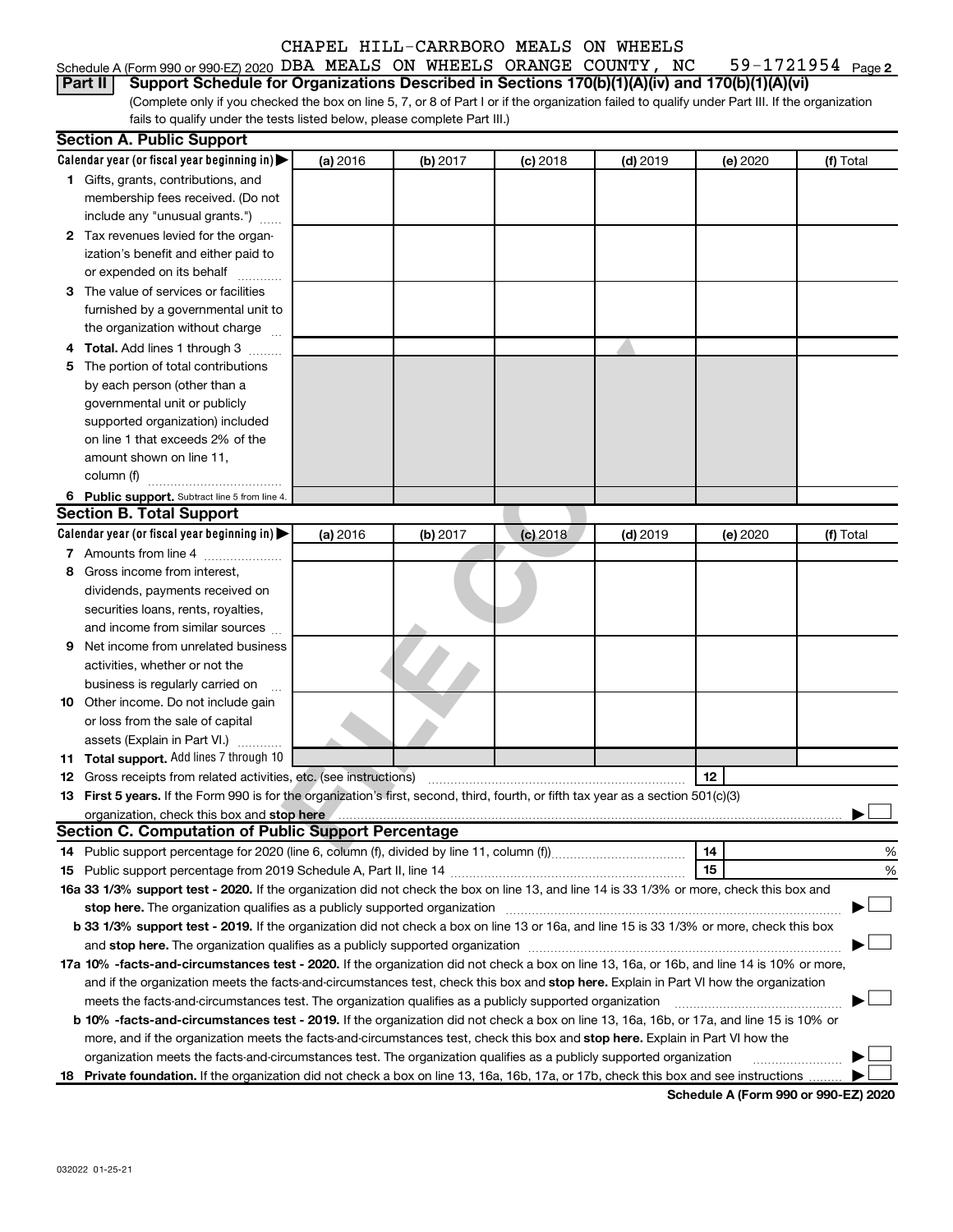#### 59-1721954 Page 2 Schedule A (Form 990 or 990-EZ) 2020 DBA MEALS ON WHEELS ORANGE COUNTY, NC  $-$  59-1721954  $\,$  Page

(Complete only if you checked the box on line 5, 7, or 8 of Part I or if the organization failed to qualify under Part III. If the organization fails to qualify under the tests listed below, please complete Part III.) **Part II Support Schedule for Organizations Described in Sections 170(b)(1)(A)(iv) and 170(b)(1)(A)(vi)**

|    | <b>Section A. Public Support</b>                                                                                                                                                                                               |          |          |            |            |          |           |
|----|--------------------------------------------------------------------------------------------------------------------------------------------------------------------------------------------------------------------------------|----------|----------|------------|------------|----------|-----------|
|    | Calendar year (or fiscal year beginning in)                                                                                                                                                                                    | (a) 2016 | (b) 2017 | $(c)$ 2018 | $(d)$ 2019 | (e) 2020 | (f) Total |
|    | 1 Gifts, grants, contributions, and                                                                                                                                                                                            |          |          |            |            |          |           |
|    | membership fees received. (Do not                                                                                                                                                                                              |          |          |            |            |          |           |
|    | include any "unusual grants.")                                                                                                                                                                                                 |          |          |            |            |          |           |
|    | 2 Tax revenues levied for the organ-                                                                                                                                                                                           |          |          |            |            |          |           |
|    | ization's benefit and either paid to                                                                                                                                                                                           |          |          |            |            |          |           |
|    | or expended on its behalf                                                                                                                                                                                                      |          |          |            |            |          |           |
|    | 3 The value of services or facilities                                                                                                                                                                                          |          |          |            |            |          |           |
|    | furnished by a governmental unit to                                                                                                                                                                                            |          |          |            |            |          |           |
|    | the organization without charge                                                                                                                                                                                                |          |          |            |            |          |           |
|    | 4 Total. Add lines 1 through 3                                                                                                                                                                                                 |          |          |            |            |          |           |
| 5. | The portion of total contributions                                                                                                                                                                                             |          |          |            |            |          |           |
|    | by each person (other than a                                                                                                                                                                                                   |          |          |            |            |          |           |
|    | governmental unit or publicly                                                                                                                                                                                                  |          |          |            |            |          |           |
|    | supported organization) included                                                                                                                                                                                               |          |          |            |            |          |           |
|    | on line 1 that exceeds 2% of the                                                                                                                                                                                               |          |          |            |            |          |           |
|    | amount shown on line 11,                                                                                                                                                                                                       |          |          |            |            |          |           |
|    | column (f)                                                                                                                                                                                                                     |          |          |            |            |          |           |
|    | 6 Public support. Subtract line 5 from line 4.                                                                                                                                                                                 |          |          |            |            |          |           |
|    | <b>Section B. Total Support</b>                                                                                                                                                                                                |          |          |            |            |          |           |
|    | Calendar year (or fiscal year beginning in)                                                                                                                                                                                    | (a) 2016 | (b) 2017 | $(c)$ 2018 | $(d)$ 2019 | (e) 2020 | (f) Total |
|    | 7 Amounts from line 4                                                                                                                                                                                                          |          |          |            |            |          |           |
| 8  | Gross income from interest,                                                                                                                                                                                                    |          |          |            |            |          |           |
|    | dividends, payments received on                                                                                                                                                                                                |          |          |            |            |          |           |
|    | securities loans, rents, royalties,                                                                                                                                                                                            |          |          |            |            |          |           |
|    | and income from similar sources                                                                                                                                                                                                |          |          |            |            |          |           |
| 9  | Net income from unrelated business                                                                                                                                                                                             |          |          |            |            |          |           |
|    | activities, whether or not the                                                                                                                                                                                                 |          |          |            |            |          |           |
|    | business is regularly carried on                                                                                                                                                                                               |          |          |            |            |          |           |
|    | 10 Other income. Do not include gain                                                                                                                                                                                           |          |          |            |            |          |           |
|    | or loss from the sale of capital                                                                                                                                                                                               |          |          |            |            |          |           |
|    | assets (Explain in Part VI.)                                                                                                                                                                                                   |          |          |            |            |          |           |
|    | 11 Total support. Add lines 7 through 10                                                                                                                                                                                       |          |          |            |            |          |           |
|    | <b>12</b> Gross receipts from related activities, etc. (see instructions)                                                                                                                                                      |          |          |            |            | 12       |           |
|    | 13 First 5 years. If the Form 990 is for the organization's first, second, third, fourth, or fifth tax year as a section 501(c)(3)                                                                                             |          |          |            |            |          |           |
|    | organization, check this box and stop here (entertainment content content content and content and content and stop here (entertainment content and stop here (entertainment and stop here and stop here and stop here and stop |          |          |            |            |          |           |
|    | <b>Section C. Computation of Public Support Percentage</b>                                                                                                                                                                     |          |          |            |            |          |           |
|    |                                                                                                                                                                                                                                |          |          |            |            | 14       | %         |
|    |                                                                                                                                                                                                                                |          |          |            |            | 15       | %         |
|    | 16a 33 1/3% support test - 2020. If the organization did not check the box on line 13, and line 14 is 33 1/3% or more, check this box and                                                                                      |          |          |            |            |          |           |
|    | stop here. The organization qualifies as a publicly supported organization                                                                                                                                                     |          |          |            |            |          |           |
|    | b 33 1/3% support test - 2019. If the organization did not check a box on line 13 or 16a, and line 15 is 33 1/3% or more, check this box                                                                                       |          |          |            |            |          |           |
|    |                                                                                                                                                                                                                                |          |          |            |            |          |           |
|    | 17a 10% -facts-and-circumstances test - 2020. If the organization did not check a box on line 13, 16a, or 16b, and line 14 is 10% or more,                                                                                     |          |          |            |            |          |           |
|    | and if the organization meets the facts-and-circumstances test, check this box and stop here. Explain in Part VI how the organization                                                                                          |          |          |            |            |          |           |
|    | meets the facts-and-circumstances test. The organization qualifies as a publicly supported organization                                                                                                                        |          |          |            |            |          |           |
|    | b 10% -facts-and-circumstances test - 2019. If the organization did not check a box on line 13, 16a, 16b, or 17a, and line 15 is 10% or                                                                                        |          |          |            |            |          |           |
|    | more, and if the organization meets the facts-and-circumstances test, check this box and stop here. Explain in Part VI how the                                                                                                 |          |          |            |            |          |           |
|    | organization meets the facts-and-circumstances test. The organization qualifies as a publicly supported organization                                                                                                           |          |          |            |            |          |           |
|    | 18 Private foundation. If the organization did not check a box on line 13, 16a, 16b, 17a, or 17b, check this box and see instructions                                                                                          |          |          |            |            |          |           |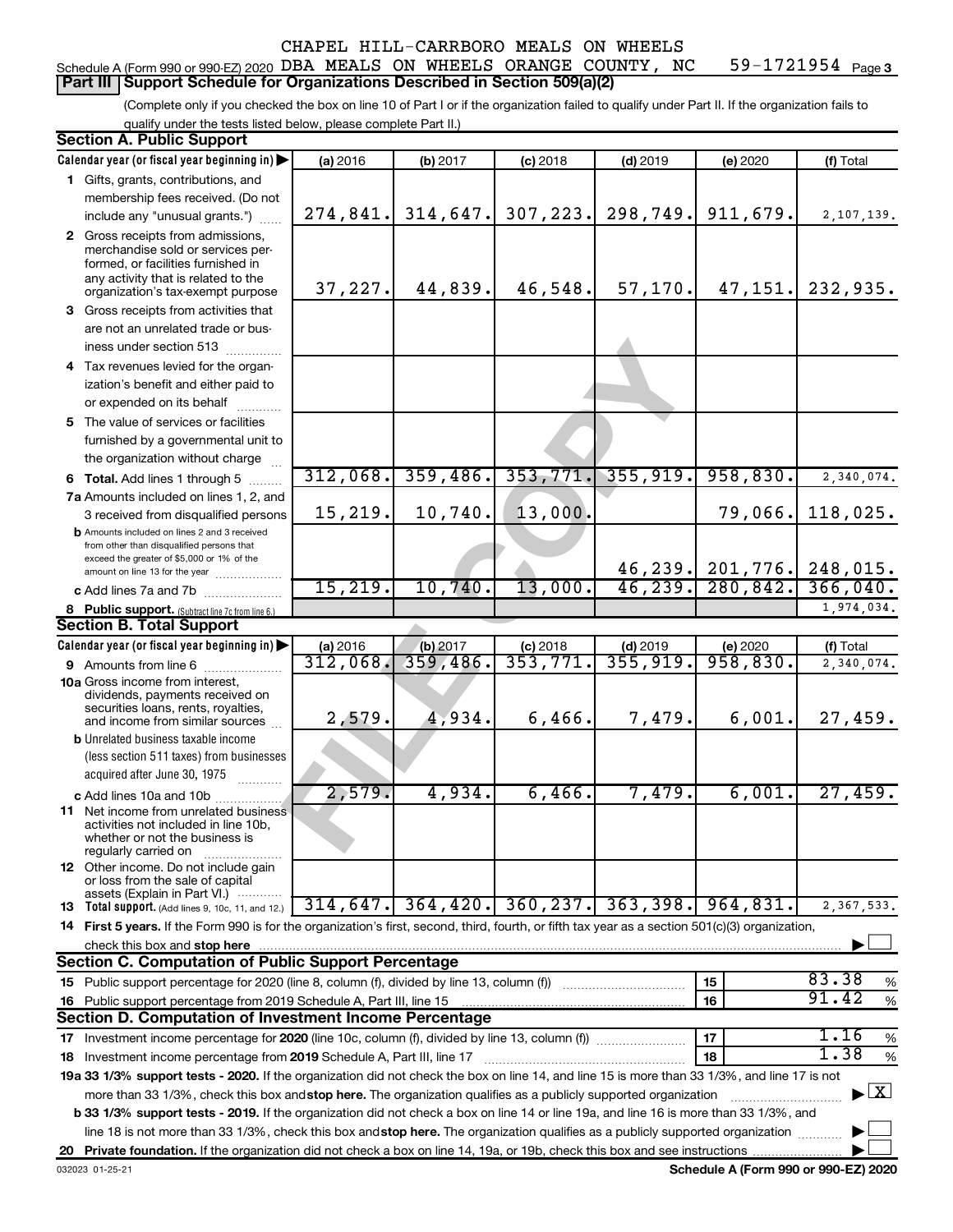#### 59-1721954 Page 3 Schedule A (Form 990 or 990-EZ) 2020 DBA MEALS ON WHEELS ORANGE COUNTY, NC  $-$  59-1721954  $\,$  Page **Part III Support Schedule for Organizations Described in Section 509(a)(2)**

(Complete only if you checked the box on line 10 of Part I or if the organization failed to qualify under Part II. If the organization fails to qualify under the tests listed below, please complete Part II.)

| <b>Section A. Public Support</b>                                                                                                                 |          |          |            |                                 |                    |                                          |
|--------------------------------------------------------------------------------------------------------------------------------------------------|----------|----------|------------|---------------------------------|--------------------|------------------------------------------|
| Calendar year (or fiscal year beginning in)                                                                                                      | (a) 2016 | (b) 2017 | $(c)$ 2018 | $(d)$ 2019                      | (e) 2020           | (f) Total                                |
| 1 Gifts, grants, contributions, and                                                                                                              |          |          |            |                                 |                    |                                          |
| membership fees received. (Do not                                                                                                                |          |          |            |                                 |                    |                                          |
| include any "unusual grants.")                                                                                                                   | 274,841. | 314,647. | 307,223.   | 298,749.                        | 911,679.           | 2,107,139.                               |
| 2 Gross receipts from admissions,                                                                                                                |          |          |            |                                 |                    |                                          |
| merchandise sold or services per-                                                                                                                |          |          |            |                                 |                    |                                          |
| formed, or facilities furnished in                                                                                                               |          |          |            |                                 |                    |                                          |
| any activity that is related to the<br>organization's tax-exempt purpose                                                                         | 37,227.  | 44,839.  | 46,548.    | 57, 170.                        | 47,151.            | 232,935.                                 |
| 3 Gross receipts from activities that                                                                                                            |          |          |            |                                 |                    |                                          |
| are not an unrelated trade or bus-                                                                                                               |          |          |            |                                 |                    |                                          |
| iness under section 513                                                                                                                          |          |          |            |                                 |                    |                                          |
| 4 Tax revenues levied for the organ-                                                                                                             |          |          |            |                                 |                    |                                          |
| ization's benefit and either paid to                                                                                                             |          |          |            |                                 |                    |                                          |
| or expended on its behalf                                                                                                                        |          |          |            |                                 |                    |                                          |
| 5 The value of services or facilities                                                                                                            |          |          |            |                                 |                    |                                          |
| furnished by a governmental unit to                                                                                                              |          |          |            |                                 |                    |                                          |
| the organization without charge                                                                                                                  |          |          |            |                                 |                    |                                          |
| 6 Total. Add lines 1 through 5                                                                                                                   | 312,068. | 359,486. | 353,771.   | 355,919.                        | 958,830.           | 2,340,074.                               |
| 7a Amounts included on lines 1, 2, and                                                                                                           |          |          |            |                                 |                    |                                          |
| 3 received from disqualified persons                                                                                                             | 15,219.  | 10,740.  | 13,000.    |                                 | 79,066.            | 118,025.                                 |
| <b>b</b> Amounts included on lines 2 and 3 received                                                                                              |          |          |            |                                 |                    |                                          |
| from other than disqualified persons that                                                                                                        |          |          |            |                                 |                    |                                          |
| exceed the greater of \$5,000 or 1% of the<br>amount on line 13 for the year                                                                     |          |          |            |                                 | 46, 239. 201, 776. | 248,015.                                 |
| c Add lines 7a and 7b                                                                                                                            | 15, 219. | 10,740.  | 13,000.    | 46, 239.                        | 280, 842.          | 366,040.                                 |
| 8 Public support. (Subtract line 7c from line 6.)                                                                                                |          |          |            |                                 |                    | 1,974,034.                               |
| <b>Section B. Total Support</b>                                                                                                                  |          |          |            |                                 |                    |                                          |
| Calendar year (or fiscal year beginning in)                                                                                                      | (a) 2016 | (b) 2017 | $(c)$ 2018 | $(d)$ 2019                      | (e) 2020           | (f) Total                                |
| 9 Amounts from line 6                                                                                                                            | 312,068  | 359,486. | 353,771    | $\overline{355}$ , 919.         | 958,830.           | 2,340,074.                               |
| <b>10a</b> Gross income from interest,                                                                                                           |          |          |            |                                 |                    |                                          |
| dividends, payments received on                                                                                                                  |          |          |            |                                 |                    |                                          |
| securities loans, rents, royalties,<br>and income from similar sources                                                                           | 2,579.   | 4,934.   | 6,466.     | 7,479.                          | 6,001.             | 27,459.                                  |
| <b>b</b> Unrelated business taxable income                                                                                                       |          |          |            |                                 |                    |                                          |
| (less section 511 taxes) from businesses                                                                                                         |          |          |            |                                 |                    |                                          |
| acquired after June 30, 1975                                                                                                                     |          |          |            |                                 |                    |                                          |
| c Add lines 10a and 10b                                                                                                                          | 2,579.   | 4,934.   | 6,466.     | 7,479.                          | 6,001.             | 27,459.                                  |
| <b>11</b> Net income from unrelated business                                                                                                     |          |          |            |                                 |                    |                                          |
| activities not included in line 10b,                                                                                                             |          |          |            |                                 |                    |                                          |
| whether or not the business is<br>regularly carried on                                                                                           |          |          |            |                                 |                    |                                          |
| <b>12</b> Other income. Do not include gain                                                                                                      |          |          |            |                                 |                    |                                          |
| or loss from the sale of capital                                                                                                                 |          |          |            |                                 |                    |                                          |
| assets (Explain in Part VI.)<br>13 Total support. (Add lines 9, 10c, 11, and 12.)                                                                | 314,647. |          |            | $364, 420.$ 360, 237. 363, 398. | 964,831.           | 2,367,533.                               |
| 14 First 5 years. If the Form 990 is for the organization's first, second, third, fourth, or fifth tax year as a section 501(c)(3) organization, |          |          |            |                                 |                    |                                          |
| check this box and stop here                                                                                                                     |          |          |            |                                 |                    |                                          |
| <b>Section C. Computation of Public Support Percentage</b>                                                                                       |          |          |            |                                 |                    |                                          |
|                                                                                                                                                  |          |          |            |                                 | 15                 | 83.38<br>$\%$                            |
| 16 Public support percentage from 2019 Schedule A, Part III, line 15                                                                             |          |          |            |                                 | 16                 | 91.42<br>$\%$                            |
| Section D. Computation of Investment Income Percentage                                                                                           |          |          |            |                                 |                    |                                          |
|                                                                                                                                                  |          |          |            |                                 | 17                 | 1.16<br>$\%$                             |
| 18 Investment income percentage from 2019 Schedule A, Part III, line 17                                                                          |          |          |            |                                 | 18                 | 1.38<br>$\%$                             |
| 19a 33 1/3% support tests - 2020. If the organization did not check the box on line 14, and line 15 is more than 33 1/3%, and line 17 is not     |          |          |            |                                 |                    |                                          |
| more than 33 1/3%, check this box and stop here. The organization qualifies as a publicly supported organization                                 |          |          |            |                                 |                    | $\blacktriangleright$ $\boxed{\text{X}}$ |
| b 33 1/3% support tests - 2019. If the organization did not check a box on line 14 or line 19a, and line 16 is more than 33 1/3%, and            |          |          |            |                                 |                    |                                          |
| line 18 is not more than 33 1/3%, check this box and stop here. The organization qualifies as a publicly supported organization                  |          |          |            |                                 |                    |                                          |
|                                                                                                                                                  |          |          |            |                                 |                    |                                          |
|                                                                                                                                                  |          |          |            |                                 |                    |                                          |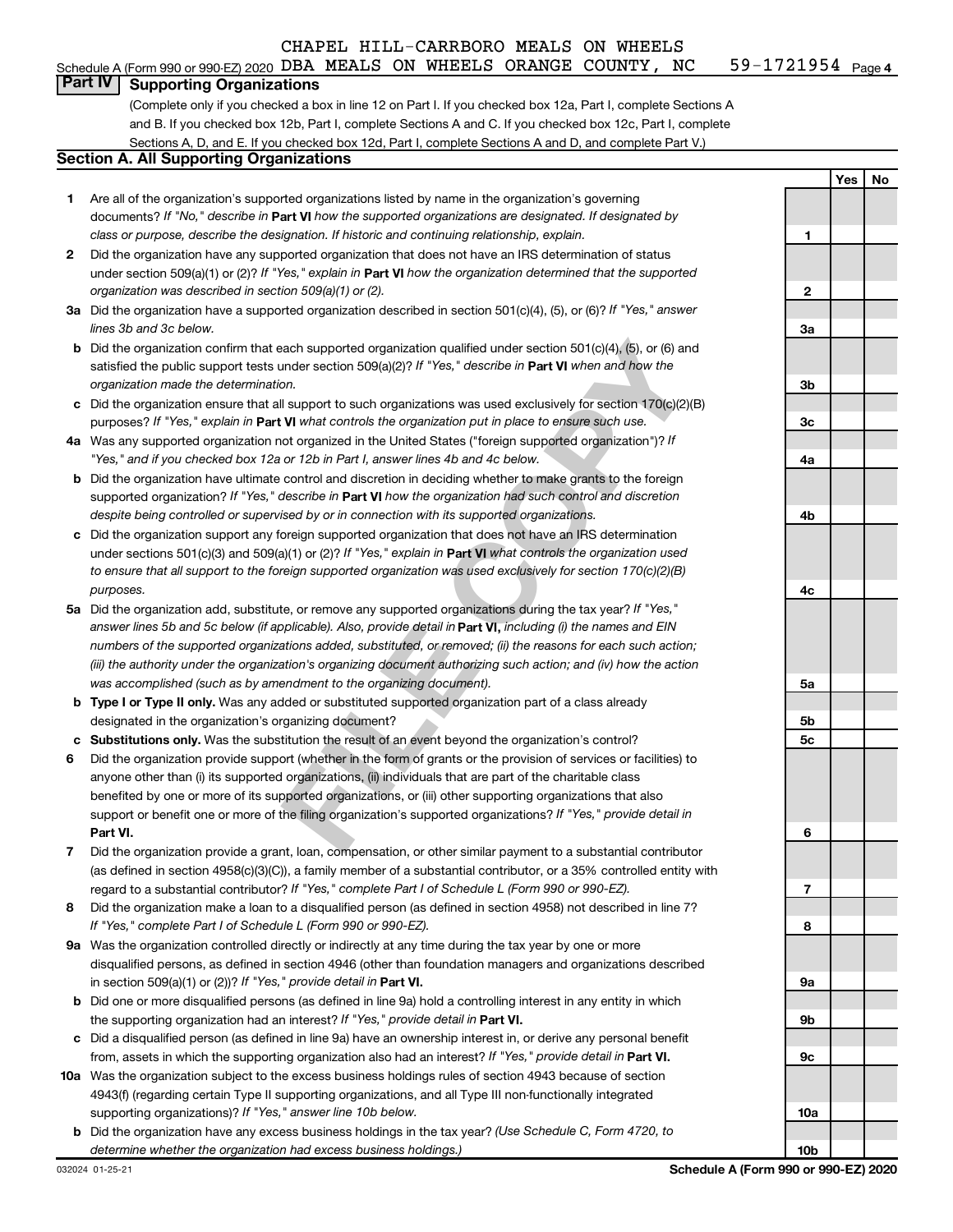#### 59-1721954 <sub>Page 4</sub> Schedule A (Form 990 or 990-EZ) 2020 DBA MEALS ON WHEELS ORANGE COUNTY, NC  $-$  59-1721954  $\,$  Page

#### **Part IV Supporting Organizations**

(Complete only if you checked a box in line 12 on Part I. If you checked box 12a, Part I, complete Sections A and B. If you checked box 12b, Part I, complete Sections A and C. If you checked box 12c, Part I, complete Sections A, D, and E. If you checked box 12d, Part I, complete Sections A and D, and complete Part V.)

#### **Section A. All Supporting Organizations**

- documents? If "No," describe in Part VI how the supported organizations are designated. If designated by *class or purpose, describe the designation. If historic and continuing relationship, explain.* 1 Are all of the organization's supported organizations listed by name in the organization's governing
- under section 509(a)(1) or (2)? If "Yes," explain in Part **VI** how the organization determined that the supported *organization was described in section 509(a)(1) or (2).* 2 Did the organization have any supported organization that does not have an IRS determination of status
- Did the organization have a supported organization described in section 501(c)(4), (5), or (6)? If "Yes," answer *lines 3b and 3c below.*
- satisfied the public support tests under section 509(a)(2)? If "Yes," describe in Part VI when and how the *organization made the determination.* b Did the organization confirm that each supported organization qualified under section 501(c)(4), (5), or (6) and
- purposes? If "Yes," explain in Part VI what controls the organization put in place to ensure such use.  $c$  Did the organization ensure that all support to such organizations was used exclusively for section 170(c)(2)(B)
- Was any supported organization not organized in the United States ("foreign supported organization")? If *"Yes," and if you checked box 12a or 12b in Part I, answer lines 4b and 4c below.*
- supported organization? If "Yes," describe in Part VI how the organization had such control and discretion *despite being controlled or supervised by or in connection with its supported organizations.* **b** Did the organization have ultimate control and discretion in deciding whether to make grants to the foreign
- under sections 501(c)(3) and 509(a)(1) or (2)? If "Yes," explain in Part VI what controls the organization used *to ensure that all support to the foreign supported organization was used exclusively for section 170(c)(2)(B) purposes.* Did the organization support any foreign supported organization that does not have an IRS determination
- **FILE COPY** answer lines 5b and 5c below (if applicable). Also, provide detail in **Part VI,** including (i) the names and EIN Did the organization add, substitute, or remove any supported organizations during the tax year? If "Yes," *numbers of the supported organizations added, substituted, or removed; (ii) the reasons for each such action; (iii) the authority under the organization's organizing document authorizing such action; and (iv) how the action was accomplished (such as by amendment to the organizing document).*
- **Type I or Type II only.** Was any added or substituted supported organization part of a class already designated in the organization's organizing document?
- Substitutions only. Was the substitution the result of an event beyond the organization's control?
- 1 2 3 4 5 6 7 8 <del>9</del> **abcabcabcabcab Part VI.** support or benefit one or more of the filing organization's supported organizations? If "Yes," provide detail in Did the organization provide support (whether in the form of grants or the provision of services or facilities) to anyone other than (i) its supported organizations, (ii) individuals that are part of the charitable class benefited by one or more of its supported organizations, or (iii) other supporting organizations that also
- regard to a substantial contributor? If "Yes," complete Part I of Schedule L (Form 990 or 990-EZ). Did the organization provide a grant, loan, compensation, or other similar payment to a substantial contributor (as defined in section 4958(c)(3)(C)), a family member of a substantial contributor, or a 35% controlled entity with
- *If "Yes," complete Part I of Schedule L (Form 990 or 990-EZ).* 8 Did the organization make a loan to a disqualified person (as defined in section 4958) not described in line 7?
- in section 509(a)(1) or (2))? If "Yes," provide detail in **Part VI.** 9a Was the organization controlled directly or indirectly at any time during the tax year by one or more disqualified persons, as defined in section 4946 (other than foundation managers and organizations described
- the supporting organization had an interest? If "Yes," provide detail in Part VI. **b** Did one or more disqualified persons (as defined in line 9a) hold a controlling interest in any entity in which
- from, assets in which the supporting organization also had an interest? If "Yes," provide detail in Part VI. Did a disqualified person (as defined in line 9a) have an ownership interest in, or derive any personal benefit
- **10** Was the organization subject to the excess business holdings rules of section 4943 because of section supporting organizations)? If "Yes," answer line 10b below. 4943(f) (regarding certain Type II supporting organizations, and all Type III non-functionally integrated
- *(Use Schedule C, Form 4720, to* Did the organization have any excess business holdings in the tax year? *determine whether the organization had excess business holdings.)*

**Yes No**  $\blacksquare$ **12**  $\overline{2}$ **3a 3b 3c 4a 4b 4c 5a 5b** 5c **5c**<br>**6**<br>**7**<br>**8** 6  $\overline{7}$ 8 **9a 9b 9c 10a 10b**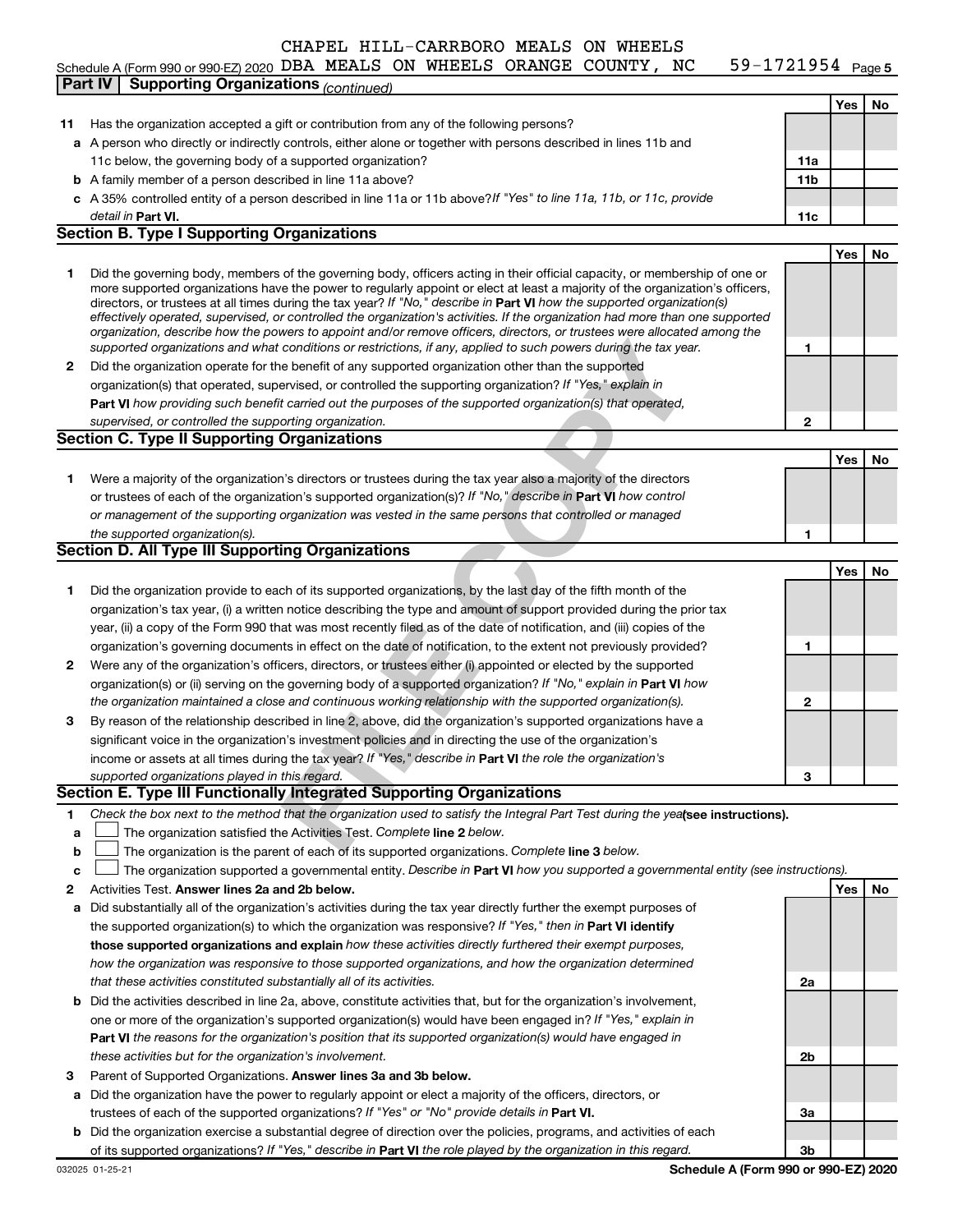#### 59-1721954 Page 5 Schedule A (Form 990 or 990-EZ) 2020 DBA MEALS ON WHEELS ORANGE COUNTY, NC  $-$  59-1721954  $\,$  Page

|    | $\frac{1}{2}$ contracted $\frac{1}{2}$ (i) only 550 or 550 °CZ, 2020 $\frac{1}{2}$<br><b>Supporting Organizations (continued)</b><br>Part IV                                                                                                                                                                                                                                                                                                                                                                             |                 |     | ∣ auc J |
|----|--------------------------------------------------------------------------------------------------------------------------------------------------------------------------------------------------------------------------------------------------------------------------------------------------------------------------------------------------------------------------------------------------------------------------------------------------------------------------------------------------------------------------|-----------------|-----|---------|
|    |                                                                                                                                                                                                                                                                                                                                                                                                                                                                                                                          |                 | Yes | No.     |
| 11 | Has the organization accepted a gift or contribution from any of the following persons?                                                                                                                                                                                                                                                                                                                                                                                                                                  |                 |     |         |
|    | a A person who directly or indirectly controls, either alone or together with persons described in lines 11b and                                                                                                                                                                                                                                                                                                                                                                                                         |                 |     |         |
|    | 11c below, the governing body of a supported organization?                                                                                                                                                                                                                                                                                                                                                                                                                                                               | 11a             |     |         |
|    | <b>b</b> A family member of a person described in line 11a above?                                                                                                                                                                                                                                                                                                                                                                                                                                                        | 11 <sub>b</sub> |     |         |
|    | c A 35% controlled entity of a person described in line 11a or 11b above? If "Yes" to line 11a, 11b, or 11c, provide                                                                                                                                                                                                                                                                                                                                                                                                     |                 |     |         |
|    | detail in <b>Part VI.</b>                                                                                                                                                                                                                                                                                                                                                                                                                                                                                                | 11c             |     |         |
|    | <b>Section B. Type I Supporting Organizations</b>                                                                                                                                                                                                                                                                                                                                                                                                                                                                        |                 |     |         |
|    |                                                                                                                                                                                                                                                                                                                                                                                                                                                                                                                          |                 | Yes | No      |
| 1  | Did the governing body, members of the governing body, officers acting in their official capacity, or membership of one or<br>more supported organizations have the power to regularly appoint or elect at least a majority of the organization's officers,<br>directors, or trustees at all times during the tax year? If "No," describe in Part VI how the supported organization(s)<br>effectively operated, supervised, or controlled the organization's activities. If the organization had more than one supported |                 |     |         |
|    | organization, describe how the powers to appoint and/or remove officers, directors, or trustees were allocated among the<br>supported organizations and what conditions or restrictions, if any, applied to such powers during the tax year.                                                                                                                                                                                                                                                                             | 1               |     |         |
| 2  | Did the organization operate for the benefit of any supported organization other than the supported                                                                                                                                                                                                                                                                                                                                                                                                                      |                 |     |         |
|    | organization(s) that operated, supervised, or controlled the supporting organization? If "Yes," explain in                                                                                                                                                                                                                                                                                                                                                                                                               |                 |     |         |
|    | Part VI how providing such benefit carried out the purposes of the supported organization(s) that operated,                                                                                                                                                                                                                                                                                                                                                                                                              |                 |     |         |
|    | supervised, or controlled the supporting organization.                                                                                                                                                                                                                                                                                                                                                                                                                                                                   | 2               |     |         |
|    | <b>Section C. Type II Supporting Organizations</b>                                                                                                                                                                                                                                                                                                                                                                                                                                                                       |                 |     |         |
|    |                                                                                                                                                                                                                                                                                                                                                                                                                                                                                                                          |                 | Yes | No      |
| 1  | Were a majority of the organization's directors or trustees during the tax year also a majority of the directors                                                                                                                                                                                                                                                                                                                                                                                                         |                 |     |         |
|    | or trustees of each of the organization's supported organization(s)? If "No," describe in Part VI how control                                                                                                                                                                                                                                                                                                                                                                                                            |                 |     |         |
|    | or management of the supporting organization was vested in the same persons that controlled or managed                                                                                                                                                                                                                                                                                                                                                                                                                   |                 |     |         |
|    | the supported organization(s).                                                                                                                                                                                                                                                                                                                                                                                                                                                                                           | 1               |     |         |
|    | <b>Section D. All Type III Supporting Organizations</b>                                                                                                                                                                                                                                                                                                                                                                                                                                                                  |                 |     |         |
|    |                                                                                                                                                                                                                                                                                                                                                                                                                                                                                                                          |                 | Yes | No      |
| 1  | Did the organization provide to each of its supported organizations, by the last day of the fifth month of the                                                                                                                                                                                                                                                                                                                                                                                                           |                 |     |         |
|    | organization's tax year, (i) a written notice describing the type and amount of support provided during the prior tax                                                                                                                                                                                                                                                                                                                                                                                                    |                 |     |         |
|    | year, (ii) a copy of the Form 990 that was most recently filed as of the date of notification, and (iii) copies of the                                                                                                                                                                                                                                                                                                                                                                                                   |                 |     |         |
|    | organization's governing documents in effect on the date of notification, to the extent not previously provided?                                                                                                                                                                                                                                                                                                                                                                                                         | 1               |     |         |
| 2  | Were any of the organization's officers, directors, or trustees either (i) appointed or elected by the supported                                                                                                                                                                                                                                                                                                                                                                                                         |                 |     |         |
|    | organization(s) or (ii) serving on the governing body of a supported organization? If "No," explain in Part VI how                                                                                                                                                                                                                                                                                                                                                                                                       |                 |     |         |
|    | the organization maintained a close and continuous working relationship with the supported organization(s).                                                                                                                                                                                                                                                                                                                                                                                                              | 2               |     |         |
| з  | By reason of the relationship described in line 2, above, did the organization's supported organizations have a                                                                                                                                                                                                                                                                                                                                                                                                          |                 |     |         |
|    | significant voice in the organization's investment policies and in directing the use of the organization's                                                                                                                                                                                                                                                                                                                                                                                                               |                 |     |         |
|    | income or assets at all times during the tax year? If "Yes," describe in Part VI the role the organization's                                                                                                                                                                                                                                                                                                                                                                                                             | 3               |     |         |
|    | supported organizations played in this regard.<br>Section E. Type III Functionally Integrated Supporting Organizations                                                                                                                                                                                                                                                                                                                                                                                                   |                 |     |         |
| 1  | Check the box next to the method that the organization used to satisfy the Integral Part Test during the yealsee instructions).                                                                                                                                                                                                                                                                                                                                                                                          |                 |     |         |
| a  | The organization satisfied the Activities Test. Complete line 2 below.                                                                                                                                                                                                                                                                                                                                                                                                                                                   |                 |     |         |
| b  | The organization is the parent of each of its supported organizations. Complete line 3 below.                                                                                                                                                                                                                                                                                                                                                                                                                            |                 |     |         |
| c  | The organization supported a governmental entity. Describe in Part VI how you supported a governmental entity (see instructions).                                                                                                                                                                                                                                                                                                                                                                                        |                 |     |         |
| 2  | Activities Test. Answer lines 2a and 2b below.                                                                                                                                                                                                                                                                                                                                                                                                                                                                           |                 | Yes | No      |
| а  | Did substantially all of the organization's activities during the tax year directly further the exempt purposes of                                                                                                                                                                                                                                                                                                                                                                                                       |                 |     |         |
|    | the supported organization(s) to which the organization was responsive? If "Yes," then in Part VI identify                                                                                                                                                                                                                                                                                                                                                                                                               |                 |     |         |
|    | those supported organizations and explain how these activities directly furthered their exempt purposes,                                                                                                                                                                                                                                                                                                                                                                                                                 |                 |     |         |
|    | how the organization was responsive to those supported organizations, and how the organization determined                                                                                                                                                                                                                                                                                                                                                                                                                |                 |     |         |
|    | that these activities constituted substantially all of its activities.                                                                                                                                                                                                                                                                                                                                                                                                                                                   | 2a              |     |         |
| b  | Did the activities described in line 2a, above, constitute activities that, but for the organization's involvement,                                                                                                                                                                                                                                                                                                                                                                                                      |                 |     |         |
|    | one or more of the organization's supported organization(s) would have been engaged in? If "Yes," explain in                                                                                                                                                                                                                                                                                                                                                                                                             |                 |     |         |
|    | <b>Part VI</b> the reasons for the organization's position that its supported organization(s) would have engaged in                                                                                                                                                                                                                                                                                                                                                                                                      |                 |     |         |
|    | these activities but for the organization's involvement.                                                                                                                                                                                                                                                                                                                                                                                                                                                                 | 2b              |     |         |
| з  | Parent of Supported Organizations. Answer lines 3a and 3b below.                                                                                                                                                                                                                                                                                                                                                                                                                                                         |                 |     |         |
| a  | Did the organization have the power to regularly appoint or elect a majority of the officers, directors, or                                                                                                                                                                                                                                                                                                                                                                                                              |                 |     |         |
|    | trustees of each of the supported organizations? If "Yes" or "No" provide details in Part VI.                                                                                                                                                                                                                                                                                                                                                                                                                            | За              |     |         |
| b  | Did the organization exercise a substantial degree of direction over the policies, programs, and activities of each                                                                                                                                                                                                                                                                                                                                                                                                      |                 |     |         |
|    | of its supported organizations? If "Yes," describe in Part VI the role played by the organization in this regard.                                                                                                                                                                                                                                                                                                                                                                                                        | 3b              |     |         |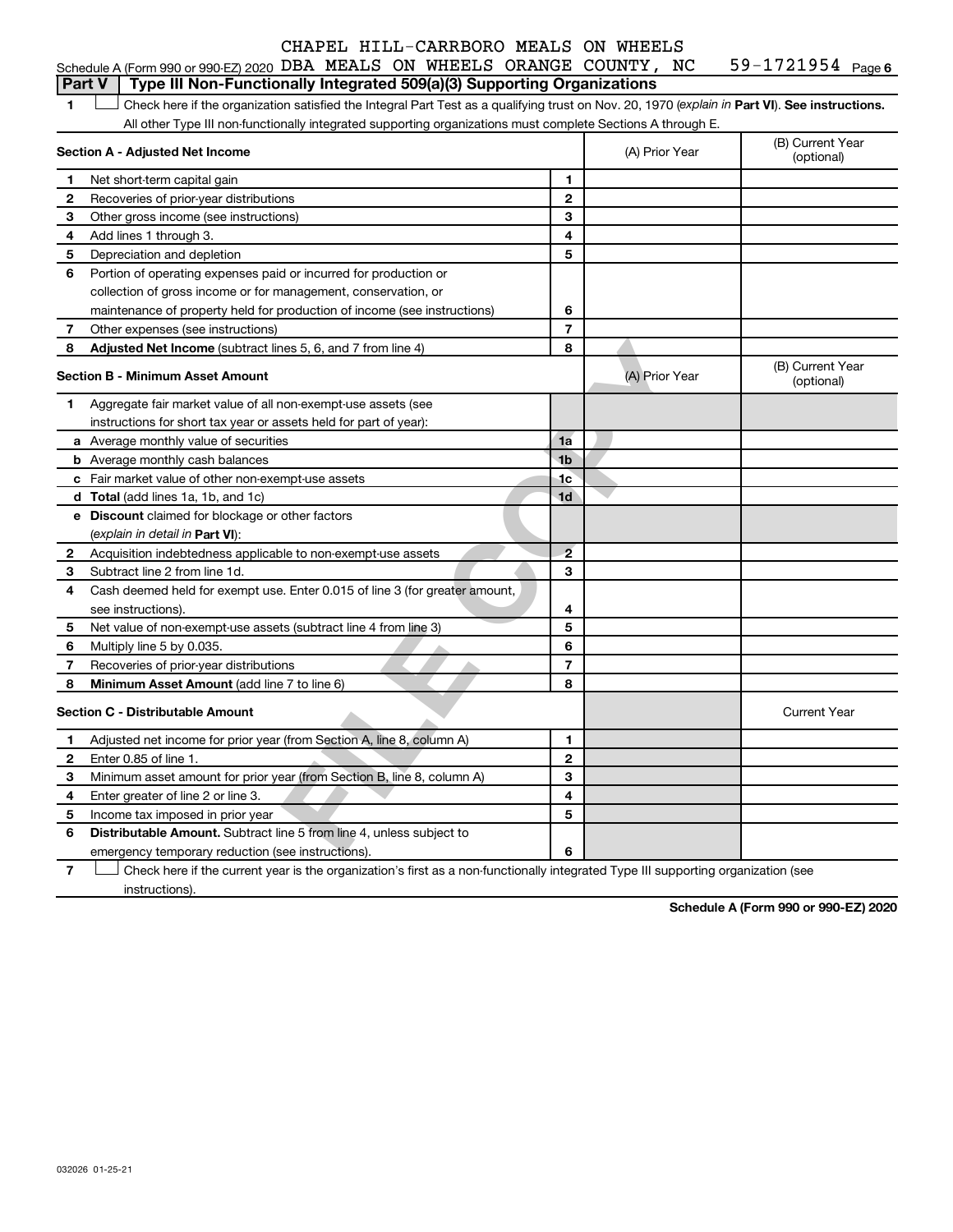#### Schedule A (Form 990 or 990-EZ) 2020 DBA MEALS ON WHEELS ORANGE COUNTY, NC  $-$  59-1721954  $\,$  Page **Part V Type III Non-Functionally Integrated 509(a)(3) Supporting Organizations**

59-1721954 Page 6

**1 Part VI** Check here if the organization satisfied the Integral Part Test as a qualifying trust on Nov. 20, 1970 (*explain in* Part **VI**). See instructions. All other Type III non-functionally integrated supporting organizations must complete Sections A through E.

| 1              | Check here if the organization satisfied the Integral Part Test as a qualifying trust on Nov. 20, 1970 (explain in Part VI). See instructions.<br>All other Type III non-functionally integrated supporting organizations must complete Sections A through E. |                |                |                                |
|----------------|---------------------------------------------------------------------------------------------------------------------------------------------------------------------------------------------------------------------------------------------------------------|----------------|----------------|--------------------------------|
|                | Section A - Adjusted Net Income                                                                                                                                                                                                                               |                | (A) Prior Year | (B) Current Year<br>(optional) |
| 1              | Net short-term capital gain                                                                                                                                                                                                                                   | 1              |                |                                |
| 2              | Recoveries of prior-year distributions                                                                                                                                                                                                                        | $\mathbf{2}$   |                |                                |
| З              | Other gross income (see instructions)                                                                                                                                                                                                                         | 3              |                |                                |
| 4              | Add lines 1 through 3.                                                                                                                                                                                                                                        | 4              |                |                                |
| 5              | Depreciation and depletion                                                                                                                                                                                                                                    | 5              |                |                                |
| 6              | Portion of operating expenses paid or incurred for production or                                                                                                                                                                                              |                |                |                                |
|                | collection of gross income or for management, conservation, or                                                                                                                                                                                                |                |                |                                |
|                | maintenance of property held for production of income (see instructions)                                                                                                                                                                                      | 6              |                |                                |
| 7              | Other expenses (see instructions)                                                                                                                                                                                                                             | $\overline{7}$ |                |                                |
| 8              | <b>Adjusted Net Income</b> (subtract lines 5, 6, and 7 from line 4)                                                                                                                                                                                           | 8              |                |                                |
|                | <b>Section B - Minimum Asset Amount</b>                                                                                                                                                                                                                       |                | (A) Prior Year | (B) Current Year<br>(optional) |
| 1.             | Aggregate fair market value of all non-exempt-use assets (see                                                                                                                                                                                                 |                |                |                                |
|                | instructions for short tax year or assets held for part of year):                                                                                                                                                                                             |                |                |                                |
|                | <b>a</b> Average monthly value of securities                                                                                                                                                                                                                  | 1a             |                |                                |
|                | <b>b</b> Average monthly cash balances                                                                                                                                                                                                                        | 1 <sub>b</sub> |                |                                |
|                | c Fair market value of other non-exempt-use assets                                                                                                                                                                                                            | 1c             |                |                                |
|                | <b>d</b> Total (add lines 1a, 1b, and 1c)                                                                                                                                                                                                                     | 1 <sub>d</sub> |                |                                |
|                | e Discount claimed for blockage or other factors                                                                                                                                                                                                              |                |                |                                |
|                | (explain in detail in Part VI):                                                                                                                                                                                                                               |                |                |                                |
| 2              | Acquisition indebtedness applicable to non-exempt-use assets                                                                                                                                                                                                  | $\overline{2}$ |                |                                |
| 3              | Subtract line 2 from line 1d.                                                                                                                                                                                                                                 | 3              |                |                                |
| 4              | Cash deemed held for exempt use. Enter 0.015 of line 3 (for greater amount,                                                                                                                                                                                   |                |                |                                |
|                | see instructions).                                                                                                                                                                                                                                            | 4              |                |                                |
| 5              | Net value of non-exempt-use assets (subtract line 4 from line 3)                                                                                                                                                                                              | 5              |                |                                |
| 6              | Multiply line 5 by 0.035.                                                                                                                                                                                                                                     | 6              |                |                                |
| 7              | Recoveries of prior-year distributions                                                                                                                                                                                                                        | $\overline{7}$ |                |                                |
| 8              | Minimum Asset Amount (add line 7 to line 6)                                                                                                                                                                                                                   | 8              |                |                                |
|                | <b>Section C - Distributable Amount</b>                                                                                                                                                                                                                       |                |                | <b>Current Year</b>            |
| 1              | Adjusted net income for prior year (from Section A, line 8, column A)                                                                                                                                                                                         | 1              |                |                                |
| $\mathbf{2}$   | Enter 0.85 of line 1.                                                                                                                                                                                                                                         | $\mathbf{2}$   |                |                                |
| З              | Minimum asset amount for prior year (from Section B, line 8, column A)                                                                                                                                                                                        | 3              |                |                                |
| 4              | Enter greater of line 2 or line 3.                                                                                                                                                                                                                            | 4              |                |                                |
| 5              | Income tax imposed in prior year                                                                                                                                                                                                                              | 5              |                |                                |
| 6              | <b>Distributable Amount.</b> Subtract line 5 from line 4, unless subject to                                                                                                                                                                                   |                |                |                                |
|                | emergency temporary reduction (see instructions).                                                                                                                                                                                                             | 6              |                |                                |
| $\overline{7}$ | Check here if the current year is the organization's first as a non-functionally integrated Type III supporting organization (see                                                                                                                             |                |                |                                |

Check here if the current year is the organization's first as a non-functionally integrated Type III supporting organization (see instructions).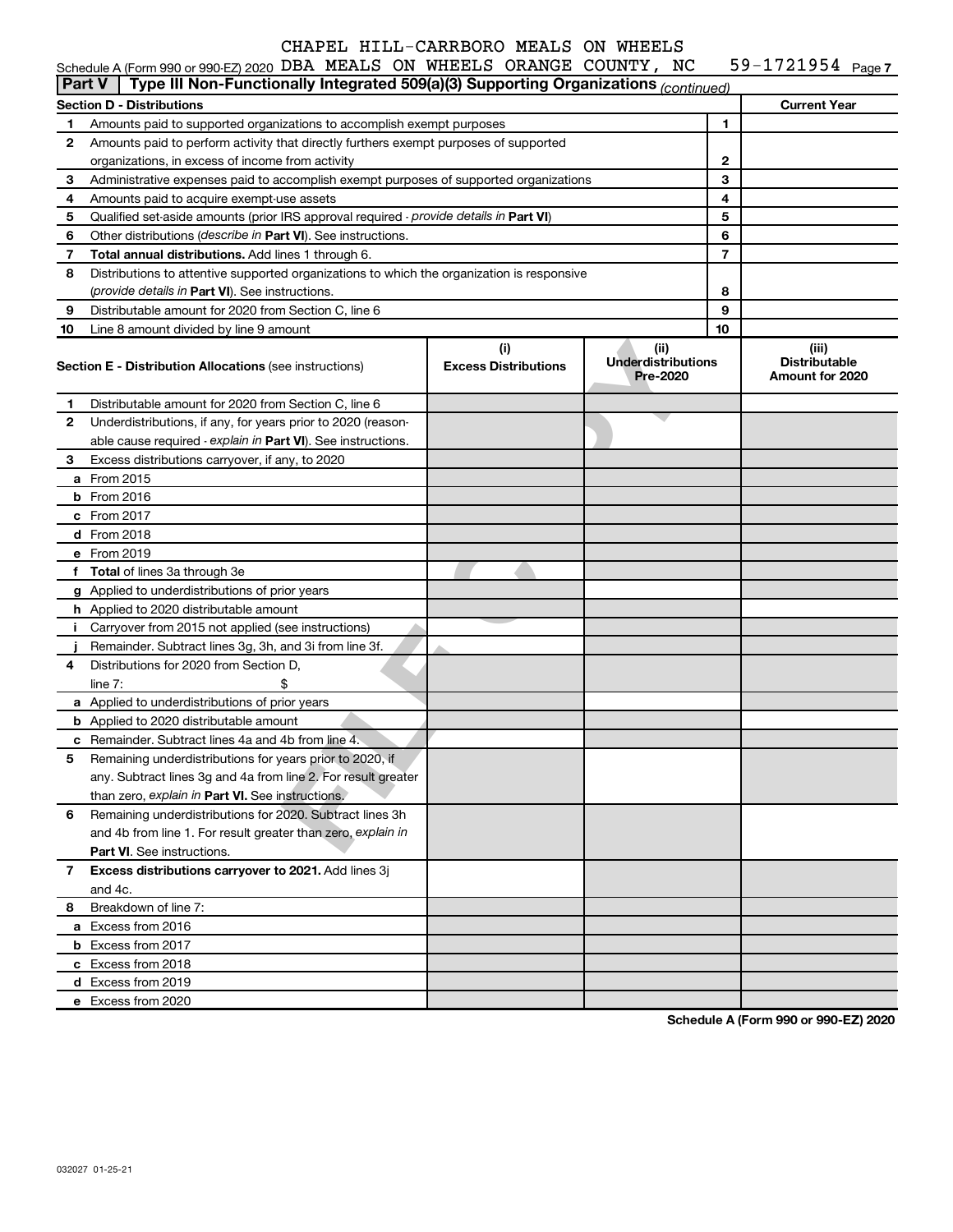|               | Schedule A (Form 990 or 990-EZ) 2020 DBA MEALS ON WHEELS ORANGE COUNTY, NC<br>Type III Non-Functionally Integrated 509(a)(3) Supporting Organizations (continued) |                                    |                                               |    | 59-1721954 $_{Page 7}$                           |
|---------------|-------------------------------------------------------------------------------------------------------------------------------------------------------------------|------------------------------------|-----------------------------------------------|----|--------------------------------------------------|
| <b>Part V</b> |                                                                                                                                                                   |                                    |                                               |    |                                                  |
|               | <b>Section D - Distributions</b>                                                                                                                                  |                                    |                                               |    | <b>Current Year</b>                              |
| 1             | Amounts paid to supported organizations to accomplish exempt purposes                                                                                             |                                    |                                               | 1  |                                                  |
| 2             | Amounts paid to perform activity that directly furthers exempt purposes of supported                                                                              |                                    |                                               |    |                                                  |
|               | organizations, in excess of income from activity                                                                                                                  |                                    |                                               | 2  |                                                  |
| 3             | Administrative expenses paid to accomplish exempt purposes of supported organizations                                                                             |                                    |                                               | 3  |                                                  |
| 4             | Amounts paid to acquire exempt-use assets                                                                                                                         |                                    |                                               | 4  |                                                  |
| 5             | Qualified set-aside amounts (prior IRS approval required - provide details in Part VI)                                                                            |                                    |                                               | 5  |                                                  |
| 6             | Other distributions (describe in Part VI). See instructions.                                                                                                      |                                    |                                               | 6  |                                                  |
| 7             | Total annual distributions. Add lines 1 through 6.                                                                                                                |                                    |                                               | 7  |                                                  |
| 8             | Distributions to attentive supported organizations to which the organization is responsive                                                                        |                                    |                                               |    |                                                  |
|               | (provide details in Part VI). See instructions.                                                                                                                   |                                    |                                               | 8  |                                                  |
| 9             | Distributable amount for 2020 from Section C, line 6                                                                                                              |                                    |                                               | 9  |                                                  |
| 10            | Line 8 amount divided by line 9 amount                                                                                                                            |                                    |                                               | 10 |                                                  |
|               | <b>Section E - Distribution Allocations (see instructions)</b>                                                                                                    | (i)<br><b>Excess Distributions</b> | (ii)<br><b>Underdistributions</b><br>Pre-2020 |    | (iii)<br><b>Distributable</b><br>Amount for 2020 |
| 1             | Distributable amount for 2020 from Section C, line 6                                                                                                              |                                    |                                               |    |                                                  |
| 2             | Underdistributions, if any, for years prior to 2020 (reason-                                                                                                      |                                    |                                               |    |                                                  |
|               | able cause required - explain in Part VI). See instructions.                                                                                                      |                                    |                                               |    |                                                  |
| 3             | Excess distributions carryover, if any, to 2020                                                                                                                   |                                    |                                               |    |                                                  |
|               | a From 2015                                                                                                                                                       |                                    |                                               |    |                                                  |
|               | $b$ From 2016                                                                                                                                                     |                                    |                                               |    |                                                  |
|               | c From 2017                                                                                                                                                       |                                    |                                               |    |                                                  |
|               | <b>d</b> From 2018                                                                                                                                                |                                    |                                               |    |                                                  |
|               | e From 2019                                                                                                                                                       |                                    |                                               |    |                                                  |
|               | f Total of lines 3a through 3e                                                                                                                                    |                                    |                                               |    |                                                  |
|               | g Applied to underdistributions of prior years                                                                                                                    |                                    |                                               |    |                                                  |
|               | h Applied to 2020 distributable amount                                                                                                                            |                                    |                                               |    |                                                  |
| Ť.            | Carryover from 2015 not applied (see instructions)                                                                                                                |                                    |                                               |    |                                                  |
|               | Remainder. Subtract lines 3g, 3h, and 3i from line 3f.                                                                                                            |                                    |                                               |    |                                                  |
| 4             | Distributions for 2020 from Section D,                                                                                                                            |                                    |                                               |    |                                                  |
|               | line $7:$                                                                                                                                                         |                                    |                                               |    |                                                  |
|               | a Applied to underdistributions of prior years                                                                                                                    |                                    |                                               |    |                                                  |
|               | <b>b</b> Applied to 2020 distributable amount                                                                                                                     |                                    |                                               |    |                                                  |
|               | c Remainder. Subtract lines 4a and 4b from line 4.                                                                                                                |                                    |                                               |    |                                                  |
|               | 5 Remaining underdistributions for years prior to 2020, if                                                                                                        |                                    |                                               |    |                                                  |
|               | any. Subtract lines 3g and 4a from line 2. For result greater                                                                                                     |                                    |                                               |    |                                                  |
|               | than zero, explain in Part VI. See instructions.                                                                                                                  |                                    |                                               |    |                                                  |
| 6             | Remaining underdistributions for 2020. Subtract lines 3h                                                                                                          |                                    |                                               |    |                                                  |
|               | and 4b from line 1. For result greater than zero, explain in                                                                                                      |                                    |                                               |    |                                                  |
|               | <b>Part VI.</b> See instructions.                                                                                                                                 |                                    |                                               |    |                                                  |
| 7             | Excess distributions carryover to 2021. Add lines 3j                                                                                                              |                                    |                                               |    |                                                  |
|               | and 4c.                                                                                                                                                           |                                    |                                               |    |                                                  |
| 8             | Breakdown of line 7:                                                                                                                                              |                                    |                                               |    |                                                  |
|               | a Excess from 2016                                                                                                                                                |                                    |                                               |    |                                                  |
|               | <b>b</b> Excess from 2017                                                                                                                                         |                                    |                                               |    |                                                  |
|               | c Excess from 2018                                                                                                                                                |                                    |                                               |    |                                                  |
|               | d Excess from 2019                                                                                                                                                |                                    |                                               |    |                                                  |
|               | e Excess from 2020                                                                                                                                                |                                    |                                               |    |                                                  |
|               |                                                                                                                                                                   |                                    |                                               |    |                                                  |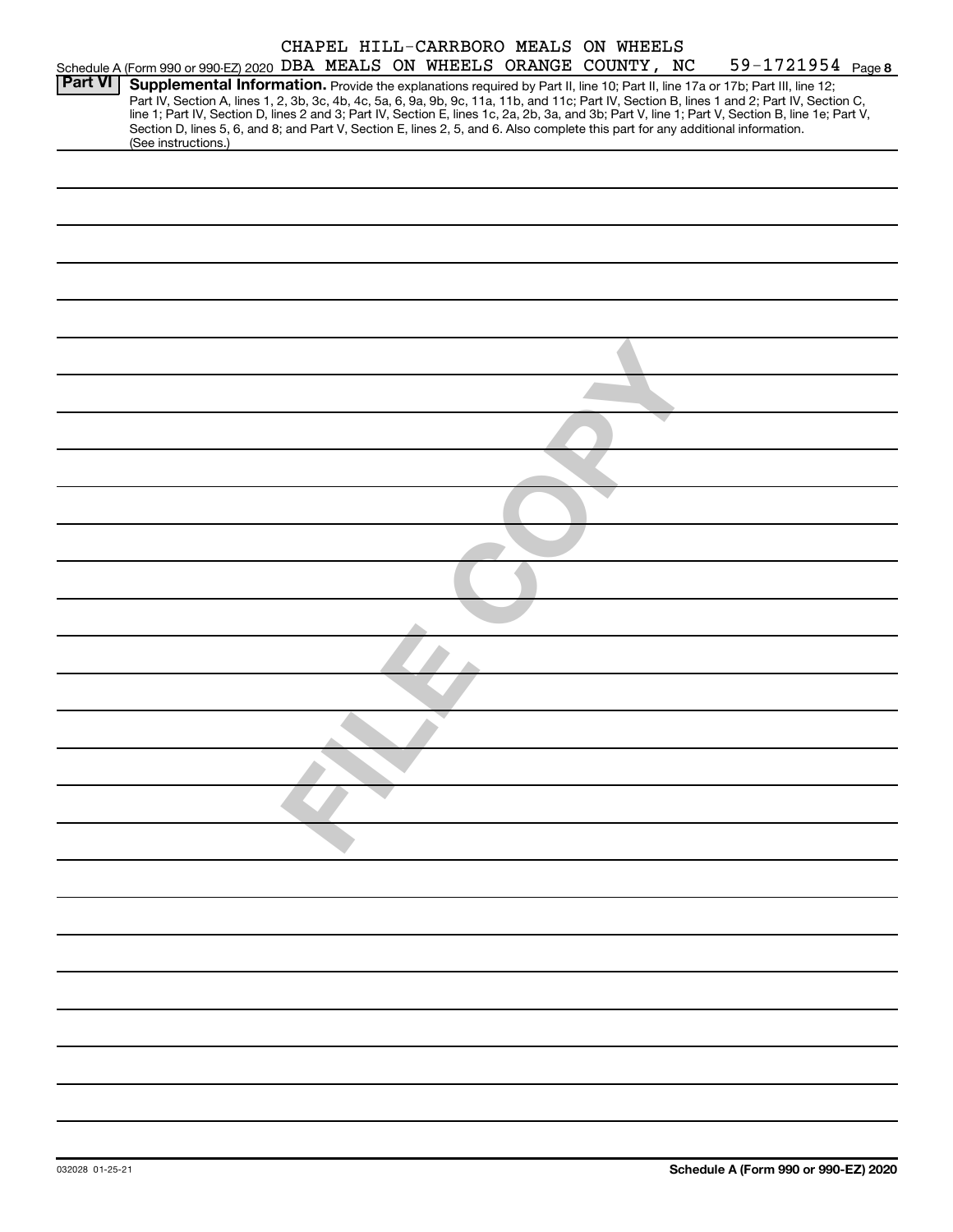|                |                                                                                                                                                                                                                                                                                         |  |  | CHAPEL HILL-CARRBORO MEALS ON WHEELS |                                                                                                                                                                                                                                                                                                  |
|----------------|-----------------------------------------------------------------------------------------------------------------------------------------------------------------------------------------------------------------------------------------------------------------------------------------|--|--|--------------------------------------|--------------------------------------------------------------------------------------------------------------------------------------------------------------------------------------------------------------------------------------------------------------------------------------------------|
|                | Schedule A (Form 990 or 990-EZ) 2020 DBA MEALS ON WHEELS ORANGE COUNTY, NC                                                                                                                                                                                                              |  |  |                                      | 59-1721954 Page 8                                                                                                                                                                                                                                                                                |
| <b>Part VI</b> | Supplemental Information. Provide the explanations required by Part II, line 10; Part II, line 17a or 17b; Part III, line 12;<br>Section D, lines 5, 6, and 8; and Part V, Section E, lines 2, 5, and 6. Also complete this part for any additional information.<br>(See instructions.) |  |  |                                      | Part IV, Section A, lines 1, 2, 3b, 3c, 4b, 4c, 5a, 6, 9a, 9b, 9c, 11a, 11b, and 11c; Part IV, Section B, lines 1 and 2; Part IV, Section C,<br>line 1; Part IV, Section D, lines 2 and 3; Part IV, Section E, lines 1c, 2a, 2b, 3a, and 3b; Part V, line 1; Part V, Section B, line 1e; Part V, |
|                |                                                                                                                                                                                                                                                                                         |  |  |                                      |                                                                                                                                                                                                                                                                                                  |
|                |                                                                                                                                                                                                                                                                                         |  |  |                                      |                                                                                                                                                                                                                                                                                                  |
|                |                                                                                                                                                                                                                                                                                         |  |  |                                      |                                                                                                                                                                                                                                                                                                  |
|                |                                                                                                                                                                                                                                                                                         |  |  |                                      |                                                                                                                                                                                                                                                                                                  |
|                |                                                                                                                                                                                                                                                                                         |  |  |                                      |                                                                                                                                                                                                                                                                                                  |
|                |                                                                                                                                                                                                                                                                                         |  |  |                                      |                                                                                                                                                                                                                                                                                                  |
|                |                                                                                                                                                                                                                                                                                         |  |  |                                      |                                                                                                                                                                                                                                                                                                  |
|                |                                                                                                                                                                                                                                                                                         |  |  |                                      |                                                                                                                                                                                                                                                                                                  |
|                |                                                                                                                                                                                                                                                                                         |  |  |                                      |                                                                                                                                                                                                                                                                                                  |
|                |                                                                                                                                                                                                                                                                                         |  |  |                                      |                                                                                                                                                                                                                                                                                                  |
|                |                                                                                                                                                                                                                                                                                         |  |  |                                      |                                                                                                                                                                                                                                                                                                  |
|                |                                                                                                                                                                                                                                                                                         |  |  |                                      |                                                                                                                                                                                                                                                                                                  |
|                |                                                                                                                                                                                                                                                                                         |  |  |                                      |                                                                                                                                                                                                                                                                                                  |
|                |                                                                                                                                                                                                                                                                                         |  |  |                                      |                                                                                                                                                                                                                                                                                                  |
|                |                                                                                                                                                                                                                                                                                         |  |  |                                      |                                                                                                                                                                                                                                                                                                  |
|                |                                                                                                                                                                                                                                                                                         |  |  |                                      |                                                                                                                                                                                                                                                                                                  |
|                |                                                                                                                                                                                                                                                                                         |  |  |                                      |                                                                                                                                                                                                                                                                                                  |
|                |                                                                                                                                                                                                                                                                                         |  |  |                                      |                                                                                                                                                                                                                                                                                                  |
|                |                                                                                                                                                                                                                                                                                         |  |  |                                      |                                                                                                                                                                                                                                                                                                  |
|                |                                                                                                                                                                                                                                                                                         |  |  |                                      |                                                                                                                                                                                                                                                                                                  |
|                |                                                                                                                                                                                                                                                                                         |  |  |                                      |                                                                                                                                                                                                                                                                                                  |
|                |                                                                                                                                                                                                                                                                                         |  |  |                                      |                                                                                                                                                                                                                                                                                                  |
|                |                                                                                                                                                                                                                                                                                         |  |  |                                      |                                                                                                                                                                                                                                                                                                  |
|                |                                                                                                                                                                                                                                                                                         |  |  |                                      |                                                                                                                                                                                                                                                                                                  |
|                |                                                                                                                                                                                                                                                                                         |  |  |                                      |                                                                                                                                                                                                                                                                                                  |
|                |                                                                                                                                                                                                                                                                                         |  |  |                                      |                                                                                                                                                                                                                                                                                                  |
|                |                                                                                                                                                                                                                                                                                         |  |  |                                      |                                                                                                                                                                                                                                                                                                  |
|                |                                                                                                                                                                                                                                                                                         |  |  |                                      |                                                                                                                                                                                                                                                                                                  |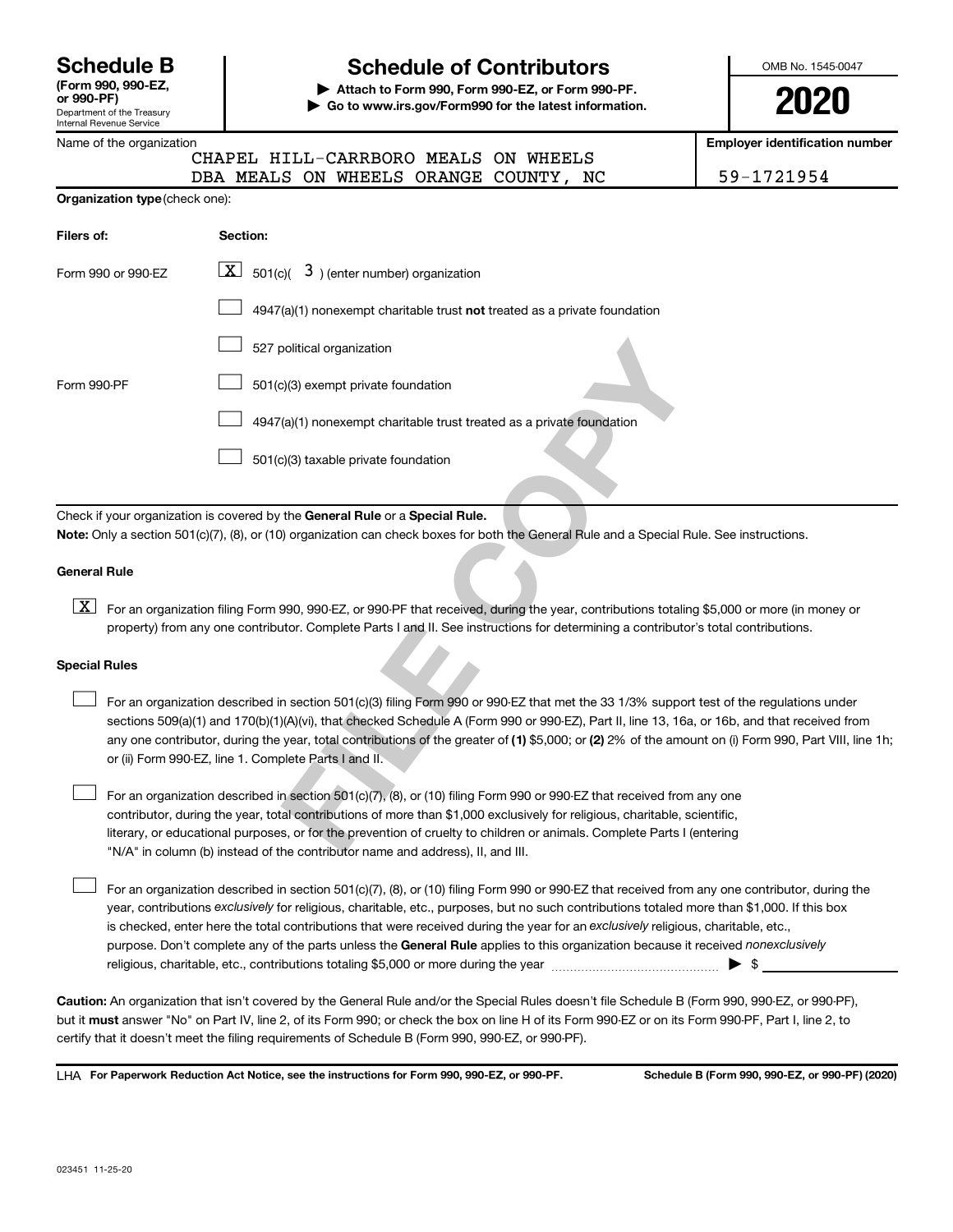| <b>Schedule B</b>                    |  |
|--------------------------------------|--|
| (Form 990, 990-EZ,<br>$\sim$ 000 DEV |  |

Department of the Treasury Internal Revenue Service

# **Schedule of Contributors**

**or 990-PF) | Attach to Form 990, Form 990-EZ, or Form 990-PF. | Go to www.irs.gov/Form990 for the latest information.** OMB No. 1545-0047

**2020**

**Employer identification number**

|                                       | Name of the organization |  |                                       | <b>Employer identificati</b> |            |  |
|---------------------------------------|--------------------------|--|---------------------------------------|------------------------------|------------|--|
|                                       |                          |  | CHAPEL HILL-CARRBORO MEALS ON WHEELS  |                              |            |  |
|                                       |                          |  | DBA MEALS ON WHEELS ORANGE COUNTY, NC |                              | 59-1721954 |  |
| <b>Organization type (check one):</b> |                          |  |                                       |                              |            |  |
|                                       |                          |  |                                       |                              |            |  |
| Filers of:                            | Section:                 |  |                                       |                              |            |  |

| Form 990 or 990-EZ   | $\lfloor x \rfloor$ 501(c)( 3) (enter number) organization                                                                                                                                                                                                                                                                                                                                                                                                                                |
|----------------------|-------------------------------------------------------------------------------------------------------------------------------------------------------------------------------------------------------------------------------------------------------------------------------------------------------------------------------------------------------------------------------------------------------------------------------------------------------------------------------------------|
|                      | 4947(a)(1) nonexempt charitable trust not treated as a private foundation                                                                                                                                                                                                                                                                                                                                                                                                                 |
|                      | 527 political organization                                                                                                                                                                                                                                                                                                                                                                                                                                                                |
| Form 990-PF          | 501(c)(3) exempt private foundation                                                                                                                                                                                                                                                                                                                                                                                                                                                       |
|                      | 4947(a)(1) nonexempt charitable trust treated as a private foundation                                                                                                                                                                                                                                                                                                                                                                                                                     |
|                      | 501(c)(3) taxable private foundation                                                                                                                                                                                                                                                                                                                                                                                                                                                      |
|                      |                                                                                                                                                                                                                                                                                                                                                                                                                                                                                           |
|                      | Check if your organization is covered by the General Rule or a Special Rule.<br>Note: Only a section 501(c)(7), (8), or (10) organization can check boxes for both the General Rule and a Special Rule. See instruction                                                                                                                                                                                                                                                                   |
| <b>General Rule</b>  |                                                                                                                                                                                                                                                                                                                                                                                                                                                                                           |
| X                    | For an organization filing Form 990, 990-EZ, or 990-PF that received, during the year, contributions totaling \$5,000 or more<br>property) from any one contributor. Complete Parts I and II. See instructions for determining a contributor's total contributi                                                                                                                                                                                                                           |
| <b>Special Rules</b> |                                                                                                                                                                                                                                                                                                                                                                                                                                                                                           |
|                      | For an organization described in section 501(c)(3) filing Form 990 or 990-EZ that met the 33 1/3% support test of the regul<br>sections 509(a)(1) and 170(b)(1)(A)(vi), that checked Schedule A (Form 990 or 990-EZ), Part II, line 13, 16a, or 16b, and that<br>any one contributor, during the year, total contributions of the greater of (1) \$5,000; or (2) 2% of the amount on (i) Form 99<br>or (ii) Form 990-EZ, line 1. Complete Parts I and II.                                 |
|                      | For an organization described in section 501(c)(7), (8), or (10) filing Form 990 or 990-EZ that received from any one<br>contributor, during the year, total contributions of more than \$1,000 exclusively for religious, charitable, scientific,<br>literary, or educational purposes, or for the prevention of cruelty to children or animals. Complete Parts I (entering<br>$\ln\left(\frac{1}{\Delta}\right)$ in column (b) instead of the contributor name and address). It and III |

#### **General Rule**

 $\overline{\textbf{X}}\textbf{]}$  For an organization filing Form 990, 990-EZ, or 990-PF that received, during the year, contributions totaling \$5,000 or more (in money or property) from any one contributor. Complete Parts I and II. See instructions for determining a contributor's total contributions.

# **Special Rules**  $\begin{array}{c} \n\boxed{\textbf{X}}\n\end{array}$

- any one contributor, during the year, total contributions of the greater of (1) \$5,000; or (2) 2% of the amount on (i) Form 990, Part VIII, line 1h; For an organization described in section 501(c)(3) filing Form 990 or 990-EZ that met the 33 1/3% support test of the regulations under sections 509(a)(1) and 170(b)(1)(A)(vi), that checked Schedule A (Form 990 or 990-EZ), Part II, line 13, 16a, or 16b, and that received from or (ii) Form 990-EZ, line 1. Complete Parts I and II.
- For an organization described in section  $501(c)\overline{(7)}$ , (8), or (10) filing Form 990 or 990-EZ that received from any one contributor, during the year, total contributions of more than \$1,000 exclusively for religious, charitable, scientific, literary, or educational purposes, or for the prevention of cruelty to children or animals. Complete Parts I (entering "N/A" in column (b) instead of the contributor name and address), II, and III.

purpose. Don't complete any of the parts unless the General Rule applies to this organization because it received nonexclusively year, contributions exclusively for religious, charitable, etc., purposes, but no such contributions totaled more than \$1,000. If this box is checked, enter here the total contributions that were received during the year for an exclusively religious, charitable, etc., For an organization described in section 501(c)(7), (8), or (10) filing Form 990 or 990-EZ that received from any one contributor, during the religious, charitable, etc., contributions totaling \$5,000 or more during the year  $~$   $\rm{~~}~~$   $\rm{~~}~~$   $\rm{~~}~~$   $\rm{~~}~~$   $\rm{~~}~~$ 

**Caution:**  An organization that isn't covered by the General Rule and/or the Special Rules doesn't file Schedule B (Form 990, 990-EZ, or 990-PF),  **must** but it answer "No" on Part IV, line 2, of its Form 990; or check the box on line H of its Form 990-EZ or on its Form 990-PF, Part I, line 2, to certify that it doesn't meet the filing requirements of Schedule B (Form 990, 990-EZ, or 990-PF).

**For Paperwork Reduction Act Notice, see the instructions for Form 990, 990-EZ, or 990-PF. Schedule B (Form 990, 990-EZ, or 990-PF) (2020)** LHA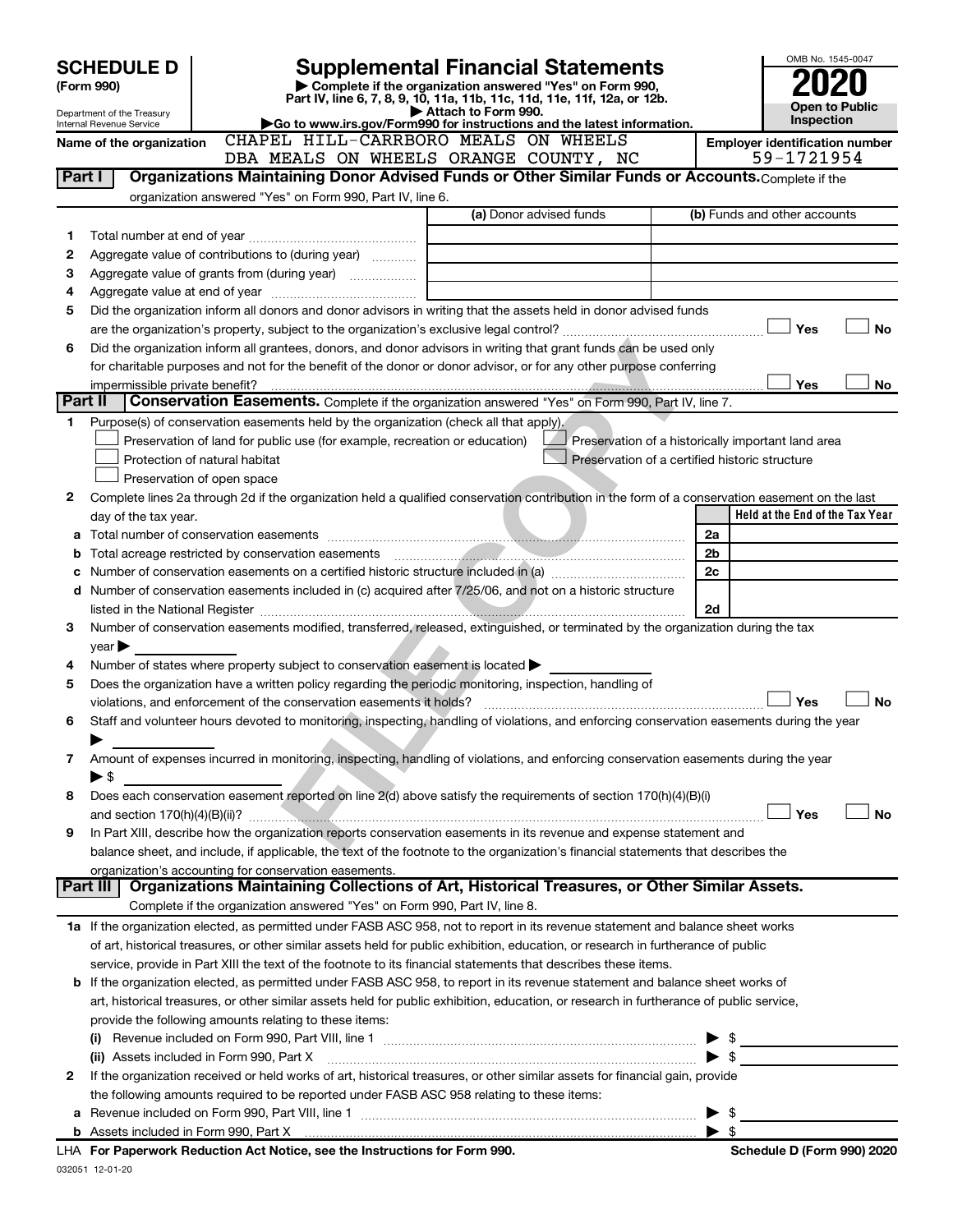|         | <b>SCHEDULE D</b>                                                                                                             | OMB No. 1545-0047                                                                                                                                                            |                                                |                                 |                                                    |  |  |
|---------|-------------------------------------------------------------------------------------------------------------------------------|------------------------------------------------------------------------------------------------------------------------------------------------------------------------------|------------------------------------------------|---------------------------------|----------------------------------------------------|--|--|
|         | <b>Supplemental Financial Statements</b><br>Complete if the organization answered "Yes" on Form 990,<br>(Form 990)            |                                                                                                                                                                              |                                                |                                 |                                                    |  |  |
|         | Part IV, line 6, 7, 8, 9, 10, 11a, 11b, 11c, 11d, 11e, 11f, 12a, or 12b.<br>Attach to Form 990.<br>Department of the Treasury |                                                                                                                                                                              |                                                |                                 |                                                    |  |  |
|         | Internal Revenue Service                                                                                                      | Go to www.irs.gov/Form990 for instructions and the latest information.                                                                                                       |                                                |                                 |                                                    |  |  |
|         | Name of the organization                                                                                                      | CHAPEL HILL-CARRBORO MEALS ON WHEELS                                                                                                                                         |                                                |                                 | Employer identification number<br>59-1721954       |  |  |
| Part I  |                                                                                                                               | Organizations Maintaining Donor Advised Funds or Other Similar Funds or Accounts. Complete if the                                                                            | DBA MEALS ON WHEELS ORANGE COUNTY, NC          |                                 |                                                    |  |  |
|         |                                                                                                                               | organization answered "Yes" on Form 990, Part IV, line 6.                                                                                                                    |                                                |                                 |                                                    |  |  |
|         |                                                                                                                               |                                                                                                                                                                              | (a) Donor advised funds                        |                                 | (b) Funds and other accounts                       |  |  |
| 1       |                                                                                                                               |                                                                                                                                                                              |                                                |                                 |                                                    |  |  |
| 2       |                                                                                                                               | Aggregate value of contributions to (during year)                                                                                                                            |                                                |                                 |                                                    |  |  |
| З       |                                                                                                                               |                                                                                                                                                                              |                                                |                                 |                                                    |  |  |
| 4       |                                                                                                                               |                                                                                                                                                                              |                                                |                                 |                                                    |  |  |
| 5       |                                                                                                                               | Did the organization inform all donors and donor advisors in writing that the assets held in donor advised funds                                                             |                                                |                                 |                                                    |  |  |
|         |                                                                                                                               |                                                                                                                                                                              |                                                |                                 | <b>No</b><br>Yes                                   |  |  |
| 6       |                                                                                                                               | Did the organization inform all grantees, donors, and donor advisors in writing that grant funds can be used only                                                            |                                                |                                 |                                                    |  |  |
|         |                                                                                                                               | for charitable purposes and not for the benefit of the donor or donor advisor, or for any other purpose conferring                                                           |                                                |                                 |                                                    |  |  |
|         | impermissible private benefit?                                                                                                |                                                                                                                                                                              |                                                |                                 | <b>Yes</b><br>No                                   |  |  |
| Part II |                                                                                                                               | Conservation Easements. Complete if the organization answered "Yes" on Form 990, Part IV, line 7.                                                                            |                                                |                                 |                                                    |  |  |
| 1       |                                                                                                                               | Purpose(s) of conservation easements held by the organization (check all that apply).                                                                                        |                                                |                                 |                                                    |  |  |
|         |                                                                                                                               | Preservation of land for public use (for example, recreation or education)                                                                                                   |                                                |                                 | Preservation of a historically important land area |  |  |
|         |                                                                                                                               | Protection of natural habitat                                                                                                                                                | Preservation of a certified historic structure |                                 |                                                    |  |  |
| 2       |                                                                                                                               | Preservation of open space<br>Complete lines 2a through 2d if the organization held a qualified conservation contribution in the form of a conservation easement on the last |                                                |                                 |                                                    |  |  |
|         |                                                                                                                               |                                                                                                                                                                              |                                                |                                 | Held at the End of the Tax Year                    |  |  |
|         | day of the tax year.                                                                                                          |                                                                                                                                                                              |                                                | 2a                              |                                                    |  |  |
| b       |                                                                                                                               |                                                                                                                                                                              |                                                | 2 <sub>b</sub>                  |                                                    |  |  |
| с       |                                                                                                                               |                                                                                                                                                                              |                                                | 2c                              |                                                    |  |  |
|         |                                                                                                                               | d Number of conservation easements included in (c) acquired after 7/25/06, and not on a historic structure                                                                   |                                                |                                 |                                                    |  |  |
|         |                                                                                                                               |                                                                                                                                                                              |                                                | 2d                              |                                                    |  |  |
| 3       |                                                                                                                               | Number of conservation easements modified, transferred, released, extinguished, or terminated by the organization during the tax                                             |                                                |                                 |                                                    |  |  |
|         | year                                                                                                                          |                                                                                                                                                                              |                                                |                                 |                                                    |  |  |
| 4       |                                                                                                                               | Number of states where property subject to conservation easement is located >                                                                                                |                                                |                                 |                                                    |  |  |
| 5       |                                                                                                                               | Does the organization have a written policy regarding the periodic monitoring, inspection, handling of                                                                       |                                                |                                 |                                                    |  |  |
|         |                                                                                                                               | violations, and enforcement of the conservation easements it holds?                                                                                                          |                                                |                                 | <b>No</b><br>Yes                                   |  |  |
| 6       |                                                                                                                               | Staff and volunteer hours devoted to monitoring, inspecting, handling of violations, and enforcing conservation easements during the year                                    |                                                |                                 |                                                    |  |  |
|         |                                                                                                                               |                                                                                                                                                                              |                                                |                                 |                                                    |  |  |
| 7       |                                                                                                                               | Amount of expenses incurred in monitoring, inspecting, handling of violations, and enforcing conservation easements during the year                                          |                                                |                                 |                                                    |  |  |
|         | ► \$                                                                                                                          |                                                                                                                                                                              |                                                |                                 |                                                    |  |  |
| 8       |                                                                                                                               | Does each conservation easement reported on line 2(d) above satisfy the requirements of section 170(h)(4)(B)(i)                                                              |                                                |                                 | Yes<br><b>No</b>                                   |  |  |
| 9       |                                                                                                                               | In Part XIII, describe how the organization reports conservation easements in its revenue and expense statement and                                                          |                                                |                                 |                                                    |  |  |
|         |                                                                                                                               | balance sheet, and include, if applicable, the text of the footnote to the organization's financial statements that describes the                                            |                                                |                                 |                                                    |  |  |
|         |                                                                                                                               | organization's accounting for conservation easements.                                                                                                                        |                                                |                                 |                                                    |  |  |
|         | Part III                                                                                                                      | Organizations Maintaining Collections of Art, Historical Treasures, or Other Similar Assets.                                                                                 |                                                |                                 |                                                    |  |  |
|         |                                                                                                                               | Complete if the organization answered "Yes" on Form 990, Part IV, line 8.                                                                                                    |                                                |                                 |                                                    |  |  |
|         |                                                                                                                               | 1a If the organization elected, as permitted under FASB ASC 958, not to report in its revenue statement and balance sheet works                                              |                                                |                                 |                                                    |  |  |
|         |                                                                                                                               | of art, historical treasures, or other similar assets held for public exhibition, education, or research in furtherance of public                                            |                                                |                                 |                                                    |  |  |
|         |                                                                                                                               | service, provide in Part XIII the text of the footnote to its financial statements that describes these items.                                                               |                                                |                                 |                                                    |  |  |
|         |                                                                                                                               | <b>b</b> If the organization elected, as permitted under FASB ASC 958, to report in its revenue statement and balance sheet works of                                         |                                                |                                 |                                                    |  |  |
|         |                                                                                                                               | art, historical treasures, or other similar assets held for public exhibition, education, or research in furtherance of public service,                                      |                                                |                                 |                                                    |  |  |
|         |                                                                                                                               | provide the following amounts relating to these items:                                                                                                                       |                                                |                                 |                                                    |  |  |
|         |                                                                                                                               |                                                                                                                                                                              |                                                |                                 | $\triangleright$ \$                                |  |  |
|         |                                                                                                                               | (ii) Assets included in Form 990, Part X [11] [2000] [2010] Assets included in Form 990, Part X [11] [11] [11]                                                               |                                                |                                 |                                                    |  |  |
| 2       |                                                                                                                               | If the organization received or held works of art, historical treasures, or other similar assets for financial gain, provide                                                 |                                                |                                 |                                                    |  |  |
|         |                                                                                                                               | the following amounts required to be reported under FASB ASC 958 relating to these items:                                                                                    |                                                |                                 |                                                    |  |  |
| а       |                                                                                                                               |                                                                                                                                                                              |                                                | - \$<br>$\blacktriangleright$ s |                                                    |  |  |
|         |                                                                                                                               | LHA For Paperwork Reduction Act Notice, see the Instructions for Form 990.                                                                                                   |                                                |                                 | Schedule D (Form 990) 2020                         |  |  |
|         |                                                                                                                               |                                                                                                                                                                              |                                                |                                 |                                                    |  |  |

032051 12-01-20 LHA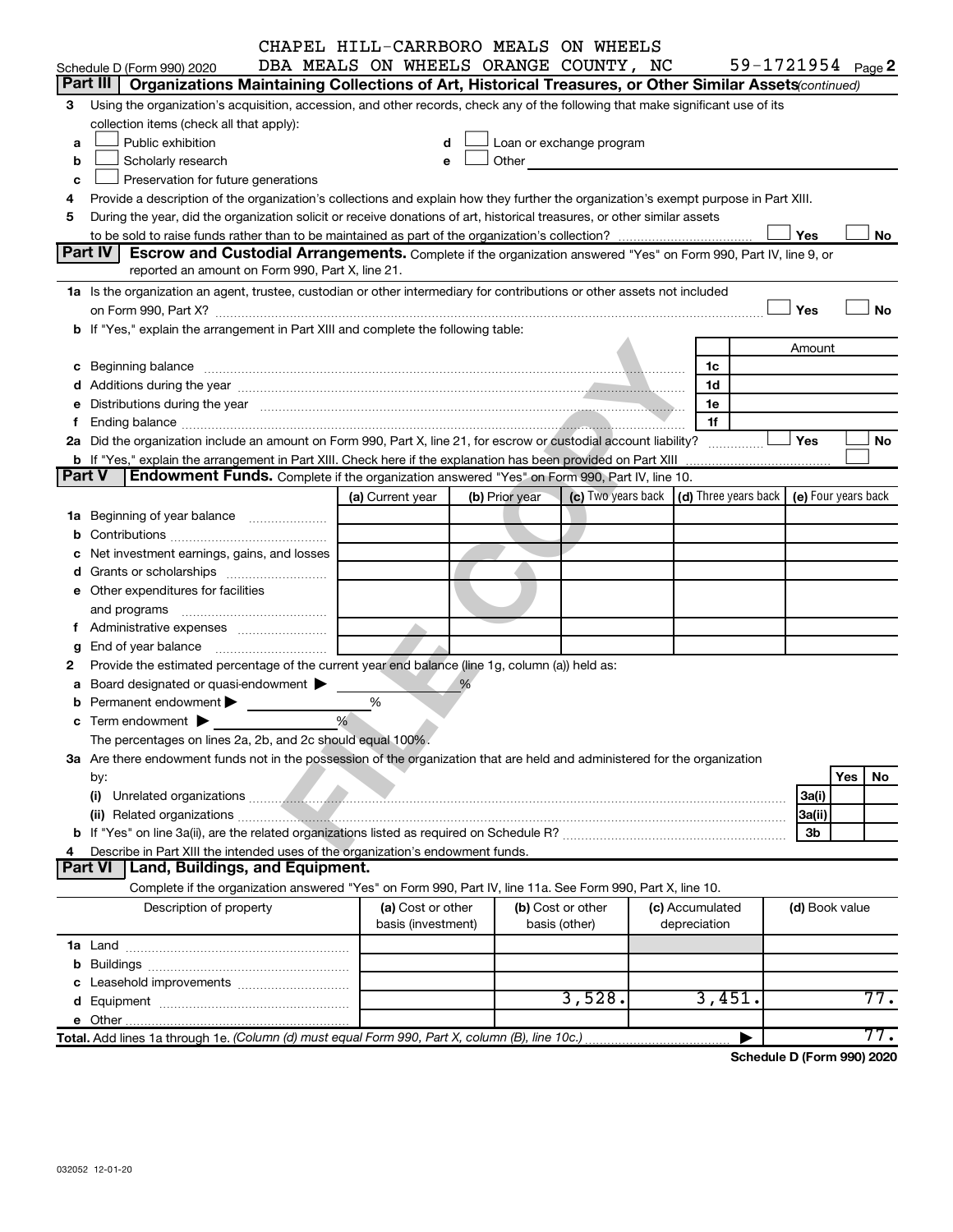|        |                                                                                                                                                                                                                                     | CHAPEL HILL-CARRBORO MEALS ON WHEELS    |                |                                                                                                                                                                                                                               |                                 |                                                         |        |                     |     |
|--------|-------------------------------------------------------------------------------------------------------------------------------------------------------------------------------------------------------------------------------------|-----------------------------------------|----------------|-------------------------------------------------------------------------------------------------------------------------------------------------------------------------------------------------------------------------------|---------------------------------|---------------------------------------------------------|--------|---------------------|-----|
|        | Schedule D (Form 990) 2020                                                                                                                                                                                                          | DBA MEALS ON WHEELS ORANGE COUNTY, NC   |                |                                                                                                                                                                                                                               |                                 | 59-1721954 $_{Page}$                                    |        |                     |     |
|        | Part III<br>Organizations Maintaining Collections of Art, Historical Treasures, or Other Similar Assets (continued)                                                                                                                 |                                         |                |                                                                                                                                                                                                                               |                                 |                                                         |        |                     |     |
| 3      | Using the organization's acquisition, accession, and other records, check any of the following that make significant use of its                                                                                                     |                                         |                |                                                                                                                                                                                                                               |                                 |                                                         |        |                     |     |
|        | collection items (check all that apply):                                                                                                                                                                                            |                                         |                |                                                                                                                                                                                                                               |                                 |                                                         |        |                     |     |
| a      | Public exhibition                                                                                                                                                                                                                   | d                                       |                | Loan or exchange program                                                                                                                                                                                                      |                                 |                                                         |        |                     |     |
| b      | Scholarly research                                                                                                                                                                                                                  | e                                       |                | Other and the contract of the contract of the contract of the contract of the contract of the contract of the contract of the contract of the contract of the contract of the contract of the contract of the contract of the |                                 |                                                         |        |                     |     |
| с      | Preservation for future generations                                                                                                                                                                                                 |                                         |                |                                                                                                                                                                                                                               |                                 |                                                         |        |                     |     |
| 4      | Provide a description of the organization's collections and explain how they further the organization's exempt purpose in Part XIII.                                                                                                |                                         |                |                                                                                                                                                                                                                               |                                 |                                                         |        |                     |     |
| 5      | During the year, did the organization solicit or receive donations of art, historical treasures, or other similar assets                                                                                                            |                                         |                |                                                                                                                                                                                                                               |                                 |                                                         |        |                     |     |
|        | Part IV<br><b>Escrow and Custodial Arrangements.</b> Complete if the organization answered "Yes" on Form 990, Part IV, line 9, or                                                                                                   |                                         |                |                                                                                                                                                                                                                               |                                 |                                                         | Yes    |                     | No  |
|        | reported an amount on Form 990, Part X, line 21.                                                                                                                                                                                    |                                         |                |                                                                                                                                                                                                                               |                                 |                                                         |        |                     |     |
|        | 1a Is the organization an agent, trustee, custodian or other intermediary for contributions or other assets not included                                                                                                            |                                         |                |                                                                                                                                                                                                                               |                                 |                                                         |        |                     |     |
|        |                                                                                                                                                                                                                                     |                                         |                |                                                                                                                                                                                                                               |                                 |                                                         | Yes    |                     | No  |
|        | b If "Yes," explain the arrangement in Part XIII and complete the following table:                                                                                                                                                  |                                         |                |                                                                                                                                                                                                                               |                                 |                                                         |        |                     |     |
|        |                                                                                                                                                                                                                                     |                                         |                |                                                                                                                                                                                                                               |                                 |                                                         | Amount |                     |     |
|        | c Beginning balance <b>communications</b> and the contract of the contract of the contract of the contract of the contract of the contract of the contract of the contract of the contract of the contract of the contract of the c |                                         |                |                                                                                                                                                                                                                               |                                 | 1c                                                      |        |                     |     |
|        |                                                                                                                                                                                                                                     |                                         |                |                                                                                                                                                                                                                               |                                 | 1d                                                      |        |                     |     |
|        | e Distributions during the year measurement contained and all the contract of the contract of the contract of                                                                                                                       |                                         |                |                                                                                                                                                                                                                               |                                 | 1e                                                      |        |                     |     |
| Ť      |                                                                                                                                                                                                                                     |                                         |                |                                                                                                                                                                                                                               |                                 | 1f                                                      |        |                     |     |
|        | 2a Did the organization include an amount on Form 990, Part X, line 21, for escrow or custodial account liability?                                                                                                                  |                                         |                |                                                                                                                                                                                                                               |                                 |                                                         | Yes    |                     | No  |
|        | b If "Yes," explain the arrangement in Part XIII. Check here if the explanation has been provided on Part XIII                                                                                                                      |                                         |                |                                                                                                                                                                                                                               |                                 |                                                         |        |                     |     |
| Part V | <b>Endowment Funds.</b> Complete if the organization answered "Yes" on Form 990, Part IV, line 10.                                                                                                                                  |                                         |                |                                                                                                                                                                                                                               |                                 |                                                         |        |                     |     |
|        |                                                                                                                                                                                                                                     | (a) Current year                        | (b) Prior year |                                                                                                                                                                                                                               |                                 | (c) Two years back $\vert$ (d) Three years back $\vert$ |        | (e) Four years back |     |
|        | <b>1a</b> Beginning of year balance <i>manumumum</i>                                                                                                                                                                                |                                         |                |                                                                                                                                                                                                                               |                                 |                                                         |        |                     |     |
| b      |                                                                                                                                                                                                                                     |                                         |                |                                                                                                                                                                                                                               |                                 |                                                         |        |                     |     |
| с      | Net investment earnings, gains, and losses                                                                                                                                                                                          |                                         |                |                                                                                                                                                                                                                               |                                 |                                                         |        |                     |     |
| d      |                                                                                                                                                                                                                                     |                                         |                |                                                                                                                                                                                                                               |                                 |                                                         |        |                     |     |
|        | e Other expenditures for facilities                                                                                                                                                                                                 |                                         |                |                                                                                                                                                                                                                               |                                 |                                                         |        |                     |     |
|        |                                                                                                                                                                                                                                     |                                         |                |                                                                                                                                                                                                                               |                                 |                                                         |        |                     |     |
|        |                                                                                                                                                                                                                                     |                                         |                |                                                                                                                                                                                                                               |                                 |                                                         |        |                     |     |
| g      |                                                                                                                                                                                                                                     |                                         |                |                                                                                                                                                                                                                               |                                 |                                                         |        |                     |     |
| 2      | Provide the estimated percentage of the current year end balance (line 1g, column (a)) held as:                                                                                                                                     |                                         |                |                                                                                                                                                                                                                               |                                 |                                                         |        |                     |     |
| а      | Board designated or quasi-endowment                                                                                                                                                                                                 |                                         | $\%$           |                                                                                                                                                                                                                               |                                 |                                                         |        |                     |     |
|        | Permanent endowment >                                                                                                                                                                                                               | %                                       |                |                                                                                                                                                                                                                               |                                 |                                                         |        |                     |     |
|        | <b>c</b> Term endowment $\blacktriangleright$                                                                                                                                                                                       | %                                       |                |                                                                                                                                                                                                                               |                                 |                                                         |        |                     |     |
|        | The percentages on lines 2a, 2b, and 2c should equal 100%.                                                                                                                                                                          |                                         |                |                                                                                                                                                                                                                               |                                 |                                                         |        |                     |     |
|        | 3a Are there endowment funds not in the possession of the organization that are held and administered for the organization                                                                                                          |                                         |                |                                                                                                                                                                                                                               |                                 |                                                         |        |                     |     |
|        | by:                                                                                                                                                                                                                                 |                                         |                |                                                                                                                                                                                                                               |                                 |                                                         |        | Yes                 | No  |
|        | (i)                                                                                                                                                                                                                                 |                                         |                |                                                                                                                                                                                                                               |                                 |                                                         | 3a(i)  |                     |     |
|        |                                                                                                                                                                                                                                     |                                         |                |                                                                                                                                                                                                                               |                                 |                                                         | 3a(ii) |                     |     |
|        |                                                                                                                                                                                                                                     |                                         |                |                                                                                                                                                                                                                               |                                 |                                                         | 3b     |                     |     |
| 4      | Describe in Part XIII the intended uses of the organization's endowment funds.<br><b>Part VI</b>                                                                                                                                    |                                         |                |                                                                                                                                                                                                                               |                                 |                                                         |        |                     |     |
|        | Land, Buildings, and Equipment.                                                                                                                                                                                                     |                                         |                |                                                                                                                                                                                                                               |                                 |                                                         |        |                     |     |
|        | Complete if the organization answered "Yes" on Form 990, Part IV, line 11a. See Form 990, Part X, line 10.                                                                                                                          |                                         |                |                                                                                                                                                                                                                               |                                 |                                                         |        |                     |     |
|        | Description of property                                                                                                                                                                                                             | (a) Cost or other<br>basis (investment) |                | (b) Cost or other<br>basis (other)                                                                                                                                                                                            | (c) Accumulated<br>depreciation |                                                         |        | (d) Book value      |     |
|        |                                                                                                                                                                                                                                     |                                         |                |                                                                                                                                                                                                                               |                                 |                                                         |        |                     |     |
|        |                                                                                                                                                                                                                                     |                                         |                |                                                                                                                                                                                                                               |                                 |                                                         |        |                     |     |
| b      |                                                                                                                                                                                                                                     |                                         |                |                                                                                                                                                                                                                               |                                 |                                                         |        |                     |     |
| с      |                                                                                                                                                                                                                                     |                                         |                | 3,528.                                                                                                                                                                                                                        |                                 | 3,451.                                                  |        |                     | 77. |
| d      |                                                                                                                                                                                                                                     |                                         |                |                                                                                                                                                                                                                               |                                 |                                                         |        |                     |     |
|        | Total. Add lines 1a through 1e. (Column (d) must equal Form 990, Part X, column (B), line 10c.)                                                                                                                                     |                                         |                |                                                                                                                                                                                                                               |                                 |                                                         |        |                     | 77. |
|        |                                                                                                                                                                                                                                     |                                         |                |                                                                                                                                                                                                                               |                                 | Schedule D (Form 990) 2020                              |        |                     |     |
|        |                                                                                                                                                                                                                                     |                                         |                |                                                                                                                                                                                                                               |                                 |                                                         |        |                     |     |
|        | 032052 12-01-20                                                                                                                                                                                                                     |                                         |                |                                                                                                                                                                                                                               |                                 |                                                         |        |                     |     |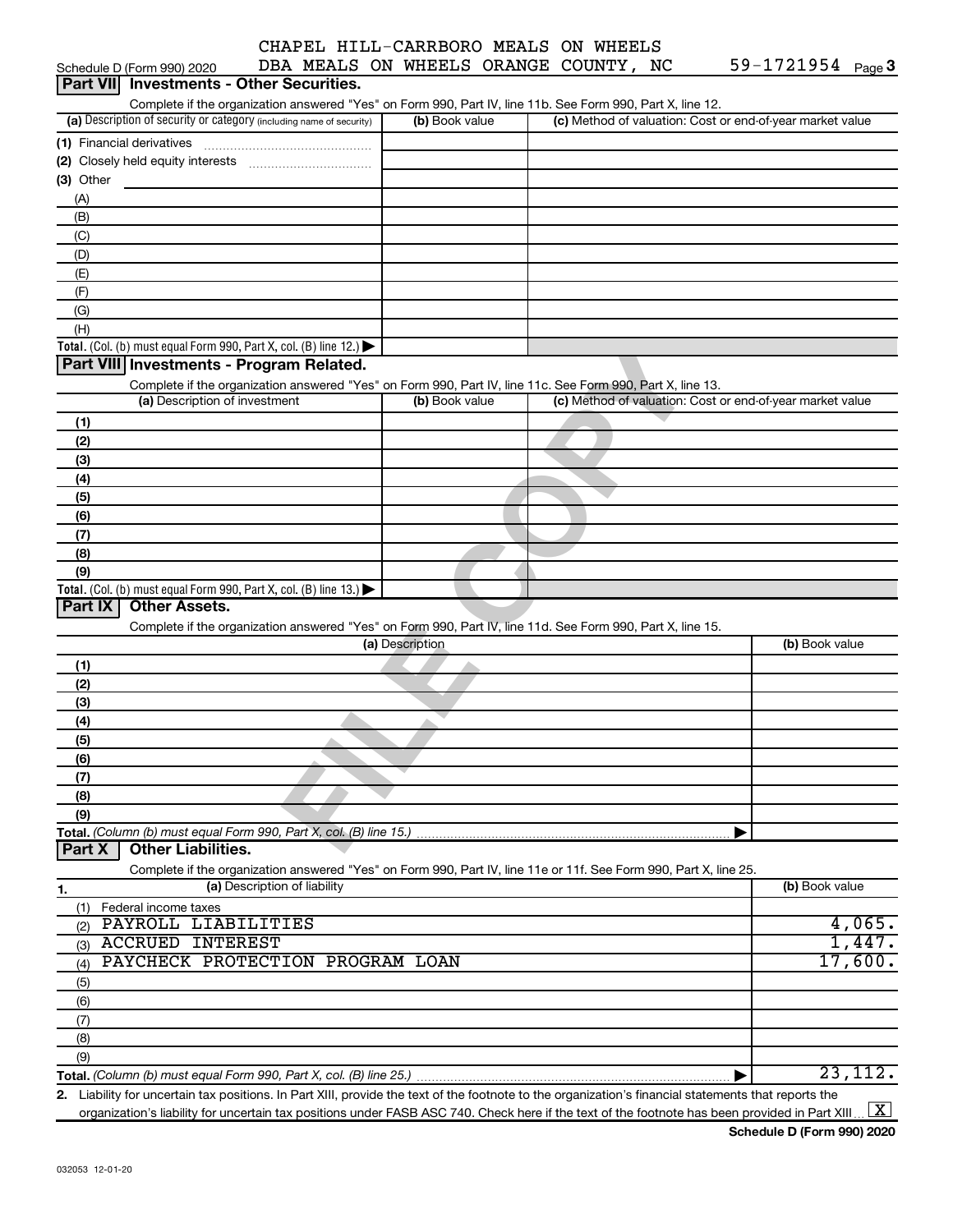|                            | CHAPEL HILL-CARRBORO MEALS ON WHEELS  |                            |
|----------------------------|---------------------------------------|----------------------------|
| Schedule D (Form 990) 2020 | DBA MEALS ON WHEELS ORANGE COUNTY, NC | 59-1721954 <sub>Page</sub> |

| Part VII Investments - Other Securities.                                                                          |                 |                                                           |                |
|-------------------------------------------------------------------------------------------------------------------|-----------------|-----------------------------------------------------------|----------------|
| Complete if the organization answered "Yes" on Form 990, Part IV, line 11b. See Form 990, Part X, line 12.        |                 |                                                           |                |
| (a) Description of security or category (including name of security)                                              | (b) Book value  | (c) Method of valuation: Cost or end-of-year market value |                |
| (1) Financial derivatives                                                                                         |                 |                                                           |                |
|                                                                                                                   |                 |                                                           |                |
| (3) Other                                                                                                         |                 |                                                           |                |
| (A)                                                                                                               |                 |                                                           |                |
| (B)                                                                                                               |                 |                                                           |                |
| (C)                                                                                                               |                 |                                                           |                |
| (D)                                                                                                               |                 |                                                           |                |
| (E)                                                                                                               |                 |                                                           |                |
| (F)                                                                                                               |                 |                                                           |                |
| (G)                                                                                                               |                 |                                                           |                |
| (H)                                                                                                               |                 |                                                           |                |
| Total. (Col. (b) must equal Form 990, Part X, col. (B) line 12.) $\blacktriangleright$                            |                 |                                                           |                |
| Part VIII Investments - Program Related.                                                                          |                 |                                                           |                |
| Complete if the organization answered "Yes" on Form 990, Part IV, line 11c. See Form 990, Part X, line 13.        |                 |                                                           |                |
| (a) Description of investment                                                                                     | (b) Book value  | (c) Method of valuation: Cost or end-of-year market value |                |
| (1)                                                                                                               |                 |                                                           |                |
| (2)                                                                                                               |                 |                                                           |                |
| (3)                                                                                                               |                 |                                                           |                |
| (4)                                                                                                               |                 |                                                           |                |
| (5)                                                                                                               |                 |                                                           |                |
| (6)                                                                                                               |                 |                                                           |                |
| (7)                                                                                                               |                 |                                                           |                |
| (8)                                                                                                               |                 |                                                           |                |
| (9)                                                                                                               |                 |                                                           |                |
| Total. (Col. (b) must equal Form 990, Part X, col. (B) line 13.)<br><b>Other Assets.</b><br>Part IX               |                 |                                                           |                |
|                                                                                                                   |                 |                                                           |                |
| Complete if the organization answered "Yes" on Form 990, Part IV, line 11d. See Form 990, Part X, line 15.        | (a) Description |                                                           | (b) Book value |
|                                                                                                                   |                 |                                                           |                |
| (1)                                                                                                               |                 |                                                           |                |
| (2)<br>(3)                                                                                                        |                 |                                                           |                |
|                                                                                                                   |                 |                                                           |                |
| (4)<br>(5)                                                                                                        |                 |                                                           |                |
| (6)                                                                                                               |                 |                                                           |                |
| (7)                                                                                                               |                 |                                                           |                |
| (8)                                                                                                               |                 |                                                           |                |
| (9)                                                                                                               |                 |                                                           |                |
| Total. (Column (b) must equal Form 990, Part X, col. (B) line 15.).                                               |                 |                                                           |                |
| <b>Other Liabilities.</b><br>Part X                                                                               |                 |                                                           |                |
| Complete if the organization answered "Yes" on Form 990, Part IV, line 11e or 11f. See Form 990, Part X, line 25. |                 |                                                           |                |
| (a) Description of liability<br>1.                                                                                |                 |                                                           | (b) Book value |
| (1) Federal income taxes                                                                                          |                 |                                                           |                |
| PAYROLL LIABILITIES<br>(2)                                                                                        |                 |                                                           | 4,065.         |
| <b>ACCRUED INTEREST</b><br>(3)                                                                                    |                 |                                                           | 1,447.         |
| PAYCHECK PROTECTION PROGRAM LOAN<br>(4)                                                                           |                 |                                                           | 17,600.        |
| (5)                                                                                                               |                 |                                                           |                |
| (6)                                                                                                               |                 |                                                           |                |
| (7)                                                                                                               |                 |                                                           |                |
| (8)                                                                                                               |                 |                                                           |                |
| (9)                                                                                                               |                 |                                                           |                |
|                                                                                                                   |                 |                                                           | 23,112.        |

**2.** Liability for uncertain tax positions. In Part XIII, provide the text of the footnote to the organization's financial statements that reports the organization's liability for uncertain tax positions under FASB ASC 740. Check here if the text of the footnote has been provided in Part XIII 23,112.X $\vert X \vert$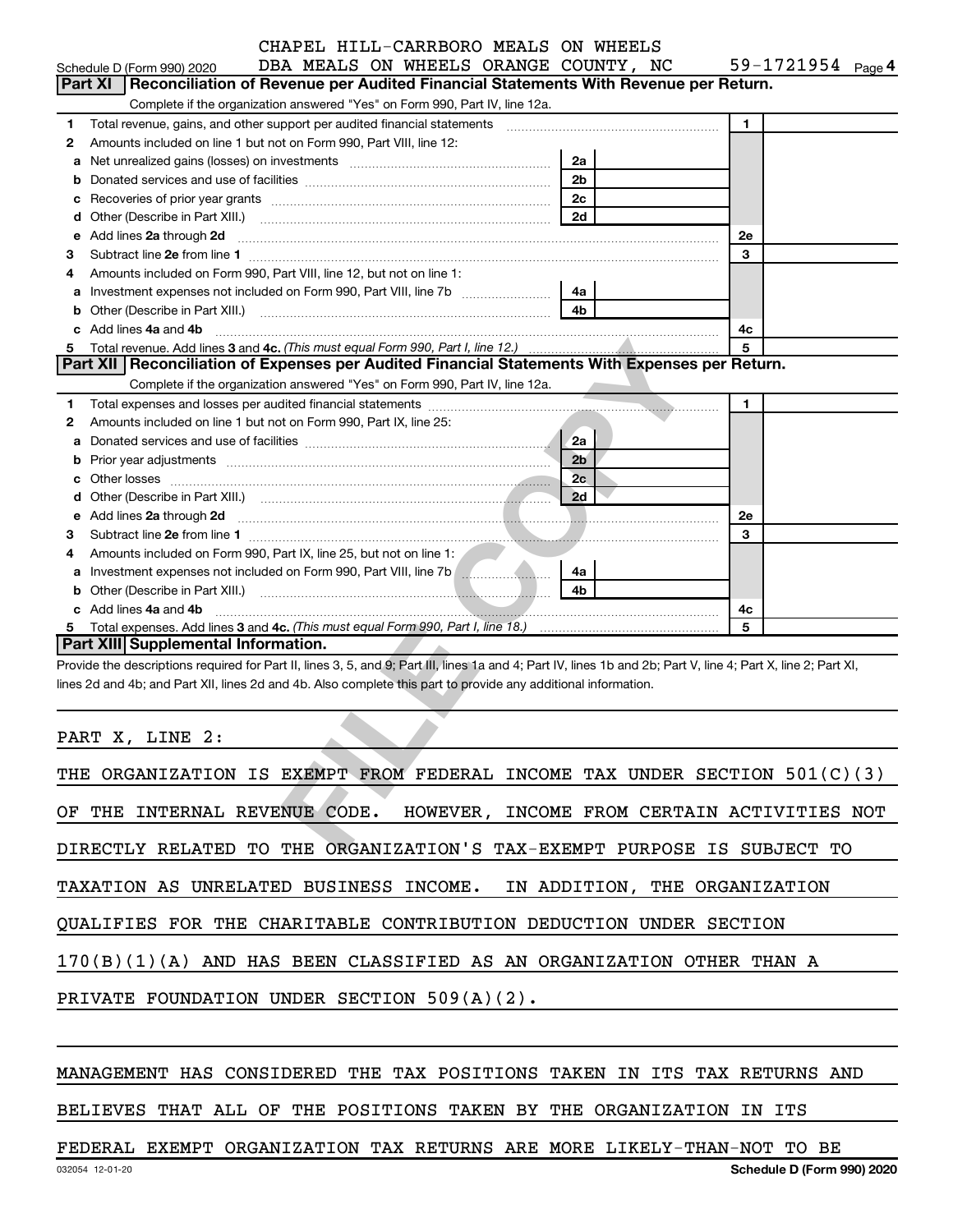|             | DBA MEALS ON WHEELS ORANGE COUNTY, NC<br>Schedule D (Form 990) 2020                                                                                            |                                 | 59-1721954 Page 4          |
|-------------|----------------------------------------------------------------------------------------------------------------------------------------------------------------|---------------------------------|----------------------------|
|             | <b>Part XI</b><br>Reconciliation of Revenue per Audited Financial Statements With Revenue per Return.                                                          |                                 |                            |
|             | Complete if the organization answered "Yes" on Form 990, Part IV, line 12a.                                                                                    |                                 |                            |
| 1           | Total revenue, gains, and other support per audited financial statements [[[[[[[[[[[[[[[[[[[[[[]]]]]]]]]]]]]]                                                  |                                 | $\blacksquare$             |
| 2           | Amounts included on line 1 but not on Form 990, Part VIII, line 12:                                                                                            |                                 |                            |
| a           |                                                                                                                                                                | 2a                              |                            |
| $\mathbf b$ |                                                                                                                                                                | 2 <sub>b</sub>                  |                            |
| с           |                                                                                                                                                                | 2 <sub>c</sub><br>2d            |                            |
| d<br>e      | Add lines 2a through 2d                                                                                                                                        |                                 | 2e                         |
| з           |                                                                                                                                                                |                                 | 3                          |
| 4           | Amounts included on Form 990, Part VIII, line 12, but not on line 1:                                                                                           |                                 |                            |
| а           | Investment expenses not included on Form 990, Part VIII, line 7b [11, 111, 120]                                                                                | 4a                              |                            |
| $\mathbf b$ |                                                                                                                                                                | 4 <sub>b</sub>                  |                            |
| c           | Add lines 4a and 4b                                                                                                                                            |                                 | 4c                         |
| 5           |                                                                                                                                                                |                                 | 5                          |
|             | Part XII Reconciliation of Expenses per Audited Financial Statements With Expenses per Return.                                                                 |                                 |                            |
|             | Complete if the organization answered "Yes" on Form 990, Part IV, line 12a.                                                                                    | the contract of the contract of |                            |
| 1           |                                                                                                                                                                |                                 | 1                          |
| 2           | Amounts included on line 1 but not on Form 990, Part IX, line 25:                                                                                              |                                 |                            |
| a           |                                                                                                                                                                | <b>2a</b>                       |                            |
| $\mathbf b$ |                                                                                                                                                                | 2 <sub>b</sub>                  |                            |
| c           |                                                                                                                                                                | 2c                              |                            |
| d           |                                                                                                                                                                | 2d                              |                            |
| e           |                                                                                                                                                                |                                 | 2e                         |
| з           |                                                                                                                                                                |                                 | 3                          |
| 4<br>а      | Amounts included on Form 990, Part IX, line 25, but not on line 1:<br>Investment expenses not included on Form 990, Part VIII, line 7b [                       | 4a                              |                            |
| b           |                                                                                                                                                                | 4b                              |                            |
|             | c Add lines 4a and 4b                                                                                                                                          |                                 | 4с                         |
| 5           |                                                                                                                                                                |                                 | 5                          |
|             | Part XIII  Supplemental Information.                                                                                                                           |                                 |                            |
|             | Provide the descriptions required for Part II, lines 3, 5, and 9; Part III, lines 1a and 4; Part IV, lines 1b and 2b; Part V, line 4; Part X, line 2; Part XI, |                                 |                            |
|             | lines 2d and 4b; and Part XII, lines 2d and 4b. Also complete this part to provide any additional information.                                                 |                                 |                            |
|             |                                                                                                                                                                |                                 |                            |
|             |                                                                                                                                                                |                                 |                            |
|             | PART X, LINE 2:                                                                                                                                                |                                 |                            |
|             |                                                                                                                                                                |                                 |                            |
|             | THE ORGANIZATION IS EXEMPT FROM FEDERAL INCOME TAX UNDER SECTION 501(C)(3)                                                                                     |                                 |                            |
|             |                                                                                                                                                                |                                 |                            |
|             | OF THE INTERNAL REVENUE CODE. HOWEVER, INCOME FROM CERTAIN ACTIVITIES NOT                                                                                      |                                 |                            |
|             |                                                                                                                                                                |                                 |                            |
|             | DIRECTLY RELATED TO THE ORGANIZATION'S TAX-EXEMPT PURPOSE IS SUBJECT TO                                                                                        |                                 |                            |
|             |                                                                                                                                                                |                                 |                            |
|             | TAXATION AS UNRELATED BUSINESS INCOME. IN ADDITION, THE ORGANIZATION                                                                                           |                                 |                            |
|             | QUALIFIES FOR THE CHARITABLE CONTRIBUTION DEDUCTION UNDER SECTION                                                                                              |                                 |                            |
|             |                                                                                                                                                                |                                 |                            |
|             | 170(B)(1)(A) AND HAS BEEN CLASSIFIED AS AN ORGANIZATION OTHER THAN A                                                                                           |                                 |                            |
|             |                                                                                                                                                                |                                 |                            |
|             | PRIVATE FOUNDATION UNDER SECTION 509(A)(2).                                                                                                                    |                                 |                            |
|             |                                                                                                                                                                |                                 |                            |
|             |                                                                                                                                                                |                                 |                            |
|             |                                                                                                                                                                |                                 |                            |
|             | MANAGEMENT HAS CONSIDERED THE TAX POSITIONS TAKEN IN ITS TAX RETURNS AND                                                                                       |                                 |                            |
|             |                                                                                                                                                                |                                 |                            |
|             | BELIEVES THAT ALL OF THE POSITIONS TAKEN BY THE ORGANIZATION IN ITS                                                                                            |                                 |                            |
|             |                                                                                                                                                                |                                 |                            |
|             | FEDERAL EXEMPT ORGANIZATION TAX RETURNS ARE MORE LIKELY-THAN-NOT TO BE                                                                                         |                                 |                            |
|             | 032054 12-01-20                                                                                                                                                |                                 | Schedule D (Form 990) 2020 |

| THE ORGANIZATION IS EXEMPT FROM FEDERAL INCOME TAX UNDER SECTION $501(C)(3)$ |
|------------------------------------------------------------------------------|
| OF THE INTERNAL REVENUE CODE. HOWEVER, INCOME FROM CERTAIN ACTIVITIES NOT    |
| DIRECTLY RELATED TO THE ORGANIZATION'S TAX-EXEMPT PURPOSE IS SUBJECT TO      |
| TAXATION AS UNRELATED BUSINESS INCOME. IN ADDITION, THE ORGANIZATION         |
| QUALIFIES FOR THE CHARITABLE CONTRIBUTION DEDUCTION UNDER SECTION            |
| $170(B)(1)(A)$ AND HAS BEEN CLASSIFIED AS AN ORGANIZATION OTHER THAN A       |
| PRIVATE FOUNDATION UNDER SECTION $509(A)(2)$ .                               |
|                                                                              |

#### MANAGEMENT HAS CONSIDERED THE TAX POSITIONS TAKEN IN ITS TAX RETURNS AND

#### FEDERAL EXEMPT ORGANIZATION TAX RETURNS ARE MORE LIKELY-THAN-NOT TO BE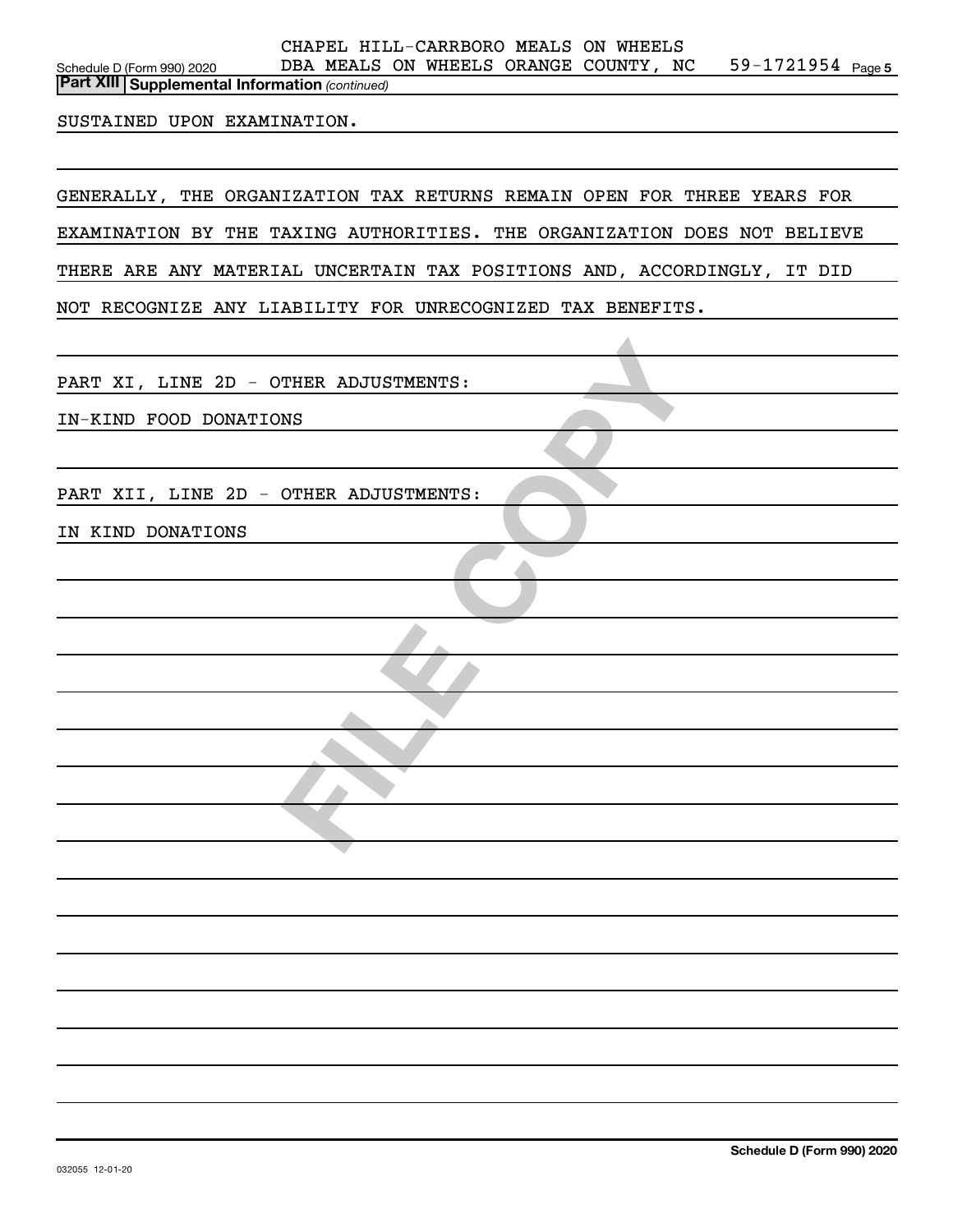### *(continued)* **Part XIII Supplemental Information**

#### SUSTAINED UPON EXAMINATION.

GENERALLY, THE ORGANIZATION TAX RETURNS REMAIN OPEN FOR THREE YEARS FOR EXAMINATION BY THE TAXING AUTHORITIES. THE ORGANIZATION DOES NOT BELIEVE THERE ARE ANY MATERIAL UNCERTAIN TAX POSITIONS AND, ACCORDINGLY, IT DID NOT RECOGNIZE ANY LIABILITY FOR UNRECOGNIZED TAX BENEFITS.

PART XI, LINE 2D - OTHER ADJUSTMENTS:

IN-KIND FOOD DONATIONS

**FILE COPY** PART XII, LINE 2D - OTHER ADJUSTMENTS:

IN KIND DONATIONS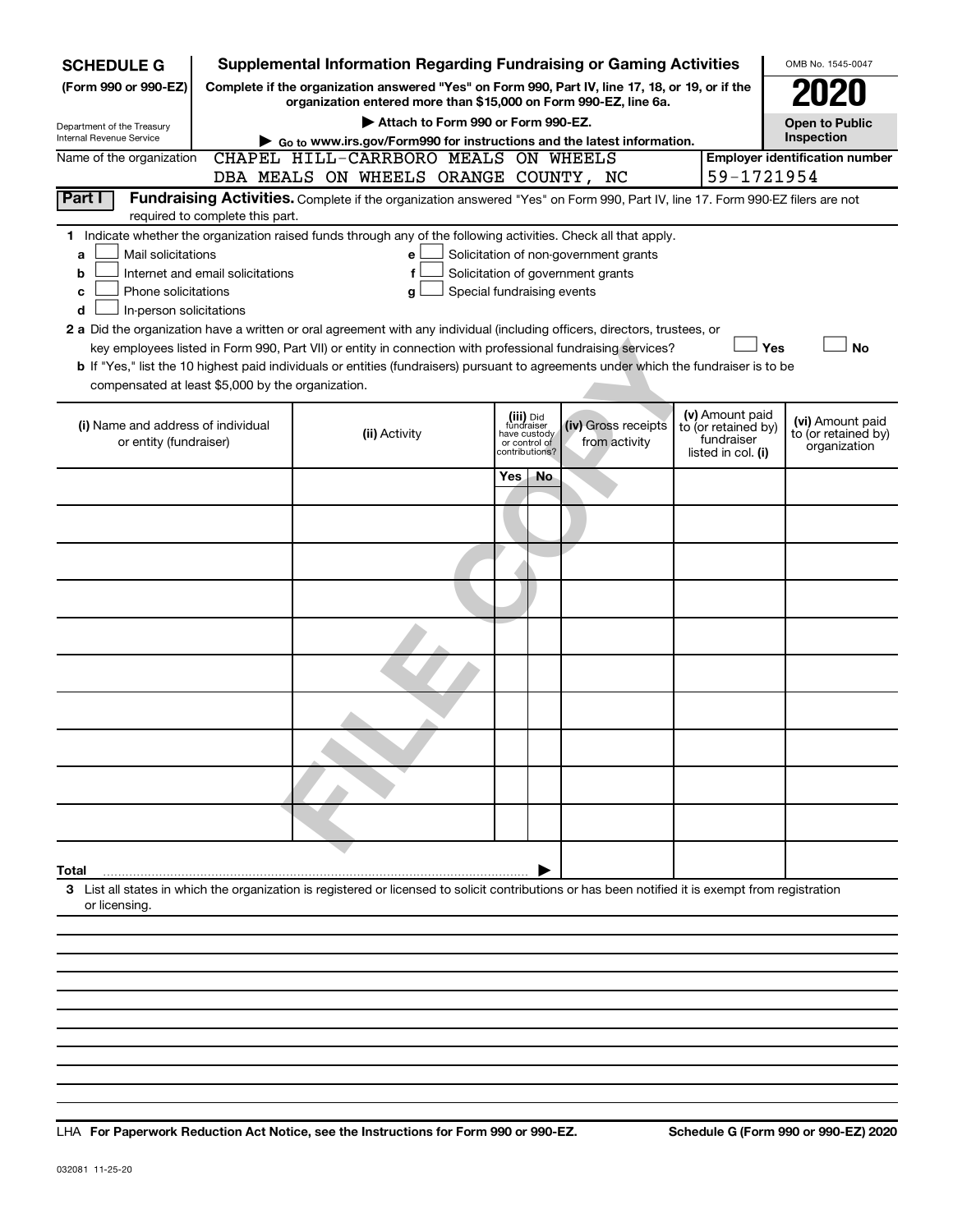| <b>SCHEDULE G</b>                                                                                                                                                                              |                                                                                                                                                                     | <b>Supplemental Information Regarding Fundraising or Gaming Activities</b>                                                            |     |                                                 |                                       |                                        | OMB No. 1545-0047                       |  |  |  |  |
|------------------------------------------------------------------------------------------------------------------------------------------------------------------------------------------------|---------------------------------------------------------------------------------------------------------------------------------------------------------------------|---------------------------------------------------------------------------------------------------------------------------------------|-----|-------------------------------------------------|---------------------------------------|----------------------------------------|-----------------------------------------|--|--|--|--|
| (Form 990 or 990-EZ)                                                                                                                                                                           | Complete if the organization answered "Yes" on Form 990, Part IV, line 17, 18, or 19, or if the<br>organization entered more than \$15,000 on Form 990-EZ, line 6a. |                                                                                                                                       |     |                                                 |                                       |                                        |                                         |  |  |  |  |
|                                                                                                                                                                                                | Attach to Form 990 or Form 990-EZ.<br>Department of the Treasury                                                                                                    |                                                                                                                                       |     |                                                 |                                       |                                        |                                         |  |  |  |  |
| Internal Revenue Service                                                                                                                                                                       | Inspection<br>▶ Go to www.irs.gov/Form990 for instructions and the latest information.<br>CHAPEL HILL-CARRBORO MEALS ON WHEELS                                      |                                                                                                                                       |     |                                                 |                                       |                                        |                                         |  |  |  |  |
| Name of the organization                                                                                                                                                                       | <b>Employer identification number</b>                                                                                                                               |                                                                                                                                       |     |                                                 |                                       |                                        |                                         |  |  |  |  |
| 59-1721954<br>DBA MEALS ON WHEELS ORANGE COUNTY, NC<br>Part I<br>Fundraising Activities. Complete if the organization answered "Yes" on Form 990, Part IV, line 17. Form 990-EZ filers are not |                                                                                                                                                                     |                                                                                                                                       |     |                                                 |                                       |                                        |                                         |  |  |  |  |
| required to complete this part.                                                                                                                                                                |                                                                                                                                                                     |                                                                                                                                       |     |                                                 |                                       |                                        |                                         |  |  |  |  |
| 1 Indicate whether the organization raised funds through any of the following activities. Check all that apply.                                                                                |                                                                                                                                                                     |                                                                                                                                       |     |                                                 |                                       |                                        |                                         |  |  |  |  |
| Mail solicitations<br>a                                                                                                                                                                        |                                                                                                                                                                     | e                                                                                                                                     |     |                                                 | Solicitation of non-government grants |                                        |                                         |  |  |  |  |
| b<br>Phone solicitations<br>с                                                                                                                                                                  | Internet and email solicitations                                                                                                                                    | f<br>Special fundraising events<br>g                                                                                                  |     |                                                 | Solicitation of government grants     |                                        |                                         |  |  |  |  |
| In-person solicitations<br>d                                                                                                                                                                   |                                                                                                                                                                     |                                                                                                                                       |     |                                                 |                                       |                                        |                                         |  |  |  |  |
|                                                                                                                                                                                                |                                                                                                                                                                     | 2 a Did the organization have a written or oral agreement with any individual (including officers, directors, trustees, or            |     |                                                 |                                       |                                        |                                         |  |  |  |  |
|                                                                                                                                                                                                |                                                                                                                                                                     | key employees listed in Form 990, Part VII) or entity in connection with professional fundraising services?                           |     |                                                 |                                       |                                        | Yes<br><b>No</b>                        |  |  |  |  |
| compensated at least \$5,000 by the organization.                                                                                                                                              |                                                                                                                                                                     | b If "Yes," list the 10 highest paid individuals or entities (fundraisers) pursuant to agreements under which the fundraiser is to be |     |                                                 |                                       |                                        |                                         |  |  |  |  |
|                                                                                                                                                                                                |                                                                                                                                                                     |                                                                                                                                       |     |                                                 |                                       |                                        |                                         |  |  |  |  |
| (i) Name and address of individual                                                                                                                                                             |                                                                                                                                                                     | (ii) Activity                                                                                                                         |     | (iii) Did<br>fundraiser                         | (iv) Gross receipts                   | (v) Amount paid<br>to (or retained by) | (vi) Amount paid<br>to (or retained by) |  |  |  |  |
| or entity (fundraiser)                                                                                                                                                                         |                                                                                                                                                                     |                                                                                                                                       |     | have custody<br>or control of<br>contributions? | from activity                         | fundraiser<br>listed in col. (i)       | organization                            |  |  |  |  |
|                                                                                                                                                                                                |                                                                                                                                                                     |                                                                                                                                       | Yes | No.                                             |                                       |                                        |                                         |  |  |  |  |
|                                                                                                                                                                                                |                                                                                                                                                                     |                                                                                                                                       |     |                                                 |                                       |                                        |                                         |  |  |  |  |
|                                                                                                                                                                                                |                                                                                                                                                                     |                                                                                                                                       |     |                                                 |                                       |                                        |                                         |  |  |  |  |
|                                                                                                                                                                                                |                                                                                                                                                                     |                                                                                                                                       |     |                                                 |                                       |                                        |                                         |  |  |  |  |
|                                                                                                                                                                                                |                                                                                                                                                                     |                                                                                                                                       |     |                                                 |                                       |                                        |                                         |  |  |  |  |
|                                                                                                                                                                                                |                                                                                                                                                                     |                                                                                                                                       |     |                                                 |                                       |                                        |                                         |  |  |  |  |
|                                                                                                                                                                                                |                                                                                                                                                                     |                                                                                                                                       |     |                                                 |                                       |                                        |                                         |  |  |  |  |
|                                                                                                                                                                                                |                                                                                                                                                                     |                                                                                                                                       |     |                                                 |                                       |                                        |                                         |  |  |  |  |
|                                                                                                                                                                                                |                                                                                                                                                                     |                                                                                                                                       |     |                                                 |                                       |                                        |                                         |  |  |  |  |
|                                                                                                                                                                                                |                                                                                                                                                                     |                                                                                                                                       |     |                                                 |                                       |                                        |                                         |  |  |  |  |
|                                                                                                                                                                                                |                                                                                                                                                                     |                                                                                                                                       |     |                                                 |                                       |                                        |                                         |  |  |  |  |
|                                                                                                                                                                                                |                                                                                                                                                                     |                                                                                                                                       |     |                                                 |                                       |                                        |                                         |  |  |  |  |
|                                                                                                                                                                                                |                                                                                                                                                                     |                                                                                                                                       |     |                                                 |                                       |                                        |                                         |  |  |  |  |
|                                                                                                                                                                                                |                                                                                                                                                                     |                                                                                                                                       |     |                                                 |                                       |                                        |                                         |  |  |  |  |
|                                                                                                                                                                                                |                                                                                                                                                                     |                                                                                                                                       |     |                                                 |                                       |                                        |                                         |  |  |  |  |
| Total                                                                                                                                                                                          |                                                                                                                                                                     |                                                                                                                                       |     |                                                 |                                       |                                        |                                         |  |  |  |  |
| 3 List all states in which the organization is registered or licensed to solicit contributions or has been notified it is exempt from registration<br>or licensing.                            |                                                                                                                                                                     |                                                                                                                                       |     |                                                 |                                       |                                        |                                         |  |  |  |  |
|                                                                                                                                                                                                |                                                                                                                                                                     |                                                                                                                                       |     |                                                 |                                       |                                        |                                         |  |  |  |  |
|                                                                                                                                                                                                |                                                                                                                                                                     |                                                                                                                                       |     |                                                 |                                       |                                        |                                         |  |  |  |  |
|                                                                                                                                                                                                |                                                                                                                                                                     |                                                                                                                                       |     |                                                 |                                       |                                        |                                         |  |  |  |  |

**For Paperwork Reduction Act Notice, see the Instructions for Form 990 or 990-EZ. Schedule G (Form 990 or 990-EZ) 2020** LHA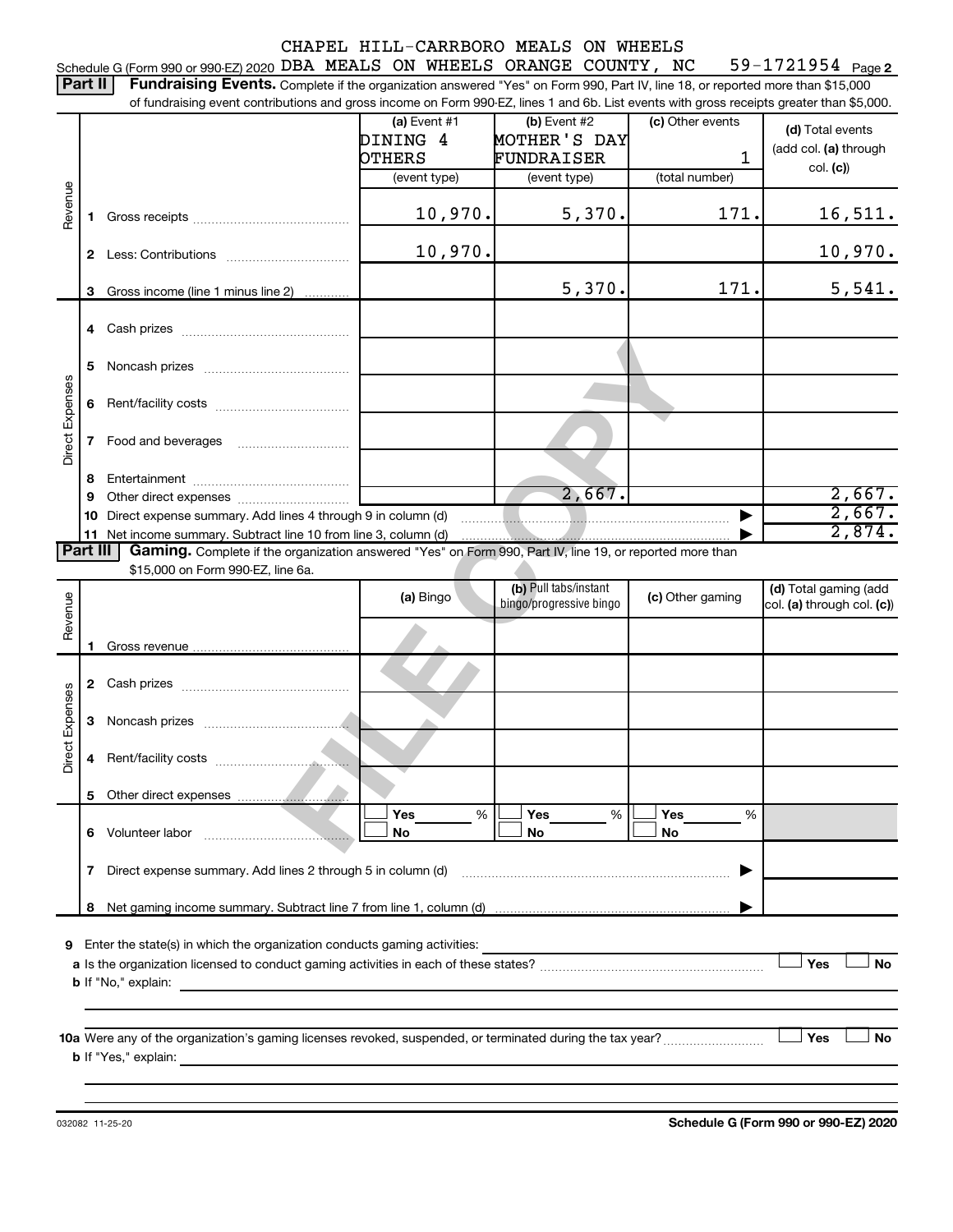59-1721954 Page 2 Schedule G (Form 990 or 990-EZ) 2020 DBA MEALS ON WHEELS ORANGE COUNTY, NC  $-$  59-1721954  $\,$  Page

Part II | Fundraising Events. Complete if the organization answered "Yes" on Form 990, Part IV, line 18, or reported more than \$15,000

|                 |    | of fundraising event contributions and gross income on Form 990-EZ, lines 1 and 6b. List events with gross receipts greater than \$5,000. |                |                         |                  |                            |  |  |  |
|-----------------|----|-------------------------------------------------------------------------------------------------------------------------------------------|----------------|-------------------------|------------------|----------------------------|--|--|--|
|                 |    |                                                                                                                                           | $(a)$ Event #1 | (b) Event #2            | (c) Other events | (d) Total events           |  |  |  |
|                 |    |                                                                                                                                           | DINING 4       | MOTHER'S DAY            |                  | (add col. (a) through      |  |  |  |
|                 |    |                                                                                                                                           | OTHERS         | FUNDRAISER              | 1                |                            |  |  |  |
|                 |    |                                                                                                                                           | (event type)   | (event type)            | (total number)   | col. (c)                   |  |  |  |
| Revenue         |    |                                                                                                                                           |                |                         |                  |                            |  |  |  |
|                 | 1. |                                                                                                                                           | 10,970.        | 5,370.                  | 171.             | 16,511.                    |  |  |  |
|                 |    |                                                                                                                                           |                |                         |                  |                            |  |  |  |
|                 |    |                                                                                                                                           | 10,970.        |                         |                  | 10,970.                    |  |  |  |
|                 |    |                                                                                                                                           |                |                         |                  |                            |  |  |  |
|                 | 3  | Gross income (line 1 minus line 2)                                                                                                        |                | 5,370.                  | 171.             | 5,541.                     |  |  |  |
|                 |    |                                                                                                                                           |                |                         |                  |                            |  |  |  |
|                 |    |                                                                                                                                           |                |                         |                  |                            |  |  |  |
|                 |    |                                                                                                                                           |                |                         |                  |                            |  |  |  |
|                 | 5  |                                                                                                                                           |                |                         |                  |                            |  |  |  |
|                 |    |                                                                                                                                           |                |                         |                  |                            |  |  |  |
|                 | 6  |                                                                                                                                           |                |                         |                  |                            |  |  |  |
| Direct Expenses |    |                                                                                                                                           |                |                         |                  |                            |  |  |  |
|                 | 7  |                                                                                                                                           |                |                         |                  |                            |  |  |  |
|                 |    |                                                                                                                                           |                |                         |                  |                            |  |  |  |
|                 | 8  |                                                                                                                                           |                |                         |                  |                            |  |  |  |
|                 | 9  |                                                                                                                                           |                | 2,667.                  |                  | 2,667.                     |  |  |  |
|                 |    | 2,667.<br>10 Direct expense summary. Add lines 4 through 9 in column (d)                                                                  |                |                         |                  |                            |  |  |  |
|                 |    | 11 Net income summary. Subtract line 10 from line 3, column (d)                                                                           |                |                         |                  | 2,874.                     |  |  |  |
| Part III        |    | Gaming. Complete if the organization answered "Yes" on Form 990, Part IV, line 19, or reported more than                                  |                |                         |                  |                            |  |  |  |
|                 |    | \$15,000 on Form 990-EZ, line 6a.                                                                                                         |                |                         |                  |                            |  |  |  |
|                 |    |                                                                                                                                           | (a) Bingo      | (b) Pull tabs/instant   | (c) Other gaming | (d) Total gaming (add      |  |  |  |
| Revenue         |    |                                                                                                                                           |                | bingo/progressive bingo |                  | col. (a) through col. (c)) |  |  |  |
|                 |    |                                                                                                                                           |                |                         |                  |                            |  |  |  |
|                 |    |                                                                                                                                           |                |                         |                  |                            |  |  |  |
|                 |    |                                                                                                                                           |                |                         |                  |                            |  |  |  |
|                 |    |                                                                                                                                           |                |                         |                  |                            |  |  |  |
| Direct Expenses |    |                                                                                                                                           |                |                         |                  |                            |  |  |  |
|                 | 3  |                                                                                                                                           |                |                         |                  |                            |  |  |  |
|                 |    |                                                                                                                                           |                |                         |                  |                            |  |  |  |
|                 | 4  |                                                                                                                                           |                |                         |                  |                            |  |  |  |
|                 |    |                                                                                                                                           |                |                         |                  |                            |  |  |  |
|                 |    |                                                                                                                                           |                |                         |                  |                            |  |  |  |
|                 |    |                                                                                                                                           | Yes<br>%       | Yes<br>%                | Yes<br>%         |                            |  |  |  |
|                 |    |                                                                                                                                           |                |                         |                  |                            |  |  |  |
|                 |    | 6 Volunteer labor<br>the contract of the contract of the                                                                                  | No             | No                      | <b>No</b>        |                            |  |  |  |
|                 |    |                                                                                                                                           |                |                         |                  |                            |  |  |  |
|                 | 7  | Direct expense summary. Add lines 2 through 5 in column (d)                                                                               |                |                         |                  |                            |  |  |  |
|                 |    |                                                                                                                                           |                |                         |                  |                            |  |  |  |
|                 |    |                                                                                                                                           |                |                         |                  |                            |  |  |  |
|                 |    |                                                                                                                                           |                |                         |                  |                            |  |  |  |
| 9               |    | Enter the state(s) in which the organization conducts gaming activities:                                                                  |                |                         |                  |                            |  |  |  |
|                 |    |                                                                                                                                           |                |                         |                  | Yes<br>No                  |  |  |  |
|                 |    | <b>b</b> If "No," explain:<br>the control of the control of the control of the control of the control of the control of                   |                |                         |                  |                            |  |  |  |

**10 Yes No** Were any of the organization's gaming licenses revoked, suspended, or terminated during the tax year? ~~~~~~~~~ † † **a** Were any of the<br>**b** If "Yes," explain:

032082 11-25-20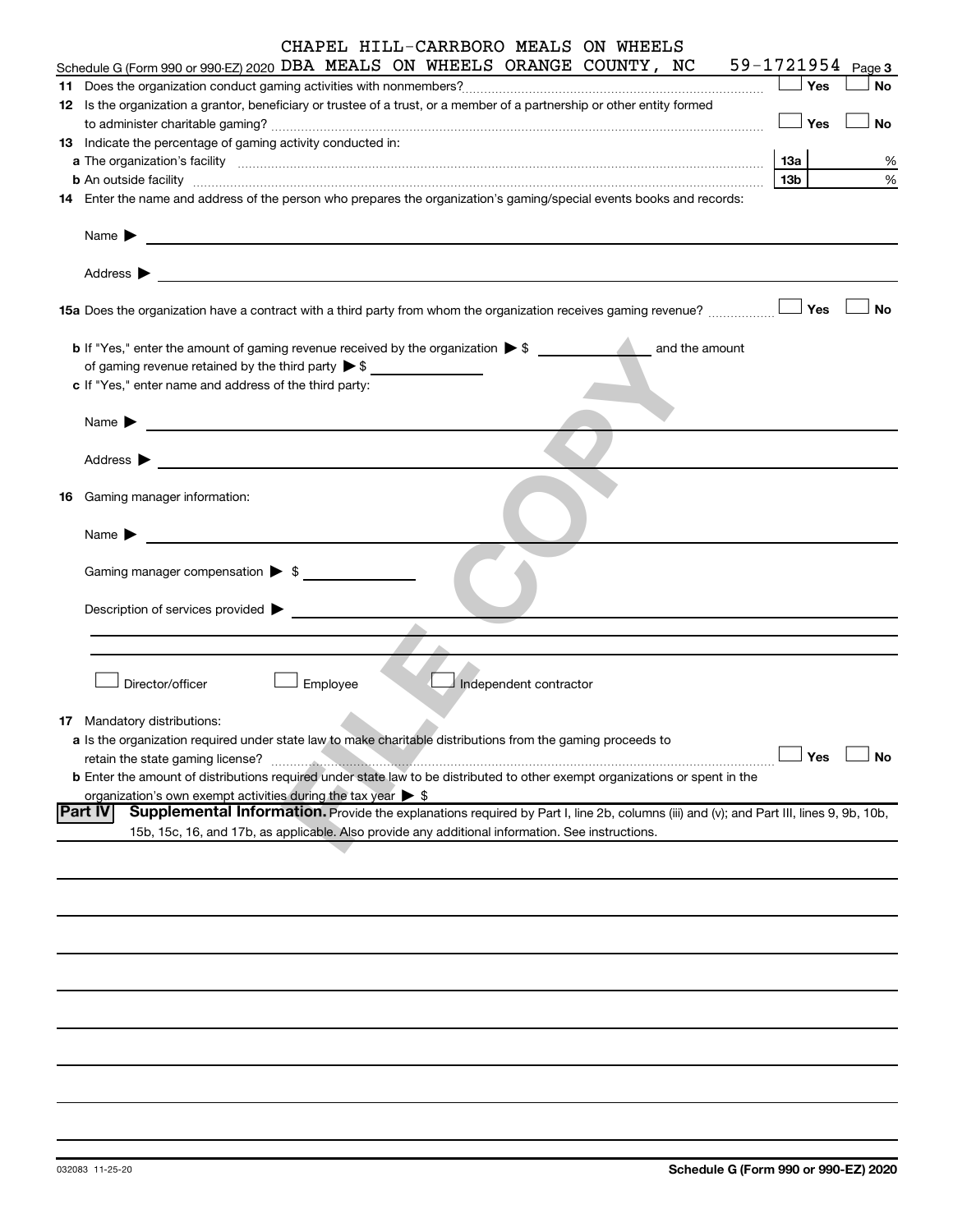|    | CHAPEL HILL-CARRBORO MEALS ON WHEELS                                                                                                                            |                        |                       |
|----|-----------------------------------------------------------------------------------------------------------------------------------------------------------------|------------------------|-----------------------|
|    | Schedule G (Form 990 or 990-EZ) 2020 DBA MEALS ON WHEELS ORANGE COUNTY, NC                                                                                      |                        | $59 - 1721954$ Page 3 |
|    |                                                                                                                                                                 | Yes                    | No                    |
|    | 12 Is the organization a grantor, beneficiary or trustee of a trust, or a member of a partnership or other entity formed                                        |                        |                       |
|    |                                                                                                                                                                 | Yes                    | <b>No</b>             |
|    | 13 Indicate the percentage of gaming activity conducted in:                                                                                                     |                        |                       |
|    |                                                                                                                                                                 | 13а<br>13 <sub>b</sub> | %<br>%                |
|    | 14 Enter the name and address of the person who prepares the organization's gaming/special events books and records:                                            |                        |                       |
|    |                                                                                                                                                                 |                        |                       |
|    | Name $\blacktriangleright$<br>and the control of the control of the control of the control of the control of the control of the control of the                  |                        |                       |
|    |                                                                                                                                                                 |                        |                       |
|    | Address $\blacktriangleright$<br><u>and the contract of the contract of the contract of the contract of the contract of the contract of</u>                     |                        |                       |
|    |                                                                                                                                                                 | Yes                    | <b>No</b>             |
|    | <b>b</b> If "Yes," enter the amount of gaming revenue received by the organization $\triangleright$ \$<br>and the amount                                        |                        |                       |
|    | of gaming revenue retained by the third party $\triangleright$ \$                                                                                               |                        |                       |
|    | c If "Yes," enter name and address of the third party:                                                                                                          |                        |                       |
|    |                                                                                                                                                                 |                        |                       |
|    | Name $\blacktriangleright$<br><u> 1990 - Johann Stein, marwolaethau a bhann an t-</u>                                                                           |                        |                       |
|    |                                                                                                                                                                 |                        |                       |
|    | Address $\blacktriangleright$                                                                                                                                   |                        |                       |
| 16 | Gaming manager information:                                                                                                                                     |                        |                       |
|    | Name $\blacktriangleright$                                                                                                                                      |                        |                       |
|    |                                                                                                                                                                 |                        |                       |
|    | Gaming manager compensation $\triangleright$ \$                                                                                                                 |                        |                       |
|    |                                                                                                                                                                 |                        |                       |
|    | Description of services provided $\blacktriangleright$                                                                                                          |                        |                       |
|    |                                                                                                                                                                 |                        |                       |
|    |                                                                                                                                                                 |                        |                       |
|    | Director/officer                                                                                                                                                |                        |                       |
|    | Employee<br>Independent contractor                                                                                                                              |                        |                       |
|    | <b>17</b> Mandatory distributions:                                                                                                                              |                        |                       |
|    | a Is the organization required under state law to make charitable distributions from the gaming proceeds to                                                     |                        |                       |
|    | retain the state gaming license?                                                                                                                                | Yes                    | No                    |
|    | b Enter the amount of distributions required under state law to be distributed to other exempt organizations or spent in the                                    |                        |                       |
|    | organization's own exempt activities during the tax year $\triangleright$ \$                                                                                    |                        |                       |
|    | <b>Part IV</b><br><b>Supplemental Information.</b> Provide the explanations required by Part I, line 2b, columns (iii) and (v); and Part III, lines 9, 9b, 10b, |                        |                       |
|    | 15b, 15c, 16, and 17b, as applicable. Also provide any additional information. See instructions.                                                                |                        |                       |
|    |                                                                                                                                                                 |                        |                       |
|    |                                                                                                                                                                 |                        |                       |
|    |                                                                                                                                                                 |                        |                       |
|    |                                                                                                                                                                 |                        |                       |
|    |                                                                                                                                                                 |                        |                       |
|    |                                                                                                                                                                 |                        |                       |
|    |                                                                                                                                                                 |                        |                       |
|    |                                                                                                                                                                 |                        |                       |
|    |                                                                                                                                                                 |                        |                       |
|    |                                                                                                                                                                 |                        |                       |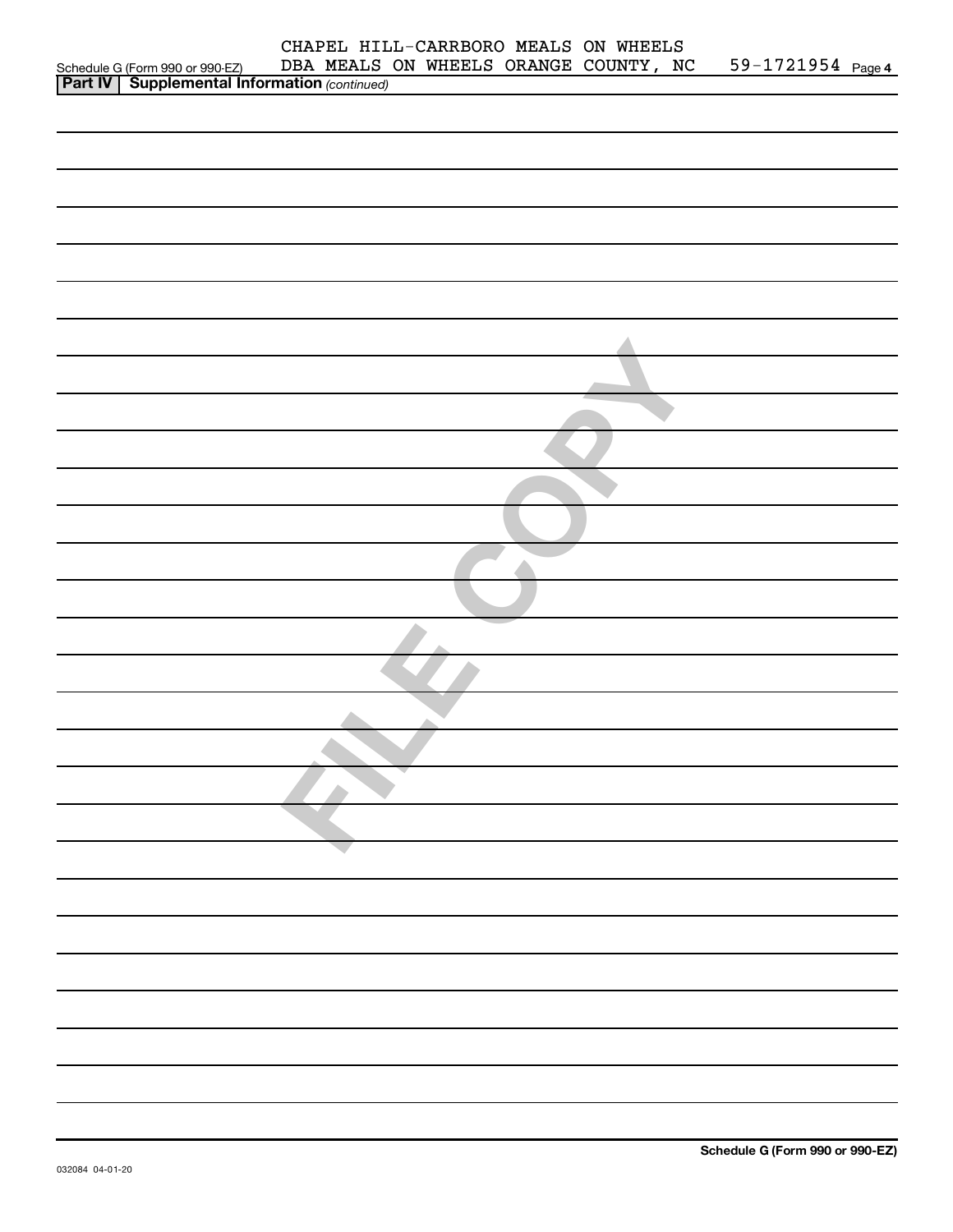|                                                                                                    |  |  | CHAPEL HILL-CARRBORO MEALS ON WHEELS  |                   |  |
|----------------------------------------------------------------------------------------------------|--|--|---------------------------------------|-------------------|--|
| Schedule G (Form 990 or 990-EZ) DBA MEALS<br><b>Part IV   Supplemental Information</b> (continued) |  |  | DBA MEALS ON WHEELS ORANGE COUNTY, NC | 59-1721954 Page 4 |  |
|                                                                                                    |  |  |                                       |                   |  |
|                                                                                                    |  |  |                                       |                   |  |
|                                                                                                    |  |  |                                       |                   |  |
|                                                                                                    |  |  |                                       |                   |  |
|                                                                                                    |  |  |                                       |                   |  |
|                                                                                                    |  |  |                                       |                   |  |
|                                                                                                    |  |  |                                       |                   |  |
|                                                                                                    |  |  |                                       |                   |  |
|                                                                                                    |  |  |                                       |                   |  |
|                                                                                                    |  |  |                                       |                   |  |
|                                                                                                    |  |  |                                       |                   |  |
|                                                                                                    |  |  |                                       |                   |  |
|                                                                                                    |  |  |                                       |                   |  |
|                                                                                                    |  |  |                                       |                   |  |
|                                                                                                    |  |  |                                       |                   |  |
|                                                                                                    |  |  |                                       |                   |  |
|                                                                                                    |  |  |                                       |                   |  |
|                                                                                                    |  |  |                                       |                   |  |
|                                                                                                    |  |  |                                       |                   |  |
|                                                                                                    |  |  |                                       |                   |  |
|                                                                                                    |  |  |                                       |                   |  |
|                                                                                                    |  |  |                                       |                   |  |
|                                                                                                    |  |  |                                       |                   |  |
|                                                                                                    |  |  |                                       |                   |  |
|                                                                                                    |  |  |                                       |                   |  |
|                                                                                                    |  |  |                                       |                   |  |
|                                                                                                    |  |  |                                       |                   |  |
|                                                                                                    |  |  |                                       |                   |  |
|                                                                                                    |  |  |                                       |                   |  |
|                                                                                                    |  |  |                                       |                   |  |
|                                                                                                    |  |  |                                       |                   |  |
|                                                                                                    |  |  |                                       |                   |  |
|                                                                                                    |  |  |                                       |                   |  |
|                                                                                                    |  |  |                                       |                   |  |
|                                                                                                    |  |  |                                       |                   |  |
|                                                                                                    |  |  |                                       |                   |  |
|                                                                                                    |  |  |                                       |                   |  |
|                                                                                                    |  |  |                                       |                   |  |
|                                                                                                    |  |  |                                       |                   |  |
|                                                                                                    |  |  |                                       |                   |  |
|                                                                                                    |  |  |                                       |                   |  |
|                                                                                                    |  |  |                                       |                   |  |
|                                                                                                    |  |  |                                       |                   |  |
|                                                                                                    |  |  |                                       |                   |  |
|                                                                                                    |  |  |                                       |                   |  |
|                                                                                                    |  |  |                                       |                   |  |
|                                                                                                    |  |  |                                       |                   |  |
|                                                                                                    |  |  |                                       |                   |  |
|                                                                                                    |  |  |                                       |                   |  |
|                                                                                                    |  |  |                                       |                   |  |
|                                                                                                    |  |  |                                       |                   |  |
|                                                                                                    |  |  |                                       |                   |  |
|                                                                                                    |  |  |                                       |                   |  |
|                                                                                                    |  |  |                                       |                   |  |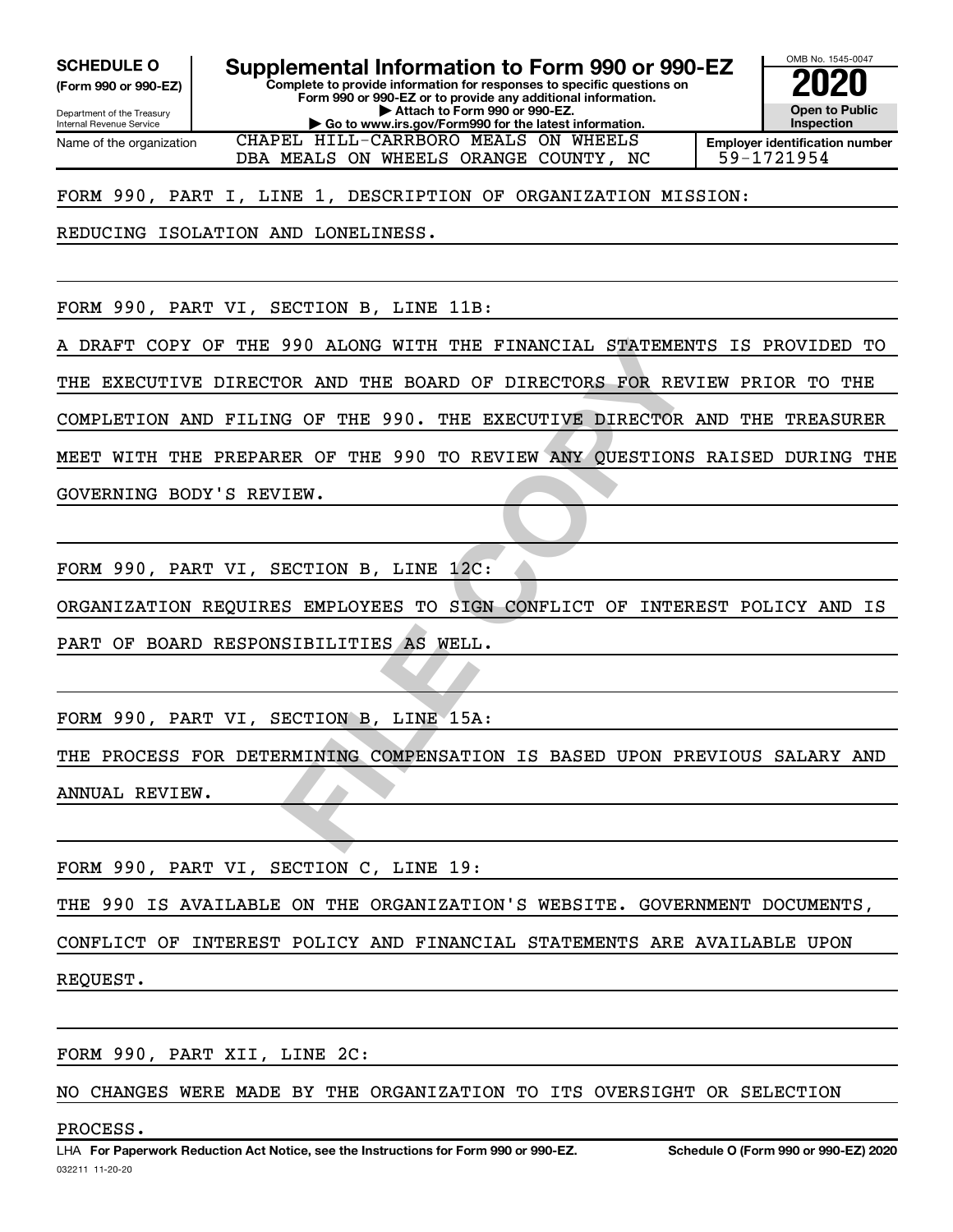**(Form 990 or 990-EZ)**

**Complete to provide information for responses to specific questions on SCHEDULE O Supplemental Information to Form 990 or 990-EZ 2020**<br>(Form 990 or 990-EZ) Complete to provide information for responses to specific questions on

Department of the Treasury Internal Revenue Service Name of the organization **Form 990 or 990-EZ or to provide any additional information. | Attach to Form 990 or 990-EZ. | Go to www.irs.gov/Form990 for the latest information.**

CHAPEL HILL-CARRBORO MEALS ON WHEELS

**Open to Public Inspection Employer identification number** DBA MEALS ON WHEELS ORANGE COUNTY, NC | 59-1721954

OMB No. 1545-0047

FORM 990, PART I, LINE 1, DESCRIPTION OF ORGANIZATION MISSION:

REDUCING ISOLATION AND LONELINESS.

FORM 990, PART VI, SECTION B, LINE 11B:

A DRAFT COPY OF THE 990 ALONG WITH THE FINANCIAL STATEMENTS IS PROVIDED TO

THE EXECUTIVE DIRECTOR AND THE BOARD OF DIRECTORS FOR REVIEW PRIOR TO THE

COMPLETION AND FILING OF THE 990. THE EXECUTIVE DIRECTOR AND THE TREASURER

MEET WITH THE PREPARER OF THE 990 TO REVIEW ANY QUESTIONS RAISED DURING THE

GOVERNING BODY'S REVIEW.

FORM 990, PART VI, SECTION B, LINE 12C:

ORGANIZATION REQUIRES EMPLOYEES TO SIGN CONFLICT OF INTEREST POLICY AND IS

PART OF BOARD RESPONSIBILITIES AS WELL.

FORM 990, PART VI, SECTION B, LINE 15A:

990 ALONG WITH THE FINANCIAL STATEMENTS I<br>OR AND THE BOARD OF DIRECTORS FOR REVIEW<br>G OF THE 990. THE EXECUTIVE DIRECTOR AND<br>ER OF THE 990 TO REVIEW ANY QUESTIONS RAI<br>IEW.<br>ECTION B, LINE 12C:<br>SEMPLOYEES TO SIGN CONFLICT OF THE PROCESS FOR DETERMINING COMPENSATION IS BASED UPON PREVIOUS SALARY AND ANNUAL REVIEW.

FORM 990, PART VI, SECTION C, LINE 19:

THE 990 IS AVAILABLE ON THE ORGANIZATION'S WEBSITE. GOVERNMENT DOCUMENTS,

CONFLICT OF INTEREST POLICY AND FINANCIAL STATEMENTS ARE AVAILABLE UPON

REQUEST.

FORM 990, PART XII, LINE 2C:

NO CHANGES WERE MADE BY THE ORGANIZATION TO ITS OVERSIGHT OR SELECTION

#### PROCESS.